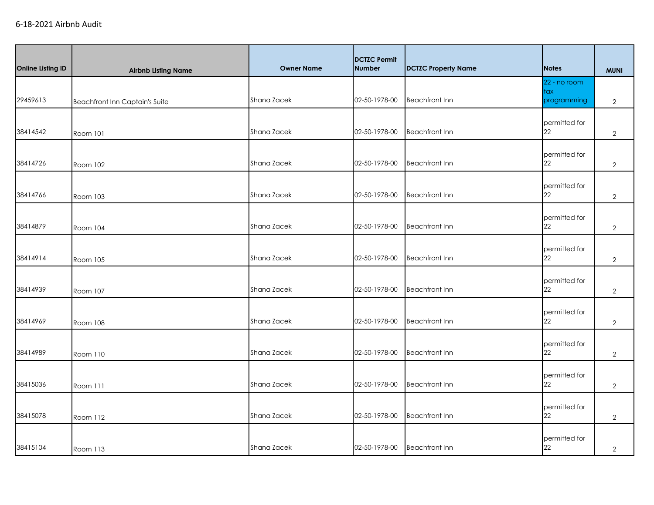| <b>Online Listing ID</b> | <b>Airbnb Listing Name</b>            | <b>Owner Name</b> | <b>DCTZC Permit</b><br><b>Number</b> | <b>DCTZC Property Name</b> | <b>Notes</b>                                 | <b>MUNI</b>    |
|--------------------------|---------------------------------------|-------------------|--------------------------------------|----------------------------|----------------------------------------------|----------------|
| 29459613                 | <b>Beachfront Inn Captain's Suite</b> | Shana Zacek       | 02-50-1978-00                        | <b>Beachfront Inn</b>      | 22 - no room<br>$\frac{1}{2}$<br>programming | $\overline{2}$ |
| 38414542                 | Room 101                              | Shana Zacek       | 02-50-1978-00                        | <b>Beachfront Inn</b>      | permitted for<br>22                          | $\overline{2}$ |
| 38414726                 | Room 102                              | Shana Zacek       | 02-50-1978-00                        | <b>Beachfront Inn</b>      | permitted for<br>22                          | $\overline{2}$ |
| 38414766                 | Room 103                              | Shana Zacek       | 02-50-1978-00                        | <b>Beachfront Inn</b>      | permitted for<br>22                          | $\overline{2}$ |
| 38414879                 | <b>Room 104</b>                       | Shana Zacek       | 02-50-1978-00                        | <b>Beachfront Inn</b>      | permitted for<br>22                          | $\overline{2}$ |
| 38414914                 | <b>Room 105</b>                       | Shana Zacek       | 02-50-1978-00                        | <b>Beachfront Inn</b>      | permitted for<br>22                          | $\overline{2}$ |
| 38414939                 | <b>Room 107</b>                       | Shana Zacek       | 02-50-1978-00                        | <b>Beachfront Inn</b>      | permitted for<br>22                          | $\overline{2}$ |
| 38414969                 | Room 108                              | Shana Zacek       | 02-50-1978-00                        | <b>Beachfront Inn</b>      | permitted for<br>22                          | $\overline{2}$ |
| 38414989                 | Room 110                              | Shana Zacek       | 02-50-1978-00                        | <b>Beachfront Inn</b>      | permitted for<br>22                          | $\overline{2}$ |
| 38415036                 | Room 111                              | Shana Zacek       | 02-50-1978-00                        | <b>Beachfront Inn</b>      | permitted for<br>22                          | $\overline{2}$ |
| 38415078                 | Room 112                              | Shana Zacek       | 02-50-1978-00                        | <b>Beachfront Inn</b>      | permitted for<br>22                          | $\overline{2}$ |
| 38415104                 | Room 113                              | Shana Zacek       | 02-50-1978-00                        | <b>Beachfront Inn</b>      | permitted for<br>22                          | $\overline{2}$ |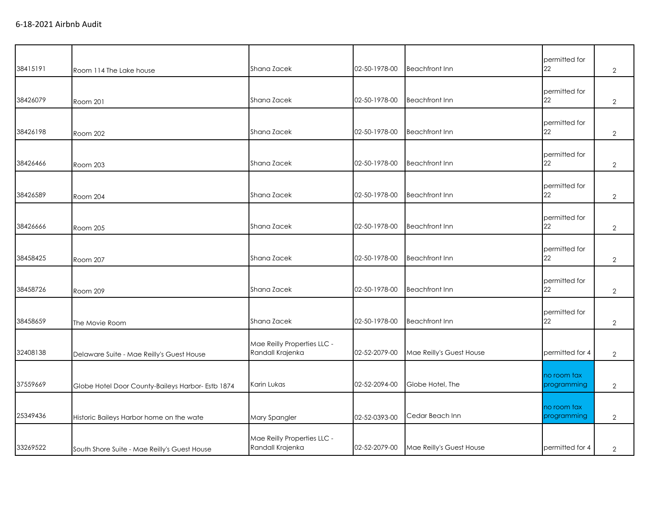| 38415191 | Room 114 The Lake house                           | Shana Zacek                                     | 02-50-1978-00 | <b>Beachfront Inn</b>    | permitted for<br>22        | $\overline{2}$ |
|----------|---------------------------------------------------|-------------------------------------------------|---------------|--------------------------|----------------------------|----------------|
| 38426079 | Room 201                                          | Shana Zacek                                     | 02-50-1978-00 | <b>Beachfront Inn</b>    | permitted for<br>22        | $\overline{2}$ |
| 38426198 | Room 202                                          | Shana Zacek                                     | 02-50-1978-00 | <b>Beachfront Inn</b>    | permitted for<br>22        | $\overline{2}$ |
| 38426466 | Room 203                                          | Shana Zacek                                     | 02-50-1978-00 | <b>Beachfront Inn</b>    | permitted for<br>22        | $\overline{2}$ |
| 38426589 | Room 204                                          | Shana Zacek                                     | 02-50-1978-00 | <b>Beachfront Inn</b>    | permitted for<br>22        | $\overline{2}$ |
| 38426666 | Room 205                                          | Shana Zacek                                     | 02-50-1978-00 | <b>Beachfront Inn</b>    | permitted for<br>22        | $\overline{2}$ |
| 38458425 | Room 207                                          | Shana Zacek                                     | 02-50-1978-00 | <b>Beachfront Inn</b>    | permitted for<br>22        | $\overline{2}$ |
| 38458726 | Room 209                                          | Shana Zacek                                     | 02-50-1978-00 | <b>Beachfront Inn</b>    | permitted for<br>22        | $\overline{2}$ |
| 38458659 | The Movie Room                                    | Shana Zacek                                     | 02-50-1978-00 | <b>Beachfront Inn</b>    | permitted for<br>22        | $\overline{2}$ |
| 32408138 | Delaware Suite - Mae Reilly's Guest House         | Mae Reilly Properties LLC -<br>Randall Krajenka | 02-52-2079-00 | Mae Reilly's Guest House | permitted for 4            | $\overline{2}$ |
| 37559669 | Globe Hotel Door County-Baileys Harbor- Estb 1874 | Karin Lukas                                     | 02-52-2094-00 | Globe Hotel, The         | no room tax<br>programming | $\overline{2}$ |
| 25349436 | Historic Baileys Harbor home on the wate          | Mary Spangler                                   | 02-52-0393-00 | Cedar Beach Inn          | no room tax<br>programming | $\overline{2}$ |
| 33269522 | South Shore Suite - Mae Reilly's Guest House      | Mae Reilly Properties LLC -<br>Randall Krajenka | 02-52-2079-00 | Mae Reilly's Guest House | permitted for 4            | $\overline{2}$ |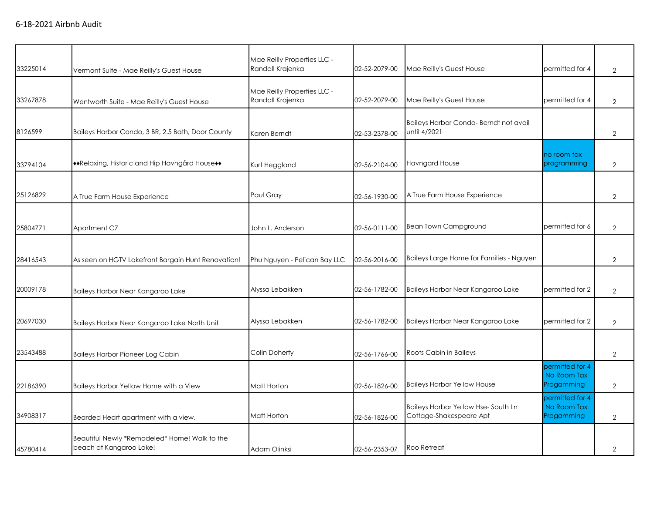| 33225014 | Vermont Suite - Mae Reilly's Guest House                                 | Mae Reilly Properties LLC -<br>Randall Krajenka | 02-52-2079-00 | Mae Reilly's Guest House                                      | permitted for 4                              | $\overline{2}$ |
|----------|--------------------------------------------------------------------------|-------------------------------------------------|---------------|---------------------------------------------------------------|----------------------------------------------|----------------|
| 33267878 | Wentworth Suite - Mae Reilly's Guest House                               | Mae Reilly Properties LLC -<br>Randall Krajenka | 02-52-2079-00 | Mae Reilly's Guest House                                      | permitted for 4                              | $\overline{2}$ |
| 8126599  | Baileys Harbor Condo, 3 BR, 2.5 Bath, Door County                        | Karen Berndt                                    | 02-53-2378-00 | Baileys Harbor Condo-Berndt not avail<br>until 4/2021         |                                              | $\overline{2}$ |
| 33794104 | ◆◆Relaxing, Historic and Hip Havngård House◆◆                            | Kurt Heggland                                   | 02-56-2104-00 | Havngard House                                                | no room tax<br>programming                   | $\overline{2}$ |
| 25126829 | A True Farm House Experience                                             | Paul Gray                                       | 02-56-1930-00 | A True Farm House Experience                                  |                                              | $\overline{2}$ |
| 25804771 | Apartment C7                                                             | John L. Anderson                                | 02-56-0111-00 | <b>Bean Town Campground</b>                                   | permitted for 6                              | $\overline{2}$ |
| 28416543 | As seen on HGTV Lakefront Bargain Hunt Renovation!                       | Phu Nguyen - Pelican Bay LLC                    | 02-56-2016-00 | Baileys Large Home for Families - Nguyen                      |                                              | $\mathbf{2}$   |
| 20009178 | Baileys Harbor Near Kangaroo Lake                                        | Alyssa Lebakken                                 | 02-56-1782-00 | Baileys Harbor Near Kangaroo Lake                             | permitted for 2                              | $\overline{2}$ |
| 20697030 | Baileys Harbor Near Kangaroo Lake North Unit                             | Alyssa Lebakken                                 | 02-56-1782-00 | Baileys Harbor Near Kangaroo Lake                             | permitted for 2                              | $\overline{2}$ |
| 23543488 | <b>Baileys Harbor Pioneer Log Cabin</b>                                  | Colin Doherty                                   | 02-56-1766-00 | Roots Cabin in Baileys                                        |                                              | $\overline{2}$ |
| 22186390 | Baileys Harbor Yellow Home with a View                                   | Matt Horton                                     | 02-56-1826-00 | <b>Baileys Harbor Yellow House</b>                            | permitted for 4<br>No Room Tax<br>Progamming | $\overline{2}$ |
| 34908317 | Bearded Heart apartment with a view.                                     | Matt Horton                                     | 02-56-1826-00 | Baileys Harbor Yellow Hse-South Ln<br>Cottage-Shakespeare Apt | permitted for 4<br>No Room Tax<br>Progamming | $\overline{2}$ |
| 45780414 | Beautiful Newly *Remodeled* Home! Walk to the<br>beach at Kangaroo Lake! | Adam Olinksi                                    | 02-56-2353-07 | Roo Retreat                                                   |                                              | $\overline{2}$ |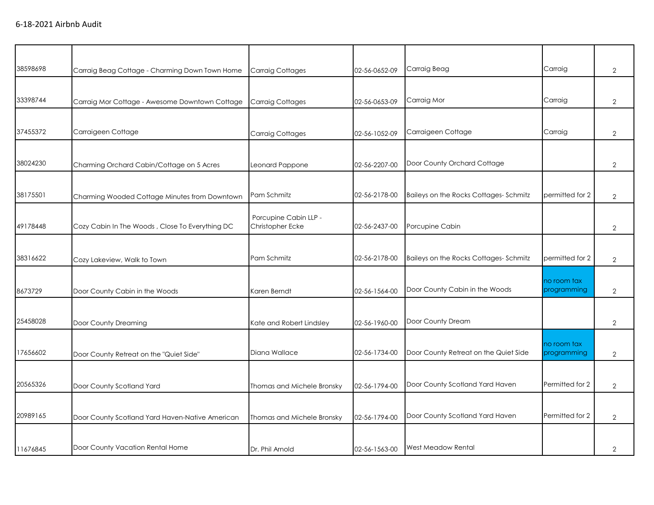| 38598698 | Carraig Beag Cottage - Charming Down Town Home  | Carraig Cottages                          | 02-56-0652-09 | Carraig Beag                          | Carraig                    | $\overline{2}$ |
|----------|-------------------------------------------------|-------------------------------------------|---------------|---------------------------------------|----------------------------|----------------|
| 33398744 | Carraig Mor Cottage - Awesome Downtown Cottage  | <b>Carraig Cottages</b>                   | 02-56-0653-09 | Carraig Mor                           | Carraig                    | $\overline{2}$ |
| 37455372 | Carraigeen Cottage                              | <b>Carraig Cottages</b>                   | 02-56-1052-09 | Carraigeen Cottage                    | Carraig                    | $\mathbf{2}$   |
| 38024230 | Charming Orchard Cabin/Cottage on 5 Acres       | Leonard Pappone                           | 02-56-2207-00 | Door County Orchard Cottage           |                            | $\overline{2}$ |
| 38175501 | Charming Wooded Cottage Minutes from Downtown   | Pam Schmitz                               | 02-56-2178-00 | Baileys on the Rocks Cottages-Schmitz | permitted for 2            | $\overline{2}$ |
| 49178448 | Cozy Cabin In The Woods, Close To Everything DC | Porcupine Cabin LLP -<br>Christopher Ecke | 02-56-2437-00 | Porcupine Cabin                       |                            | $\overline{2}$ |
| 38316622 | Cozy Lakeview, Walk to Town                     | Pam Schmitz                               | 02-56-2178-00 | Baileys on the Rocks Cottages-Schmitz | permitted for 2            | $\overline{2}$ |
| 8673729  | Door County Cabin in the Woods                  | Karen Berndt                              | 02-56-1564-00 | Door County Cabin in the Woods        | no room tax<br>programming | $\overline{2}$ |
| 25458028 | Door County Dreaming                            | Kate and Robert Lindsley                  | 02-56-1960-00 | Door County Dream                     |                            | $\overline{2}$ |
| 17656602 | Door County Retreat on the "Quiet Side"         | Diana Wallace                             | 02-56-1734-00 | Door County Retreat on the Quiet Side | no room tax<br>programming | $\overline{2}$ |
| 20565326 | Door County Scotland Yard                       | Thomas and Michele Bronsky                | 02-56-1794-00 | Door County Scotland Yard Haven       | Permitted for 2            | $\overline{2}$ |
| 20989165 | Door County Scotland Yard Haven-Native American | Thomas and Michele Bronsky                | 02-56-1794-00 | Door County Scotland Yard Haven       | Permitted for 2            | $\overline{2}$ |
| 11676845 | Door County Vacation Rental Home                | Dr. Phil Arnold                           | 02-56-1563-00 | <b>West Meadow Rental</b>             |                            | $\overline{2}$ |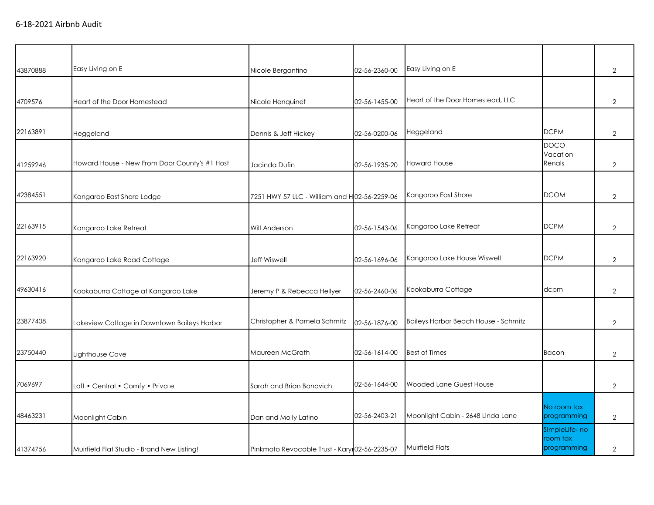| 43870888 | Easy Living on E                              | Nicole Bergantino                              | 02-56-2360-00 | Easy Living on E                            |                                   | $\overline{2}$ |
|----------|-----------------------------------------------|------------------------------------------------|---------------|---------------------------------------------|-----------------------------------|----------------|
|          |                                               |                                                |               |                                             |                                   |                |
| 4709576  | Heart of the Door Homestead                   | Nicole Henquinet                               | 02-56-1455-00 | Heart of the Door Homestead, LLC            |                                   | $\overline{2}$ |
|          |                                               |                                                |               |                                             |                                   |                |
| 22163891 | Heggeland                                     | Dennis & Jeff Hickey                           | 02-56-0200-06 | Heggeland                                   | <b>DCPM</b>                       | $\overline{2}$ |
| 41259246 | Howard House - New From Door County's #1 Host | Jacinda Dufin                                  | 02-56-1935-20 | <b>Howard House</b>                         | <b>DOCO</b><br>Vacation<br>Renals | $\overline{2}$ |
|          |                                               |                                                |               |                                             |                                   |                |
| 42384551 | Kangaroo East Shore Lodge                     | 7251 HWY 57 LLC - William and H02-56-2259-06   |               | Kangaroo East Shore                         | <b>DCOM</b>                       | $\overline{2}$ |
| 22163915 | Kangaroo Lake Retreat                         | Will Anderson                                  | 02-56-1543-06 | Kangaroo Lake Retreat                       | <b>DCPM</b>                       | $\overline{2}$ |
|          |                                               |                                                |               |                                             |                                   |                |
| 22163920 | Kangaroo Lake Road Cottage                    | <b>Jeff Wiswell</b>                            | 02-56-1696-06 | Kangaroo Lake House Wiswell                 | <b>DCPM</b>                       | $\overline{2}$ |
|          |                                               |                                                |               |                                             |                                   |                |
| 49630416 | Kookaburra Cottage at Kangaroo Lake           | Jeremy P & Rebecca Hellyer                     | 02-56-2460-06 | Kookaburra Cottage                          | dcpm                              | $\overline{2}$ |
| 23877408 | Lakeview Cottage in Downtown Baileys Harbor   | Christopher & Pamela Schmitz                   | 02-56-1876-00 | <b>Baileys Harbor Beach House - Schmitz</b> |                                   | $\overline{2}$ |
|          |                                               |                                                |               |                                             |                                   |                |
| 23750440 | Lighthouse Cove                               | Maureen McGrath                                | 02-56-1614-00 | <b>Best of Times</b>                        | Bacon                             | $\overline{2}$ |
|          |                                               |                                                |               |                                             |                                   |                |
| 7069697  | Loft • Central • Comfy • Private              | Sarah and Brian Bonovich                       | 02-56-1644-00 | Wooded Lane Guest House                     |                                   | $\overline{2}$ |
| 48463231 | Moonlight Cabin                               | Dan and Molly Latino                           | 02-56-2403-21 | Moonlight Cabin - 2648 Linda Lane           | No room tax<br>programming        | $\overline{2}$ |
|          |                                               |                                                |               |                                             | SImpleLife- no                    |                |
| 41374756 | Muirfield Flat Studio - Brand New Listing!    | Pinkmoto Revocable Trust - Karyı 02-56-2235-07 |               | Muirfield Flats                             | room tax<br>programming           | $\overline{2}$ |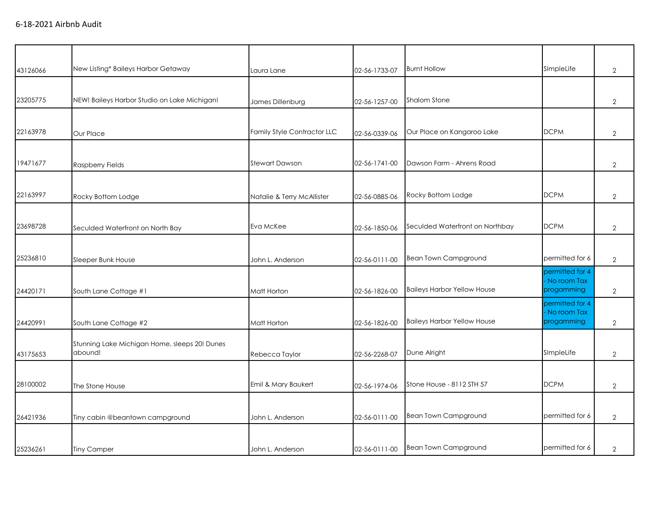| 43126066 | New Listing* Baileys Harbor Getaway           | Laura Lane                  | 02-56-1733-07 | <b>Burnt Hollow</b>                | SImpleLife                | $\mathbf{2}$   |
|----------|-----------------------------------------------|-----------------------------|---------------|------------------------------------|---------------------------|----------------|
|          |                                               |                             |               |                                    |                           |                |
| 23205775 | NEW! Baileys Harbor Studio on Lake Michigan!  | James Dillenburg            | 02-56-1257-00 | Shalom Stone                       |                           | $\mathbf{2}$   |
|          |                                               |                             |               |                                    |                           |                |
| 22163978 | Our Place                                     | Family Style Contractor LLC | 02-56-0339-06 | Our Place on Kangaroo Lake         | <b>DCPM</b>               | $\mathbf{2}$   |
|          |                                               |                             |               |                                    |                           |                |
| 19471677 | <b>Raspberry Fields</b>                       | <b>Stewart Dawson</b>       | 02-56-1741-00 | Dawson Farm - Ahrens Road          |                           | $\mathbf{2}$   |
|          |                                               |                             |               |                                    |                           |                |
| 22163997 | Rocky Bottom Lodge                            | Natalie & Terry McAllister  | 02-56-0885-06 | Rocky Bottom Lodge                 | <b>DCPM</b>               | $\mathbf{2}$   |
|          |                                               |                             |               |                                    |                           |                |
| 23698728 | Seculded Waterfront on North Bay              | Eva McKee                   | 02-56-1850-06 | Seculded Waterfront on Northbay    | <b>DCPM</b>               | $\mathbf{2}$   |
|          |                                               |                             |               |                                    |                           |                |
| 25236810 | Sleeper Bunk House                            | John L. Anderson            | 02-56-0111-00 | <b>Bean Town Campground</b>        | permitted for 6           | $\sqrt{2}$     |
|          |                                               |                             |               |                                    | permitted for 4           |                |
|          |                                               |                             |               | <b>Baileys Harbor Yellow House</b> | No room Tax<br>progamming |                |
| 24420171 | South Lane Cottage #1                         | Matt Horton                 | 02-56-1826-00 |                                    | permitted for 4           | $\mathbf{2}$   |
|          |                                               |                             |               |                                    | No room Tax               |                |
| 24420991 | South Lane Cottage #2                         | Matt Horton                 | 02-56-1826-00 | <b>Baileys Harbor Yellow House</b> | progamming                | 2              |
|          | Stunning Lake Michigan Home, sleeps 20! Dunes |                             |               |                                    |                           |                |
| 43175653 | abound!                                       | Rebecca Taylor              | 02-56-2268-07 | Dune Alright                       | SImpleLife                | $\mathbf{2}$   |
|          |                                               |                             |               |                                    |                           |                |
| 28100002 | The Stone House                               | Emil & Mary Baukert         | 02-56-1974-06 | Stone House - 8112 STH 57          | <b>DCPM</b>               | $\mathbf{2}$   |
|          |                                               |                             |               |                                    |                           |                |
| 26421936 | Tiny cabin @beantown campground               | John L. Anderson            | 02-56-0111-00 | <b>Bean Town Campground</b>        | permitted for 6           | $\overline{2}$ |
|          |                                               |                             |               |                                    |                           |                |
| 25236261 | <b>Tiny Camper</b>                            | John L. Anderson            | 02-56-0111-00 | <b>Bean Town Campground</b>        | permitted for 6           | $\overline{2}$ |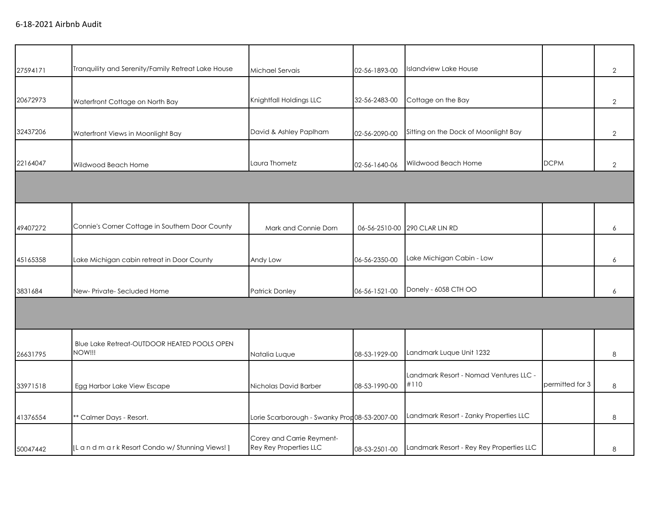| 27594171 | Tranquility and Serenity/Family Retreat Lake House     | Michael Servais                                     | 02-56-1893-00 | <b>Islandview Lake House</b>                   |                 | $\overline{2}$ |
|----------|--------------------------------------------------------|-----------------------------------------------------|---------------|------------------------------------------------|-----------------|----------------|
| 20672973 | Waterfront Cottage on North Bay                        | Knightfall Holdings LLC                             | 32-56-2483-00 | Cottage on the Bay                             |                 | $\overline{2}$ |
| 32437206 | Waterfront Views in Moonlight Bay                      | David & Ashley Paplham                              | 02-56-2090-00 | Sitting on the Dock of Moonlight Bay           |                 | $\mathbf{2}$   |
| 22164047 | Wildwood Beach Home                                    | Laura Thometz                                       | 02-56-1640-06 | Wildwood Beach Home                            | <b>DCPM</b>     | $\mathbf{2}$   |
|          |                                                        |                                                     |               |                                                |                 |                |
| 49407272 | Connie's Corner Cottage in Southern Door County        | Mark and Connie Dorn                                |               | 06-56-2510-00 290 CLAR LIN RD                  |                 | 6              |
| 45165358 | Lake Michigan cabin retreat in Door County             | Andy Low                                            | 06-56-2350-00 | Lake Michigan Cabin - Low                      |                 | 6              |
| 3831684  | New-Private-Secluded Home                              | <b>Patrick Donley</b>                               | 06-56-1521-00 | Donely - 6058 CTH OO                           |                 | 6              |
|          |                                                        |                                                     |               |                                                |                 |                |
| 26631795 | Blue Lake Retreat-OUTDOOR HEATED POOLS OPEN<br>NOW !!! | Natalia Luque                                       | 08-53-1929-00 | Landmark Luque Unit 1232                       |                 | 8              |
| 33971518 | Egg Harbor Lake View Escape                            | Nicholas David Barber                               | 08-53-1990-00 | Landmark Resort - Nomad Ventures LLC -<br>#110 | permitted for 3 | 8              |
| 41376554 | ** Calmer Days - Resort.                               | Lorie Scarborough - Swanky Prop08-53-2007-00        |               | Landmark Resort - Zanky Properties LLC         |                 | 8              |
| 50047442 | [L a n d m a r k Resort Condo w/ Stunning Views!]      | Corey and Carrie Reyment-<br>Rey Rey Properties LLC | 08-53-2501-00 | Landmark Resort - Rey Rey Properties LLC       |                 | 8              |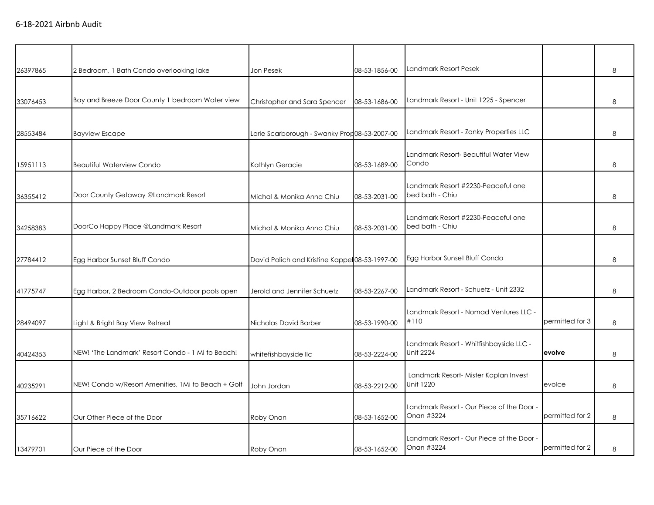| 26397865 | 2 Bedroom, 1 Bath Condo overlooking lake           | Jon Pesek                                     | 08-53-1856-00 | Landmark Resort Pesek                                   |                 | 8 |
|----------|----------------------------------------------------|-----------------------------------------------|---------------|---------------------------------------------------------|-----------------|---|
| 33076453 | Bay and Breeze Door County 1 bedroom Water view    | Christopher and Sara Spencer                  | 08-53-1686-00 | Landmark Resort - Unit 1225 - Spencer                   |                 | 8 |
| 28553484 | <b>Bayview Escape</b>                              | Lorie Scarborough - Swanky Prop08-53-2007-00  |               | Landmark Resort - Zanky Properties LLC                  |                 | 8 |
| 15951113 | <b>Beautiful Waterview Condo</b>                   | Kathlyn Geracie                               | 08-53-1689-00 | Landmark Resort- Beautiful Water View<br>Condo          |                 | 8 |
| 36355412 | Door County Getaway @Landmark Resort               | Michal & Monika Anna Chiu                     | 08-53-2031-00 | Landmark Resort #2230-Peaceful one<br>bed bath - Chiu   |                 | 8 |
| 34258383 | DoorCo Happy Place @Landmark Resort                | Michal & Monika Anna Chiu                     | 08-53-2031-00 | Landmark Resort #2230-Peaceful one<br>bed bath - Chiu   |                 | 8 |
| 27784412 | Egg Harbor Sunset Bluff Condo                      | David Polich and Kristine Kappe 08-53-1997-00 |               | Egg Harbor Sunset Bluff Condo                           |                 | 8 |
| 41775747 | Egg Harbor, 2 Bedroom Condo-Outdoor pools open     | Jerold and Jennifer Schuetz                   | 08-53-2267-00 | Landmark Resort - Schuetz - Unit 2332                   |                 | 8 |
| 28494097 | Light & Bright Bay View Retreat                    | Nicholas David Barber                         | 08-53-1990-00 | Landmark Resort - Nomad Ventures LLC -<br>#110          | permitted for 3 | 8 |
| 40424353 | NEW! 'The Landmark' Resort Condo - 1 Mi to Beach!  | whitefishbayside llc                          | 08-53-2224-00 | Landmark Resort - Whitfishbayside LLC -<br>Unit 2224    | evolve          | 8 |
| 40235291 | NEW! Condo w/Resort Amenities, 1Mi to Beach + Golf | John Jordan                                   | 08-53-2212-00 | Landmark Resort- Mister Kaplan Invest<br>Unit 1220      | evolce          | 8 |
| 35716622 | Our Other Piece of the Door                        | Roby Onan                                     | 08-53-1652-00 | Landmark Resort - Our Piece of the Door -<br>Onan #3224 | permitted for 2 | 8 |
| 13479701 | Our Piece of the Door                              | Roby Onan                                     | 08-53-1652-00 | Landmark Resort - Our Piece of the Door -<br>Onan #3224 | permitted for 2 | 8 |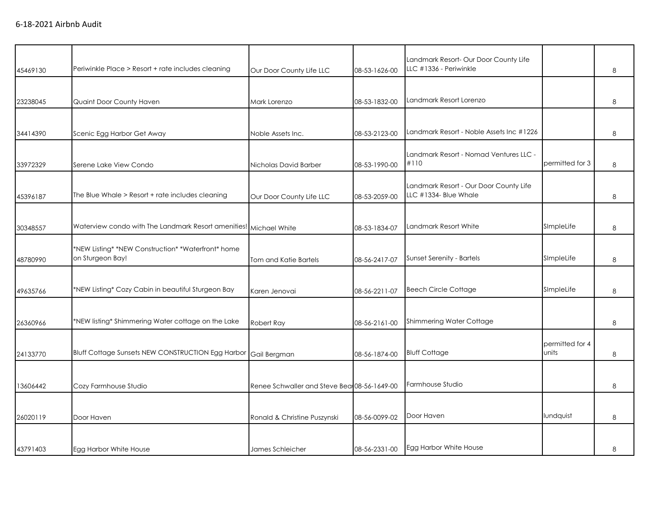| 45469130 | Periwinkle Place > Resort + rate includes cleaning                     | Our Door County Life LLC                     | 08-53-1626-00 | Landmark Resort- Our Door County Life<br>LLC #1336 - Periwinkle |                          | 8 |
|----------|------------------------------------------------------------------------|----------------------------------------------|---------------|-----------------------------------------------------------------|--------------------------|---|
| 23238045 | Quaint Door County Haven                                               | Mark Lorenzo                                 | 08-53-1832-00 | Landmark Resort Lorenzo                                         |                          | 8 |
| 34414390 | Scenic Egg Harbor Get Away                                             | Noble Assets Inc.                            | 08-53-2123-00 | Landmark Resort - Noble Assets Inc #1226                        |                          | 8 |
| 33972329 | Serene Lake View Condo                                                 | Nicholas David Barber                        | 08-53-1990-00 | Landmark Resort - Nomad Ventures LLC -<br>#110                  | permitted for 3          | 8 |
| 45396187 | The Blue Whale > Resort + rate includes cleaning                       | Our Door County Life LLC                     | 08-53-2059-00 | Landmark Resort - Our Door County Life<br>LLC #1334- Blue Whale |                          | 8 |
| 30348557 | Waterview condo with The Landmark Resort amenities! Michael White      |                                              | 08-53-1834-07 | Landmark Resort White                                           | SImpleLife               | 8 |
| 48780990 | *NEW Listing* *NEW Construction* *Waterfront* home<br>on Sturgeon Bay! | Tom and Katie Bartels                        | 08-56-2417-07 | <b>Sunset Serenity - Bartels</b>                                | SImpleLife               | 8 |
| 49635766 | *NEW Listing* Cozy Cabin in beautiful Sturgeon Bay                     | Karen Jenovai                                | 08-56-2211-07 | <b>Beech Circle Cottage</b>                                     | SImpleLife               | 8 |
| 26360966 | *NEW listing* Shimmering Water cottage on the Lake                     | Robert Ray                                   | 08-56-2161-00 | Shimmering Water Cottage                                        |                          | 8 |
| 24133770 | Bluff Cottage Sunsets NEW CONSTRUCTION Egg Harbor Gail Bergman         |                                              | 08-56-1874-00 | <b>Bluff Cottage</b>                                            | permitted for 4<br>units | 8 |
| 13606442 | Cozy Farmhouse Studio                                                  | Renee Schwaller and Steve Beat 08-56-1649-00 |               | Farmhouse Studio                                                |                          | 8 |
| 26020119 | Door Haven                                                             | Ronald & Christine Puszynski                 | 08-56-0099-02 | Door Haven                                                      | lundquist                | 8 |
| 43791403 | Egg Harbor White House                                                 | James Schleicher                             | 08-56-2331-00 | Egg Harbor White House                                          |                          | 8 |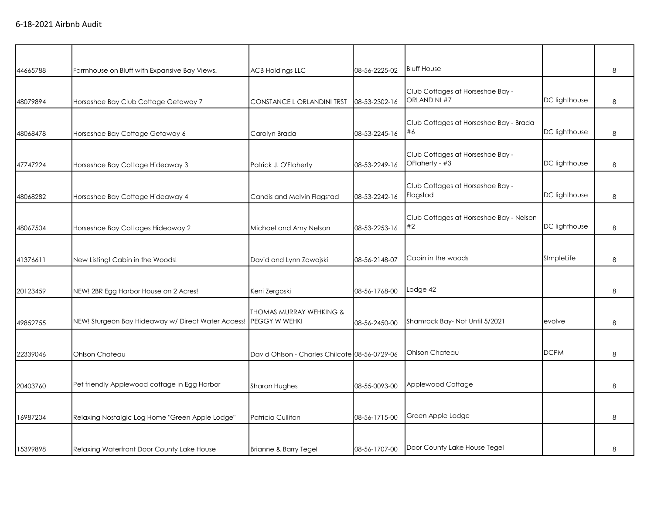| 44665788 | Farmhouse on Bluff with Expansive Bay Views!       | <b>ACB Holdings LLC</b>                       | 08-56-2225-02 | <b>Bluff House</b>                                 |               | 8 |
|----------|----------------------------------------------------|-----------------------------------------------|---------------|----------------------------------------------------|---------------|---|
| 48079894 | Horseshoe Bay Club Cottage Getaway 7               | CONSTANCE L ORLANDINI TRST                    | 08-53-2302-16 | Club Cottages at Horseshoe Bay -<br>ORLANDINI #7   | DC lighthouse | 8 |
| 48068478 | Horseshoe Bay Cottage Getaway 6                    | Carolyn Brada                                 | 08-53-2245-16 | Club Cottages at Horseshoe Bay - Brada<br>#6       | DC lighthouse | 8 |
| 47747224 | Horseshoe Bay Cottage Hideaway 3                   | Patrick J. O'Flaherty                         | 08-53-2249-16 | Club Cottages at Horseshoe Bay -<br>OFlaherty - #3 | DC lighthouse | 8 |
| 48068282 | Horseshoe Bay Cottage Hideaway 4                   | Candis and Melvin Flagstad                    | 08-53-2242-16 | Club Cottages at Horseshoe Bay -<br>Flagstad       | DC lighthouse | 8 |
| 48067504 | Horseshoe Bay Cottages Hideaway 2                  | Michael and Amy Nelson                        | 08-53-2253-16 | Club Cottages at Horseshoe Bay - Nelson<br>#2      | DC lighthouse | 8 |
| 41376611 | New Listing! Cabin in the Woods!                   | David and Lynn Zawojski                       | 08-56-2148-07 | Cabin in the woods                                 | SImpleLife    | 8 |
| 20123459 | NEW! 2BR Egg Harbor House on 2 Acres!              | Kerri Zergoski                                | 08-56-1768-00 | Lodge 42                                           |               | 8 |
| 49852755 | NEW! Sturgeon Bay Hideaway w/ Direct Water Access! | THOMAS MURRAY WEHKING &<br>PEGGY W WEHKI      | 08-56-2450-00 | Shamrock Bay-Not Until 5/2021                      | evolve        | 8 |
| 22339046 | Ohlson Chateau                                     | David Ohlson - Charles Chilcote 08-56-0729-06 |               | Ohlson Chateau                                     | <b>DCPM</b>   | 8 |
| 20403760 | Pet friendly Applewood cottage in Egg Harbor       | Sharon Hughes                                 | 08-55-0093-00 | Applewood Cottage                                  |               | 8 |
| 16987204 | Relaxing Nostalgic Log Home "Green Apple Lodge"    | Patricia Culliton                             | 08-56-1715-00 | Green Apple Lodge                                  |               | 8 |
| 15399898 | Relaxing Waterfront Door County Lake House         | Brianne & Barry Tegel                         | 08-56-1707-00 | Door County Lake House Tegel                       |               | 8 |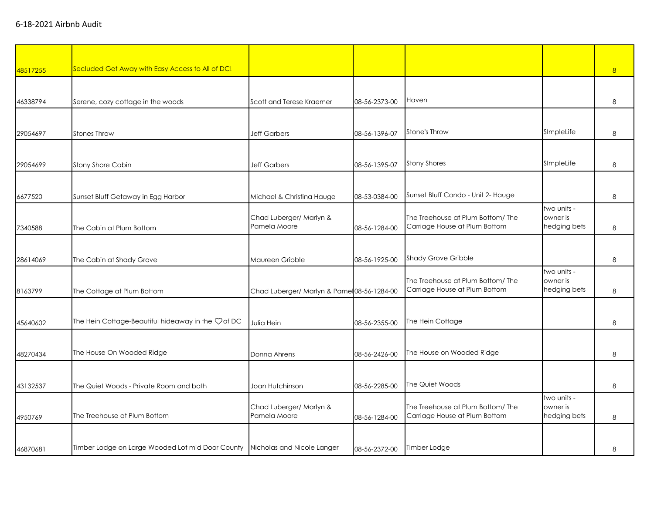| 48517255 | Secluded Get Away with Easy Access to All of DC!                              |                                            |               |                                                                    |                                         | 8 |
|----------|-------------------------------------------------------------------------------|--------------------------------------------|---------------|--------------------------------------------------------------------|-----------------------------------------|---|
|          |                                                                               |                                            |               |                                                                    |                                         |   |
| 46338794 | Serene, cozy cottage in the woods                                             | Scott and Terese Kraemer                   | 08-56-2373-00 | Haven                                                              |                                         | 8 |
|          |                                                                               |                                            |               |                                                                    |                                         |   |
| 29054697 | <b>Stones Throw</b>                                                           | <b>Jeff Garbers</b>                        | 08-56-1396-07 | Stone's Throw                                                      | SImpleLife                              | 8 |
|          |                                                                               |                                            |               |                                                                    |                                         |   |
| 29054699 | Stony Shore Cabin                                                             | <b>Jeff Garbers</b>                        | 08-56-1395-07 | <b>Stony Shores</b>                                                | SImpleLife                              | 8 |
|          |                                                                               |                                            |               |                                                                    |                                         |   |
| 6677520  | Sunset Bluff Getaway in Egg Harbor                                            | Michael & Christina Hauge                  | 08-53-0384-00 | Sunset Bluff Condo - Unit 2- Hauge                                 |                                         | 8 |
| 7340588  | The Cabin at Plum Bottom                                                      | Chad Luberger/ Marlyn &<br>Pamela Moore    | 08-56-1284-00 | The Treehouse at Plum Bottom/ The<br>Carriage House at Plum Bottom | two units -<br>owner is<br>hedging bets | 8 |
|          |                                                                               |                                            |               |                                                                    |                                         |   |
| 28614069 | The Cabin at Shady Grove                                                      | Maureen Gribble                            | 08-56-1925-00 | <b>Shady Grove Gribble</b>                                         |                                         | 8 |
| 8163799  | The Cottage at Plum Bottom                                                    | Chad Luberger/ Marlyn & Pame 08-56-1284-00 |               | The Treehouse at Plum Bottom/The<br>Carriage House at Plum Bottom  | two units -<br>owner is<br>hedging bets | 8 |
|          |                                                                               |                                            |               |                                                                    |                                         |   |
| 45640602 | The Hein Cottage-Beautiful hideaway in the Ç of DC                            | Julia Hein                                 | 08-56-2355-00 | The Hein Cottage                                                   |                                         | 8 |
|          |                                                                               |                                            |               |                                                                    |                                         |   |
| 48270434 | The House On Wooded Ridge                                                     | Donna Ahrens                               | 08-56-2426-00 | The House on Wooded Ridge                                          |                                         | 8 |
|          |                                                                               |                                            |               |                                                                    |                                         |   |
| 43132537 | The Quiet Woods - Private Room and bath                                       | Joan Hutchinson                            | 08-56-2285-00 | The Quiet Woods                                                    |                                         | 8 |
| 4950769  | The Treehouse at Plum Bottom                                                  | Chad Luberger/ Marlyn &<br>Pamela Moore    | 08-56-1284-00 | The Treehouse at Plum Bottom/ The<br>Carriage House at Plum Bottom | two units -<br>owner is<br>hedging bets | 8 |
|          |                                                                               |                                            |               |                                                                    |                                         |   |
| 46870681 | Timber Lodge on Large Wooded Lot mid Door County   Nicholas and Nicole Langer |                                            | 08-56-2372-00 | Timber Lodge                                                       |                                         | 8 |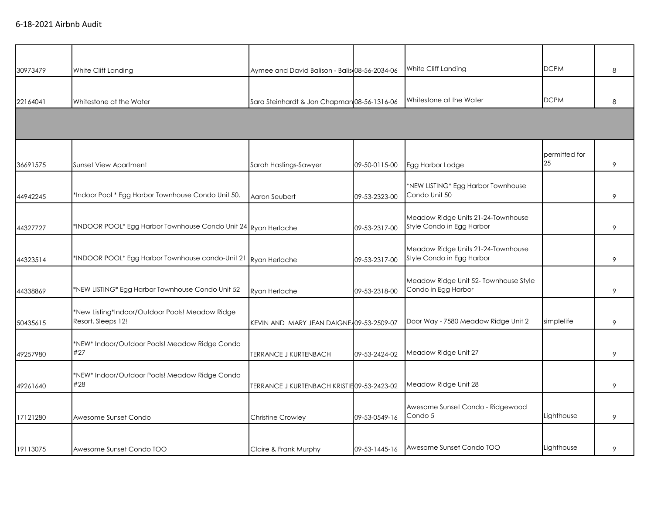| 30973479 | White Cliff Landing                                                   | Aymee and David Balison - Balis 08-56-2034-06 |               | White Cliff Landing                                             | <b>DCPM</b>         | 8 |
|----------|-----------------------------------------------------------------------|-----------------------------------------------|---------------|-----------------------------------------------------------------|---------------------|---|
| 22164041 | Whitestone at the Water                                               | Sara Steinhardt & Jon Chapman 08-56-1316-06   |               | Whitestone at the Water                                         | <b>DCPM</b>         | 8 |
|          |                                                                       |                                               |               |                                                                 |                     |   |
| 36691575 | Sunset View Apartment                                                 | Sarah Hastings-Sawyer                         | 09-50-0115-00 | Egg Harbor Lodge                                                | permitted for<br>25 | 9 |
| 44942245 | *Indoor Pool * Egg Harbor Townhouse Condo Unit 50.                    | Aaron Seubert                                 | 09-53-2323-00 | *NEW LISTING* Egg Harbor Townhouse<br>Condo Unit 50             |                     | 9 |
| 44327727 | *INDOOR POOL* Egg Harbor Townhouse Condo Unit 24 Ryan Herlache        |                                               | 09-53-2317-00 | Meadow Ridge Units 21-24-Townhouse<br>Style Condo in Egg Harbor |                     | 9 |
| 44323514 | *INDOOR POOL* Egg Harbor Townhouse condo-Unit 21                      | Ryan Herlache                                 | 09-53-2317-00 | Meadow Ridge Units 21-24-Townhouse<br>Style Condo in Egg Harbor |                     | 9 |
| 44338869 | *NEW LISTING* Egg Harbor Townhouse Condo Unit 52                      | Ryan Herlache                                 | 09-53-2318-00 | Meadow Ridge Unit 52- Townhouse Style<br>Condo in Egg Harbor    |                     | 9 |
| 50435615 | *New Listing*Indoor/Outdoor Pools! Meadow Ridge<br>Resort, Sleeps 12! | KEVIN AND MARY JEAN DAIGNE 109-53-2509-07     |               | Door Way - 7580 Meadow Ridge Unit 2                             | simplelife          | 9 |
| 49257980 | *NEW* Indoor/Outdoor Pools! Meadow Ridge Condo<br>#27                 | <b>TERRANCE J KURTENBACH</b>                  | 09-53-2424-02 | Meadow Ridge Unit 27                                            |                     | 9 |
| 49261640 | *NEW* Indoor/Outdoor Pools! Meadow Ridge Condo<br>#28                 | TERRANCE J KURTENBACH KRISTIE 09-53-2423-02   |               | Meadow Ridge Unit 28                                            |                     | 9 |
| 17121280 | Awesome Sunset Condo                                                  | <b>Christine Crowley</b>                      | 09-53-0549-16 | Awesome Sunset Condo - Ridgewood<br>Condo 5                     | Lighthouse          | 9 |
| 19113075 | Awesome Sunset Condo TOO                                              | Claire & Frank Murphy                         | 09-53-1445-16 | Awesome Sunset Condo TOO                                        | Lighthouse          | 9 |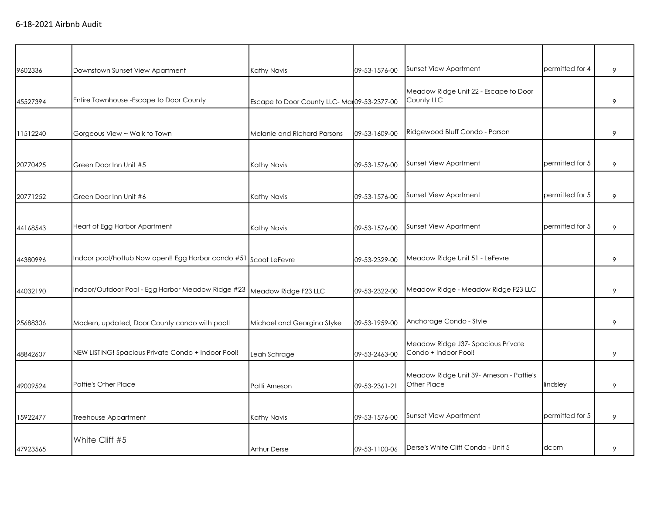| 9602336  | Downstown Sunset View Apartment                                        | Kathy Navis                                 | 09-53-1576-00 | Sunset View Apartment                                      | permitted for 4 | 9 |
|----------|------------------------------------------------------------------------|---------------------------------------------|---------------|------------------------------------------------------------|-----------------|---|
| 45527394 | Entire Townhouse - Escape to Door County                               | Escape to Door County LLC-Mai 09-53-2377-00 |               | Meadow Ridge Unit 22 - Escape to Door<br>County LLC        |                 | 9 |
| 11512240 | Gorgeous View ~ Walk to Town                                           | Melanie and Richard Parsons                 | 09-53-1609-00 | Ridgewood Bluff Condo - Parson                             |                 | 9 |
| 20770425 | Green Door Inn Unit #5                                                 | Kathy Navis                                 | 09-53-1576-00 | Sunset View Apartment                                      | permitted for 5 | 9 |
| 20771252 | Green Door Inn Unit #6                                                 | Kathy Navis                                 | 09-53-1576-00 | Sunset View Apartment                                      | permitted for 5 | 9 |
| 44168543 | Heart of Egg Harbor Apartment                                          | Kathy Navis                                 | 09-53-1576-00 | Sunset View Apartment                                      | permitted for 5 | 9 |
| 44380996 | Indoor pool/hottub Now open!! Egg Harbor condo #51 Scoot LeFevre       |                                             | 09-53-2329-00 | Meadow Ridge Unit 51 - LeFevre                             |                 | 9 |
| 44032190 | Indoor/Outdoor Pool - Egg Harbor Meadow Ridge #23 Meadow Ridge F23 LLC |                                             | 09-53-2322-00 | Meadow Ridge - Meadow Ridge F23 LLC                        |                 | 9 |
| 25688306 | Modern, updated, Door County condo with pool!                          | Michael and Georgina Styke                  | 09-53-1959-00 | Anchorage Condo - Style                                    |                 | 9 |
| 48842607 | NEW LISTING! Spacious Private Condo + Indoor Pool!                     | Leah Schrage                                | 09-53-2463-00 | Meadow Ridge J37- Spacious Private<br>Condo + Indoor Pool! |                 | 9 |
| 49009524 | <b>Pattie's Other Place</b>                                            | Patti Arneson                               | 09-53-2361-21 | Meadow Ridge Unit 39- Arneson - Pattie's<br>Other Place    | lindsley        | 9 |
| 15922477 | Treehouse Appartment                                                   | Kathy Navis                                 | 09-53-1576-00 | Sunset View Apartment                                      | permitted for 5 | 9 |
| 47923565 | White Cliff #5                                                         | <b>Arthur Derse</b>                         | 09-53-1100-06 | Derse's White Cliff Condo - Unit 5                         | dcpm            | 9 |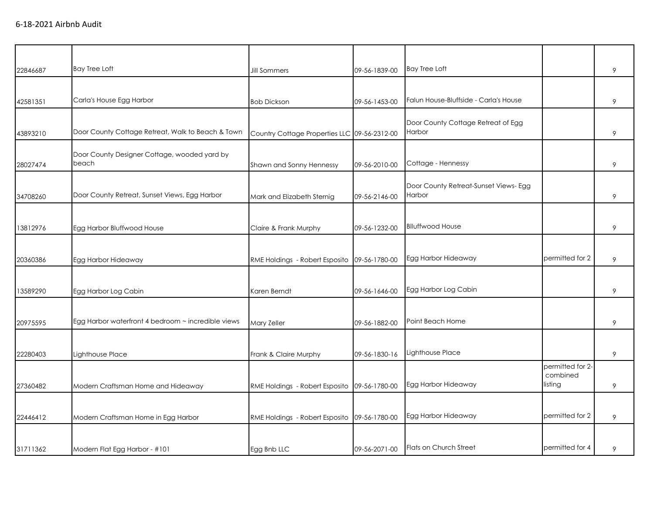| 22846687 | <b>Bay Tree Loft</b>                                  | <b>Jill Sommers</b>                          | 09-56-1839-00 | <b>Bay Tree Loft</b>                            |                                         | 9 |
|----------|-------------------------------------------------------|----------------------------------------------|---------------|-------------------------------------------------|-----------------------------------------|---|
|          |                                                       |                                              |               |                                                 |                                         |   |
| 42581351 | Carla's House Egg Harbor                              | <b>Bob Dickson</b>                           | 09-56-1453-00 | Falun House-Bluffside - Carla's House           |                                         | 9 |
| 43893210 | Door County Cottage Retreat, Walk to Beach & Town     | Country Cottage Properties LLC 09-56-2312-00 |               | Door County Cottage Retreat of Egg<br>Harbor    |                                         | 9 |
| 28027474 | Door County Designer Cottage, wooded yard by<br>beach | Shawn and Sonny Hennessy                     | 09-56-2010-00 | Cottage - Hennessy                              |                                         | 9 |
| 34708260 | Door County Retreat, Sunset Views, Egg Harbor         | Mark and Elizabeth Sternig                   | 09-56-2146-00 | Door County Retreat-Sunset Views- Egg<br>Harbor |                                         | 9 |
| 13812976 | Egg Harbor Bluffwood House                            | Claire & Frank Murphy                        | 09-56-1232-00 | <b>Blluffwood House</b>                         |                                         | 9 |
| 20360386 | Egg Harbor Hideaway                                   | RME Holdings - Robert Esposito               | 09-56-1780-00 | Egg Harbor Hideaway                             | permitted for 2                         | 9 |
| 13589290 | Egg Harbor Log Cabin                                  | Karen Berndt                                 | 09-56-1646-00 | Egg Harbor Log Cabin                            |                                         | 9 |
| 20975595 | Egg Harbor waterfront 4 bedroom ~ incredible views    | Mary Zeller                                  | 09-56-1882-00 | Point Beach Home                                |                                         | 9 |
| 22280403 | Lighthouse Place                                      | Frank & Claire Murphy                        | 09-56-1830-16 | Lighthouse Place                                |                                         | 9 |
| 27360482 | Modern Craftsman Home and Hideaway                    | RME Holdings - Robert Esposito               | 09-56-1780-00 | Egg Harbor Hideaway                             | permitted for 2-<br>combined<br>listing | 9 |
| 22446412 | Modern Craftsman Home in Egg Harbor                   | RME Holdings - Robert Esposito               | 09-56-1780-00 | Egg Harbor Hideaway                             | permitted for 2                         | 9 |
| 31711362 | Modern Flat Egg Harbor - #101                         | Egg Bnb LLC                                  | 09-56-2071-00 | Flats on Church Street                          | permitted for 4                         | 9 |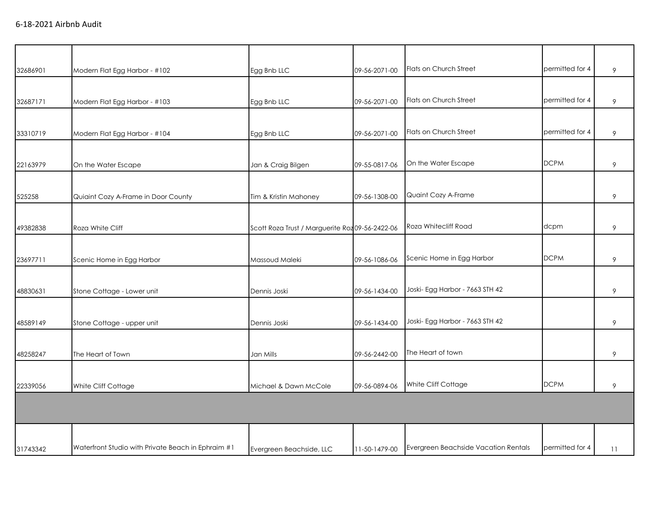| 32686901 | Modern Flat Egg Harbor - #102                      | Egg Bnb LLC                                     | 09-56-2071-00 | Flats on Church Street               | permitted for 4 | 9  |
|----------|----------------------------------------------------|-------------------------------------------------|---------------|--------------------------------------|-----------------|----|
|          |                                                    |                                                 |               |                                      |                 |    |
| 32687171 | Modern Flat Egg Harbor - #103                      | Egg Bnb LLC                                     | 09-56-2071-00 | Flats on Church Street               | permitted for 4 | 9  |
|          |                                                    |                                                 |               |                                      |                 |    |
| 33310719 | Modern Flat Egg Harbor - #104                      | Egg Bnb LLC                                     | 09-56-2071-00 | Flats on Church Street               | permitted for 4 | 9  |
|          |                                                    |                                                 |               |                                      |                 |    |
| 22163979 | On the Water Escape                                | Jan & Craig Bilgen                              | 09-55-0817-06 | On the Water Escape                  | <b>DCPM</b>     | 9  |
|          |                                                    |                                                 |               |                                      |                 |    |
| 525258   | Quiaint Cozy A-Frame in Door County                | Tim & Kristin Mahoney                           | 09-56-1308-00 | Quaint Cozy A-Frame                  |                 | 9  |
|          |                                                    |                                                 |               |                                      |                 |    |
| 49382838 | Roza White Cliff                                   | Scott Roza Trust / Marguerite Roz 09-56-2422-06 |               | Roza Whitecliff Road                 | dcpm            | 9  |
|          |                                                    |                                                 |               |                                      |                 |    |
| 23697711 | Scenic Home in Egg Harbor                          | Massoud Maleki                                  | 09-56-1086-06 | Scenic Home in Egg Harbor            | <b>DCPM</b>     | 9  |
|          |                                                    |                                                 |               |                                      |                 |    |
| 48830631 | Stone Cottage - Lower unit                         | Dennis Joski                                    | 09-56-1434-00 | Joski- Egg Harbor - 7663 STH 42      |                 | 9  |
|          |                                                    |                                                 |               |                                      |                 |    |
| 48589149 | Stone Cottage - upper unit                         | Dennis Joski                                    | 09-56-1434-00 | Joski- Egg Harbor - 7663 STH 42      |                 | 9  |
|          |                                                    |                                                 |               |                                      |                 |    |
| 48258247 | The Heart of Town                                  | Jan Mills                                       | 09-56-2442-00 | The Heart of town                    |                 | 9  |
|          |                                                    |                                                 |               |                                      |                 |    |
| 22339056 | White Cliff Cottage                                | Michael & Dawn McCole                           | 09-56-0894-06 | White Cliff Cottage                  | <b>DCPM</b>     | 9  |
|          |                                                    |                                                 |               |                                      |                 |    |
|          |                                                    |                                                 |               |                                      |                 |    |
|          |                                                    |                                                 |               |                                      |                 |    |
| 31743342 | Waterfront Studio with Private Beach in Ephraim #1 | Evergreen Beachside, LLC                        | 11-50-1479-00 | Evergreen Beachside Vacation Rentals | permitted for 4 | 11 |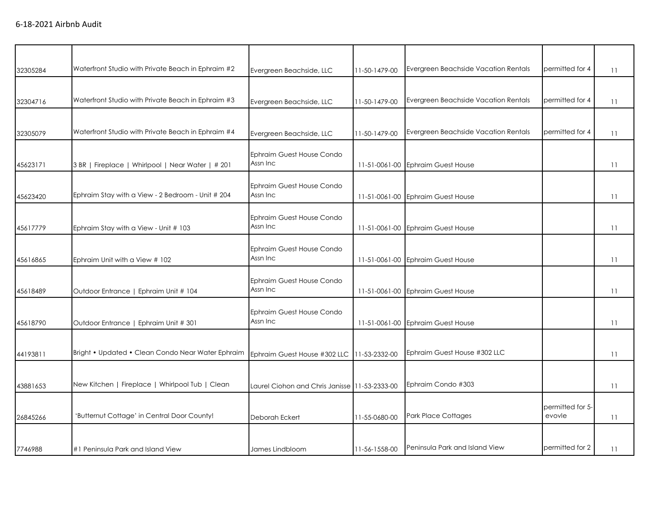| 32305284 | Waterfront Studio with Private Beach in Ephraim #2 | Evergreen Beachside, LLC                      | 11-50-1479-00 | Evergreen Beachside Vacation Rentals | permitted for 4            | 11              |
|----------|----------------------------------------------------|-----------------------------------------------|---------------|--------------------------------------|----------------------------|-----------------|
|          |                                                    |                                               |               |                                      |                            |                 |
| 32304716 | Waterfront Studio with Private Beach in Ephraim #3 | Evergreen Beachside, LLC                      | 11-50-1479-00 | Evergreen Beachside Vacation Rentals | permitted for 4            | 11              |
|          |                                                    |                                               |               |                                      |                            |                 |
| 32305079 | Waterfront Studio with Private Beach in Ephraim #4 | Evergreen Beachside, LLC                      | 11-50-1479-00 | Evergreen Beachside Vacation Rentals | permitted for 4            | 11              |
|          |                                                    |                                               |               |                                      |                            |                 |
|          | 3 BR   Fireplace   Whirlpool   Near Water   # 201  | Ephraim Guest House Condo<br>Assn Inc         |               |                                      |                            | $\overline{11}$ |
| 45623171 |                                                    |                                               |               | 11-51-0061-00 Ephraim Guest House    |                            |                 |
|          |                                                    | Ephraim Guest House Condo                     |               |                                      |                            |                 |
| 45623420 | Ephraim Stay with a View - 2 Bedroom - Unit # 204  | Assn Inc                                      | 11-51-0061-00 | <b>Ephraim Guest House</b>           |                            | $\overline{11}$ |
|          |                                                    | <b>Ephraim Guest House Condo</b>              |               |                                      |                            |                 |
| 45617779 | Ephraim Stay with a View - Unit # 103              | Assn Inc                                      |               | 11-51-0061-00 Ephraim Guest House    |                            | 11              |
|          |                                                    |                                               |               |                                      |                            |                 |
|          |                                                    | Ephraim Guest House Condo<br>Assn Inc         |               |                                      |                            |                 |
| 45616865 | Ephraim Unit with a View # 102                     |                                               |               | 11-51-0061-00 Ephraim Guest House    |                            | 11              |
|          |                                                    | Ephraim Guest House Condo                     |               |                                      |                            |                 |
| 45618489 | Outdoor Entrance   Ephraim Unit # 104              | Assn Inc                                      | 11-51-0061-00 | <b>Ephraim Guest House</b>           |                            | 11              |
|          |                                                    |                                               |               |                                      |                            |                 |
| 45618790 | Outdoor Entrance   Ephraim Unit # 301              | Ephraim Guest House Condo<br>Assn Inc         | 11-51-0061-00 | <b>Ephraim Guest House</b>           |                            | 11              |
|          |                                                    |                                               |               |                                      |                            |                 |
|          |                                                    |                                               |               |                                      |                            |                 |
| 44193811 | Bright • Updated • Clean Condo Near Water Ephraim  | Ephraim Guest House #302 LLC 11-53-2332-00    |               | Ephraim Guest House #302 LLC         |                            | 11              |
|          |                                                    |                                               |               |                                      |                            |                 |
| 43881653 | New Kitchen   Fireplace   Whirlpool Tub   Clean    | Laurel Ciohon and Chris Janisse 11-53-2333-00 |               | Ephraim Condo #303                   |                            | 11              |
|          |                                                    |                                               |               |                                      |                            |                 |
| 26845266 | 'Butternut Cottage' in Central Door County!        | Deborah Eckert                                | 11-55-0680-00 | <b>Park Place Cottages</b>           | permitted for 5-<br>evovle | 11              |
|          |                                                    |                                               |               |                                      |                            |                 |
|          |                                                    |                                               |               |                                      |                            |                 |
| 7746988  | #1 Peninsula Park and Island View                  | James Lindbloom                               | 11-56-1558-00 | Peninsula Park and Island View       | permitted for 2            | 11              |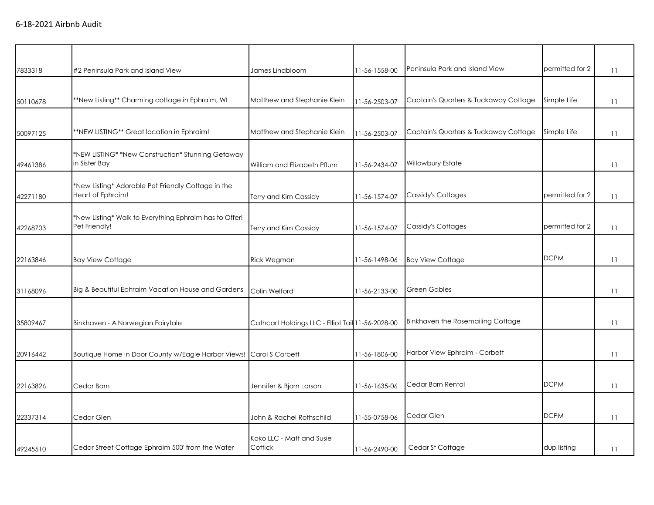| 7833318  | #2 Peninsula Park and Island View                                       | James Lindbloom                                   | 11-56-1558-00 | Peninsula Park and Island View        | permitted for 2 | 11 |
|----------|-------------------------------------------------------------------------|---------------------------------------------------|---------------|---------------------------------------|-----------------|----|
| 50110678 | **New Listing** Charming cottage in Ephraim, WI                         | Matthew and Stephanie Klein                       | 11-56-2503-07 | Captain's Quarters & Tuckaway Cottage | Simple Life     | 11 |
| 50097125 | **NEW LISTING** Great location in Ephraim!                              | Matthew and Stephanie Klein                       | 11-56-2503-07 | Captain's Quarters & Tuckaway Cottage | Simple Life     | 11 |
| 49461386 | *NEW LISTING* *New Construction* Stunning Getaway<br>in Sister Bay      | William and Elizabeth Pflum                       | 11-56-2434-07 | Willowbury Estate                     |                 | 11 |
| 42271180 | *New Listing* Adorable Pet Friendly Cottage in the<br>Heart of Ephraim! | Terry and Kim Cassidy                             | 11-56-1574-07 | Cassidy's Cottages                    | permitted for 2 | 11 |
| 42268703 | *New Listing* Walk to Everything Ephraim has to Offer!<br>Pet Friendly! | Terry and Kim Cassidy                             | 11-56-1574-07 | Cassidy's Cottages                    | permitted for 2 | 11 |
| 22163846 | <b>Bay View Cottage</b>                                                 | <b>Rick Wegman</b>                                | 11-56-1498-06 | <b>Bay View Cottage</b>               | <b>DCPM</b>     | 11 |
| 31168096 | Big & Beautiful Ephraim Vacation House and Gardens                      | Colin Welford                                     | 11-56-2133-00 | <b>Green Gables</b>                   |                 | 11 |
| 35809467 | Binkhaven - A Norwegian Fairytale                                       | Cathcart Holdings LLC - Elliot Tail 11-56-2028-00 |               | Binkhaven the Rosemailing Cottage     |                 | 11 |
| 20916442 | Boutique Home in Door County w/Eagle Harbor Views! Carol S Corbett      |                                                   | 11-56-1806-00 | Harbor View Ephraim - Corbett         |                 | 11 |
| 22163826 | Cedar Barn                                                              | Jennifer & Bjorn Larson                           | 11-56-1635-06 | Cedar Barn Rental                     | <b>DCPM</b>     | 11 |
| 22337314 | Cedar Glen                                                              | John & Rachel Rothschild                          | 11-55-0758-06 | Cedar Glen                            | <b>DCPM</b>     | 11 |
| 49245510 | Cedar Street Cottage Ephraim 500' from the Water                        | Koko LLC - Matt and Susie<br>Cottick              | 11-56-2490-00 | Cedar St Cottage                      | dup listing     | 11 |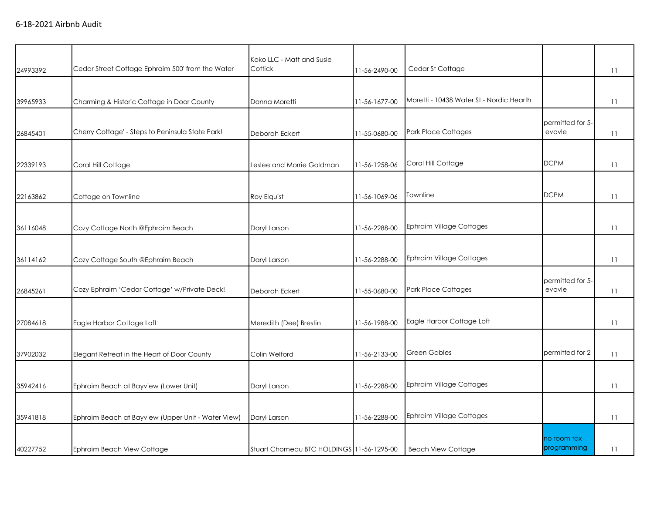|          |                                                    | Koko LLC - Matt and Susie                 |               |                                          |                            |                 |
|----------|----------------------------------------------------|-------------------------------------------|---------------|------------------------------------------|----------------------------|-----------------|
| 24993392 | Cedar Street Cottage Ephraim 500' from the Water   | Cottick                                   | 11-56-2490-00 | Cedar St Cottage                         |                            | 11              |
| 39965933 | Charming & Historic Cottage in Door County         | Donna Moretti                             | 11-56-1677-00 | Moretti - 10438 Water St - Nordic Hearth |                            | $\overline{11}$ |
| 26845401 | Cherry Cottage' - Steps to Peninsula State Park!   | Deborah Eckert                            | 11-55-0680-00 | <b>Park Place Cottages</b>               | permitted for 5-<br>evovle | 11              |
| 22339193 | Coral Hill Cottage                                 | Leslee and Morrie Goldman                 | 11-56-1258-06 | Coral Hill Cottage                       | <b>DCPM</b>                | $\overline{11}$ |
| 22163862 | Cottage on Townline                                | Roy Elquist                               | 11-56-1069-06 | Townline                                 | <b>DCPM</b>                | $\overline{11}$ |
| 36116048 | Cozy Cottage North @Ephraim Beach                  | Daryl Larson                              | 11-56-2288-00 | <b>Ephraim Village Cottages</b>          |                            | $\overline{11}$ |
| 36114162 | Cozy Cottage South @Ephraim Beach                  | Daryl Larson                              | 11-56-2288-00 | <b>Ephraim Village Cottages</b>          |                            | $\overline{11}$ |
| 26845261 | Cozy Ephraim 'Cedar Cottage' w/Private Deck!       | Deborah Eckert                            | 11-55-0680-00 | <b>Park Place Cottages</b>               | permitted for 5-<br>evovle | $\overline{11}$ |
| 27084618 | Eagle Harbor Cottage Loft                          | Meredith (Dee) Brestin                    | 11-56-1988-00 | Eagle Harbor Cottage Loft                |                            | $\overline{11}$ |
| 37902032 | Elegant Retreat in the Heart of Door County        | Colin Welford                             | 11-56-2133-00 | <b>Green Gables</b>                      | permitted for 2            | 11              |
| 35942416 | Ephraim Beach at Bayview (Lower Unit)              | Daryl Larson                              | 11-56-2288-00 | <b>Ephraim Village Cottages</b>          |                            | 11              |
| 35941818 | Ephraim Beach at Bayview (Upper Unit - Water View) | Daryl Larson                              | 11-56-2288-00 | <b>Ephraim Village Cottages</b>          |                            | $\overline{11}$ |
| 40227752 | Ephraim Beach View Cottage                         | Stuart Chomeau BTC HOLDINGS 11-56-1295-00 |               | <b>Beach View Cottage</b>                | no room tax<br>programming | $\overline{11}$ |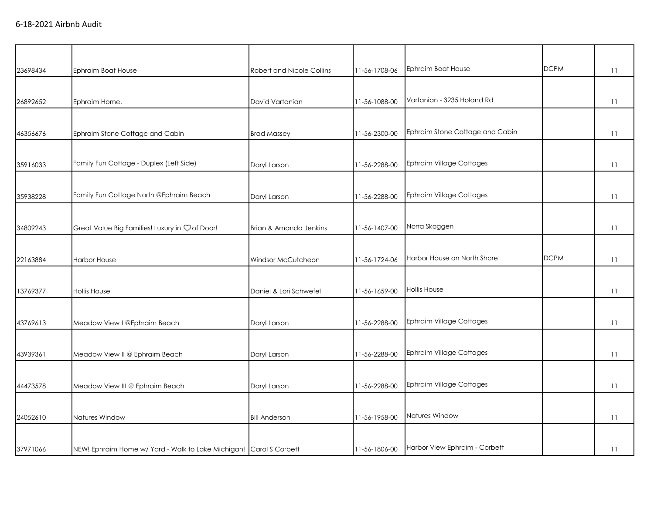| 23698434 | Ephraim Boat House                                                 | <b>Robert and Nicole Collins</b> | 11-56-1708-06 | Ephraim Boat House              | <b>DCPM</b> | 11              |
|----------|--------------------------------------------------------------------|----------------------------------|---------------|---------------------------------|-------------|-----------------|
|          |                                                                    |                                  |               |                                 |             |                 |
| 26892652 | Ephraim Home.                                                      | David Vartanian                  | 11-56-1088-00 | Vartanian - 3235 Holand Rd      |             | 11              |
|          |                                                                    |                                  |               |                                 |             |                 |
| 46356676 | Ephraim Stone Cottage and Cabin                                    | <b>Brad Massey</b>               | 11-56-2300-00 | Ephraim Stone Cottage and Cabin |             | $\overline{11}$ |
|          |                                                                    |                                  |               |                                 |             |                 |
| 35916033 | Family Fun Cottage - Duplex (Left Side)                            | Daryl Larson                     | 11-56-2288-00 | <b>Ephraim Village Cottages</b> |             | 11              |
|          |                                                                    |                                  |               |                                 |             |                 |
| 35938228 | Family Fun Cottage North @Ephraim Beach                            | Daryl Larson                     | 11-56-2288-00 | <b>Ephraim Village Cottages</b> |             | $\overline{11}$ |
|          |                                                                    |                                  |               |                                 |             |                 |
| 34809243 | Great Value Big Families! Luxury in Çof Door!                      | Brian & Amanda Jenkins           | 11-56-1407-00 | Norra Skoggen                   |             | $\overline{11}$ |
|          |                                                                    |                                  |               |                                 |             |                 |
| 22163884 | <b>Harbor House</b>                                                | Windsor McCutcheon               | 11-56-1724-06 | Harbor House on North Shore     | <b>DCPM</b> | 11              |
|          |                                                                    |                                  |               |                                 |             |                 |
| 13769377 | <b>Hollis House</b>                                                | Daniel & Lori Schwefel           | 11-56-1659-00 | <b>Hollis House</b>             |             | 11              |
|          |                                                                    |                                  |               |                                 |             |                 |
| 43769613 | Meadow View I @Ephraim Beach                                       | Daryl Larson                     | 11-56-2288-00 | Ephraim Village Cottages        |             | $\overline{11}$ |
|          |                                                                    |                                  |               |                                 |             |                 |
| 43939361 | Meadow View II @ Ephraim Beach                                     | Daryl Larson                     | 11-56-2288-00 | <b>Ephraim Village Cottages</b> |             | 11              |
|          |                                                                    |                                  |               |                                 |             |                 |
| 44473578 | Meadow View III @ Ephraim Beach                                    | Daryl Larson                     | 11-56-2288-00 | Ephraim Village Cottages        |             | 11              |
|          |                                                                    |                                  |               |                                 |             |                 |
| 24052610 | Natures Window                                                     | <b>Bill Anderson</b>             | 11-56-1958-00 | Natures Window                  |             | 11              |
|          |                                                                    |                                  |               |                                 |             |                 |
| 37971066 | NEW! Ephraim Home w/ Yard - Walk to Lake Michigan! Carol S Corbett |                                  | 11-56-1806-00 | Harbor View Ephraim - Corbett   |             | 11              |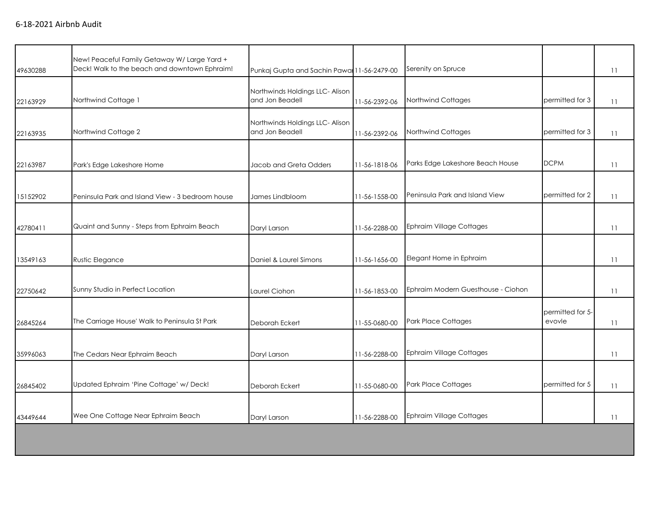| 49630288 | New! Peaceful Family Getaway W/ Large Yard +<br>Deck! Walk to the beach and downtown Ephraim! | Punkaj Gupta and Sachin Pawal 11-56-2479-00        |               | Serenity on Spruce                 |                            | 11              |
|----------|-----------------------------------------------------------------------------------------------|----------------------------------------------------|---------------|------------------------------------|----------------------------|-----------------|
| 22163929 | Northwind Cottage 1                                                                           | Northwinds Holdings LLC- Alison<br>and Jon Beadell | 11-56-2392-06 | Northwind Cottages                 | permitted for 3            | 11              |
| 22163935 | Northwind Cottage 2                                                                           | Northwinds Holdings LLC- Alison<br>and Jon Beadell | 11-56-2392-06 | Northwind Cottages                 | permitted for 3            | 11              |
| 22163987 | Park's Edge Lakeshore Home                                                                    | Jacob and Greta Odders                             | 11-56-1818-06 | Parks Edge Lakeshore Beach House   | <b>DCPM</b>                | 11              |
| 15152902 | Peninsula Park and Island View - 3 bedroom house                                              | James Lindbloom                                    | 11-56-1558-00 | Peninsula Park and Island View     | permitted for 2            | $\overline{11}$ |
| 42780411 | Quaint and Sunny - Steps from Ephraim Beach                                                   | Daryl Larson                                       | 11-56-2288-00 | Ephraim Village Cottages           |                            | $\overline{11}$ |
| 13549163 | Rustic Elegance                                                                               | Daniel & Laurel Simons                             | 11-56-1656-00 | Elegant Home in Ephraim            |                            | 11              |
| 22750642 | Sunny Studio in Perfect Location                                                              | Laurel Ciohon                                      | 11-56-1853-00 | Ephraim Modern Guesthouse - Ciohon |                            | 11              |
| 26845264 | The Carriage House' Walk to Peninsula St Park                                                 | Deborah Eckert                                     | 11-55-0680-00 | <b>Park Place Cottages</b>         | permitted for 5-<br>evovle | $\overline{11}$ |
| 35996063 | The Cedars Near Ephraim Beach                                                                 | Daryl Larson                                       | 11-56-2288-00 | Ephraim Village Cottages           |                            | $\overline{11}$ |
| 26845402 | Updated Ephraim 'Pine Cottage' w/ Deck!                                                       | Deborah Eckert                                     | 11-55-0680-00 | <b>Park Place Cottages</b>         | permitted for 5            | 11              |
| 43449644 | Wee One Cottage Near Ephraim Beach                                                            | Daryl Larson                                       | 11-56-2288-00 | Ephraim Village Cottages           |                            | 11              |
|          |                                                                                               |                                                    |               |                                    |                            |                 |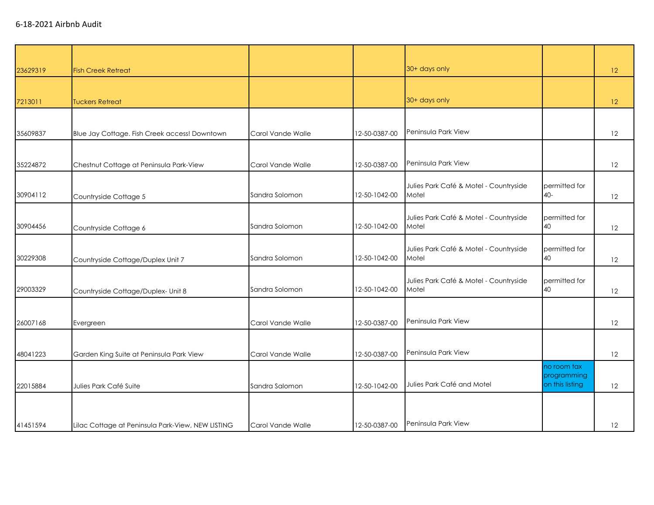| 23629319 | <b>Fish Creek Retreat</b>                         |                   |               | 30+ days only                                   |                            | 12 |
|----------|---------------------------------------------------|-------------------|---------------|-------------------------------------------------|----------------------------|----|
|          |                                                   |                   |               |                                                 |                            |    |
| 7213011  | <b>Tuckers Retreat</b>                            |                   |               | 30+ days only                                   |                            | 12 |
|          |                                                   |                   |               |                                                 |                            |    |
| 35609837 | Blue Jay Cottage. Fish Creek access! Downtown     | Carol Vande Walle | 12-50-0387-00 | Peninsula Park View                             |                            | 12 |
|          |                                                   |                   |               |                                                 |                            |    |
| 35224872 | Chestnut Cottage at Peninsula Park-View           | Carol Vande Walle | 12-50-0387-00 | Peninsula Park View                             |                            | 12 |
| 30904112 | Countryside Cottage 5                             | Sandra Solomon    | 12-50-1042-00 | Julies Park Café & Motel - Countryside<br>Motel | permitted for<br>$40-$     | 12 |
|          |                                                   |                   |               |                                                 |                            |    |
| 30904456 | Countryside Cottage 6                             | Sandra Solomon    | 12-50-1042-00 | Julies Park Café & Motel - Countryside<br>Motel | permitted for<br>40        | 12 |
| 30229308 | Countryside Cottage/Duplex Unit 7                 | Sandra Solomon    | 12-50-1042-00 | Julies Park Café & Motel - Countryside<br>Motel | permitted for<br>40        | 12 |
| 29003329 | Countryside Cottage/Duplex- Unit 8                | Sandra Solomon    | 12-50-1042-00 | Julies Park Café & Motel - Countryside<br>Motel | permitted for<br>40        | 12 |
|          |                                                   |                   |               |                                                 |                            |    |
| 26007168 | Evergreen                                         | Carol Vande Walle | 12-50-0387-00 | Peninsula Park View                             |                            | 12 |
|          |                                                   |                   |               |                                                 |                            |    |
| 48041223 | Garden King Suite at Peninsula Park View          | Carol Vande Walle | 12-50-0387-00 | Peninsula Park View                             |                            | 12 |
|          |                                                   |                   |               |                                                 | no room tax<br>programming |    |
| 22015884 | Julies Park Café Suite                            | Sandra Salomon    | 12-50-1042-00 | Julies Park Café and Motel                      | on this listing            | 12 |
|          |                                                   |                   |               |                                                 |                            |    |
| 41451594 | Lilac Cottage at Peninsula Park-View, NEW LISTING | Carol Vande Walle | 12-50-0387-00 | Peninsula Park View                             |                            | 12 |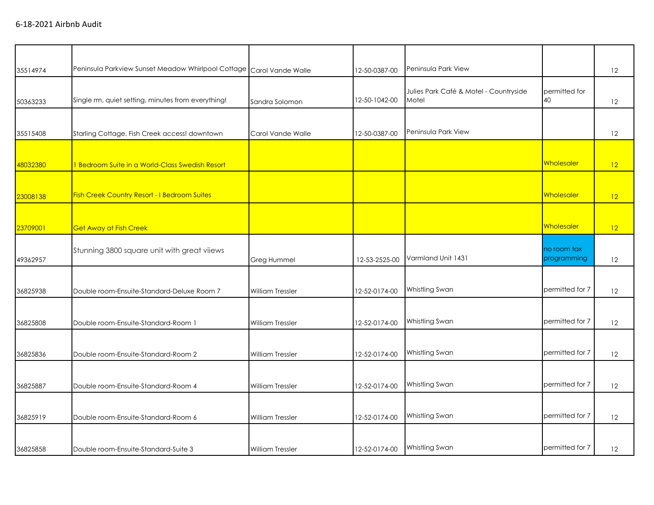| 35514974 | Peninsula Parkview Sunset Meadow Whirlpool Cottage Carol Vande Walle |                         | 12-50-0387-00 | Peninsula Park View                             |                            | 12 |
|----------|----------------------------------------------------------------------|-------------------------|---------------|-------------------------------------------------|----------------------------|----|
| 50363233 | Single rm, quiet setting, minutes from everything!                   | Sandra Solomon          | 12-50-1042-00 | Julies Park Café & Motel - Countryside<br>Motel | permitted for<br>40        | 12 |
|          |                                                                      |                         |               |                                                 |                            |    |
| 35515408 | Starling Cottage. Fish Creek access! downtown                        | Carol Vande Walle       | 12-50-0387-00 | Peninsula Park View                             |                            | 12 |
|          |                                                                      |                         |               |                                                 |                            |    |
| 48032380 | 1 Bedroom Suite in a World-Class Swedish Resort                      |                         |               |                                                 | Wholesaler                 | 12 |
|          |                                                                      |                         |               |                                                 |                            |    |
| 23008138 | <b>Fish Creek Country Resort - I Bedroom Suites</b>                  |                         |               |                                                 | Wholesaler                 | 12 |
|          |                                                                      |                         |               |                                                 |                            |    |
| 23709001 | <b>Get Away at Fish Creek</b>                                        |                         |               |                                                 | Wholesaler                 | 12 |
| 49362957 | Stunning 3800 square unit with great viiews                          | Greg Hummel             | 12-53-2525-00 | Varmland Unit 1431                              | no room tax<br>programming | 12 |
|          |                                                                      |                         |               |                                                 |                            |    |
| 36825938 | Double room-Ensuite-Standard-Deluxe Room 7                           | <b>William Tressler</b> | 12-52-0174-00 | Whistling Swan                                  | permitted for 7            | 12 |
|          |                                                                      |                         |               |                                                 |                            |    |
| 36825808 | Double room-Ensuite-Standard-Room 1                                  | <b>William Tressler</b> | 12-52-0174-00 | Whistling Swan                                  | permitted for 7            | 12 |
|          |                                                                      |                         |               |                                                 |                            |    |
| 36825836 | Double room-Ensuite-Standard-Room 2                                  | <b>William Tressler</b> | 12-52-0174-00 | Whistling Swan                                  | permitted for 7            | 12 |
| 36825887 | Double room-Ensuite-Standard-Room 4                                  | William Tressler        | 12-52-0174-00 | Whistling Swan                                  | permitted for 7            | 12 |
|          |                                                                      |                         |               |                                                 |                            |    |
| 36825919 | Double room-Ensuite-Standard-Room 6                                  | <b>William Tressler</b> | 12-52-0174-00 | Whistling Swan                                  | permitted for 7            | 12 |
|          |                                                                      |                         |               |                                                 |                            |    |
| 36825858 | Double room-Ensuite-Standard-Suite 3                                 | <b>William Tressler</b> | 12-52-0174-00 | Whistling Swan                                  | permitted for 7            | 12 |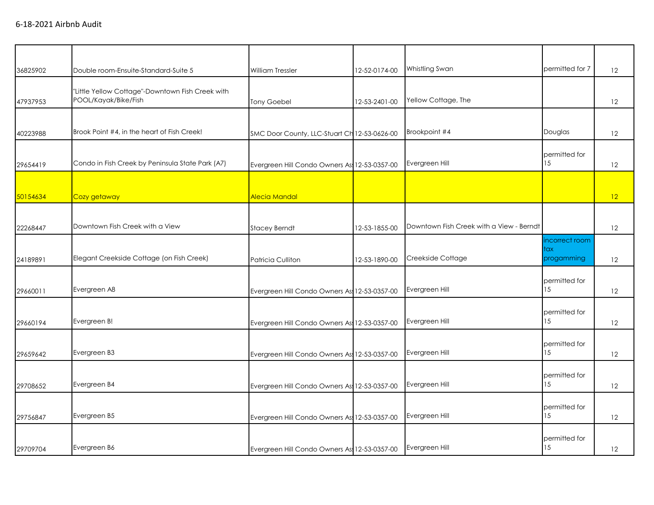| 36825902 | Double room-Ensuite-Standard-Suite 5                                     | <b>William Tressler</b>                       | 12-52-0174-00 | Whistling Swan                           | permitted for 7                     | 12 |
|----------|--------------------------------------------------------------------------|-----------------------------------------------|---------------|------------------------------------------|-------------------------------------|----|
| 47937953 | "Little Yellow Cottage"-Downtown Fish Creek with<br>POOL/Kayak/Bike/Fish | <b>Tony Goebel</b>                            | 12-53-2401-00 | Yellow Cottage, The                      |                                     | 12 |
| 40223988 | Brook Point #4, in the heart of Fish Creek!                              | SMC Door County, LLC-Stuart Ch 12-53-0626-00  |               | Brookpoint #4                            | Douglas                             | 12 |
| 29654419 | Condo in Fish Creek by Peninsula State Park (A7)                         | Evergreen Hill Condo Owners As 12-53-0357-00  |               | Evergreen Hill                           | permitted for<br>15                 | 12 |
| 50154634 | Cozy getaway                                                             | Alecia Mandal                                 |               |                                          |                                     | 12 |
| 22268447 | Downtown Fish Creek with a View                                          | <b>Stacey Berndt</b>                          | 12-53-1855-00 | Downtown Fish Creek with a View - Berndt |                                     | 12 |
| 24189891 | Elegant Creekside Cottage (on Fish Creek)                                | Patricia Culliton                             | 12-53-1890-00 | Creekside Cottage                        | incorrect room<br>tax<br>progamming | 12 |
| 29660011 | Evergreen A8                                                             | Evergreen Hill Condo Owners As 12-53-0357-00  |               | Evergreen Hill                           | permitted for<br>15                 | 12 |
| 29660194 | Evergreen B!                                                             | Evergreen Hill Condo Owners As 12-53-0357-00  |               | Evergreen Hill                           | permitted for<br>15                 | 12 |
| 29659642 | Evergreen B3                                                             | Evergreen Hill Condo Owners Ass 12-53-0357-00 |               | Evergreen Hill                           | permitted for<br>15                 | 12 |
| 29708652 | Evergreen B4                                                             | Evergreen Hill Condo Owners Ass 12-53-0357-00 |               | Evergreen Hill                           | permitted for<br>15                 | 12 |
| 29756847 | Evergreen B5                                                             | Evergreen Hill Condo Owners Ass 12-53-0357-00 |               | Evergreen Hill                           | permitted for<br>15                 | 12 |
| 29709704 | Evergreen B6                                                             | Evergreen Hill Condo Owners As: 12-53-0357-00 |               | Evergreen Hill                           | permitted for<br>15                 | 12 |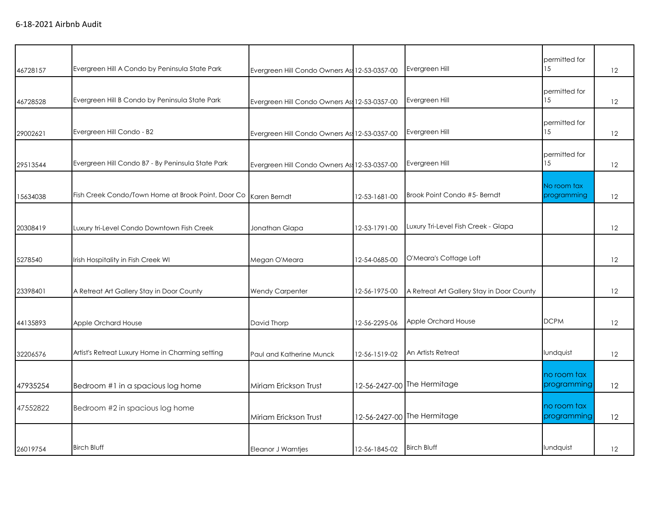|          |                                                    |                                               |               |                                           | permitted for              |    |
|----------|----------------------------------------------------|-----------------------------------------------|---------------|-------------------------------------------|----------------------------|----|
| 46728157 | Evergreen Hill A Condo by Peninsula State Park     | Evergreen Hill Condo Owners As 12-53-0357-00  |               | Evergreen Hill                            | 15                         | 12 |
| 46728528 | Evergreen Hill B Condo by Peninsula State Park     | Evergreen Hill Condo Owners Ass 12-53-0357-00 |               | Evergreen Hill                            | permitted for<br>15        | 12 |
| 29002621 | Evergreen Hill Condo - B2                          | Evergreen Hill Condo Owners As: 12-53-0357-00 |               | Evergreen Hill                            | permitted for<br>15        | 12 |
| 29513544 | Evergreen Hill Condo B7 - By Peninsula State Park  | Evergreen Hill Condo Owners As: 12-53-0357-00 |               | Evergreen Hill                            | permitted for<br>15        | 12 |
| 15634038 | Fish Creek Condo/Town Home at Brook Point, Door Co | Karen Berndt                                  | 12-53-1681-00 | Brook Point Condo #5- Berndt              | No room tax<br>programming | 12 |
| 20308419 | Luxury tri-Level Condo Downtown Fish Creek         | Jonathan Glapa                                | 12-53-1791-00 | Luxury Tri-Level Fish Creek - Glapa       |                            | 12 |
| 5278540  | Irish Hospitality in Fish Creek WI                 | Megan O'Meara                                 | 12-54-0685-00 | O'Meara's Cottage Loft                    |                            | 12 |
| 23398401 | A Retreat Art Gallery Stay in Door County          | <b>Wendy Carpenter</b>                        | 12-56-1975-00 | A Retreat Art Gallery Stay in Door County |                            | 12 |
| 44135893 | Apple Orchard House                                | David Thorp                                   | 12-56-2295-06 | Apple Orchard House                       | <b>DCPM</b>                | 12 |
| 32206576 | Artist's Retreat Luxury Home in Charming setting   | Paul and Katherine Munck                      | 12-56-1519-02 | An Artists Retreat                        | lundquist                  | 12 |
| 47935254 | Bedroom #1 in a spacious log home                  | Miriam Erickson Trust                         |               | 12-56-2427-00 The Hermitage               | no room tax<br>programming | 12 |
| 47552822 | Bedroom #2 in spacious log home                    | Miriam Erickson Trust                         |               | 12-56-2427-00 The Hermitage               | no room tax<br>programming | 12 |
| 26019754 | <b>Birch Bluff</b>                                 | <b>Eleanor J Warntjes</b>                     | 12-56-1845-02 | <b>Birch Bluff</b>                        | lundquist                  | 12 |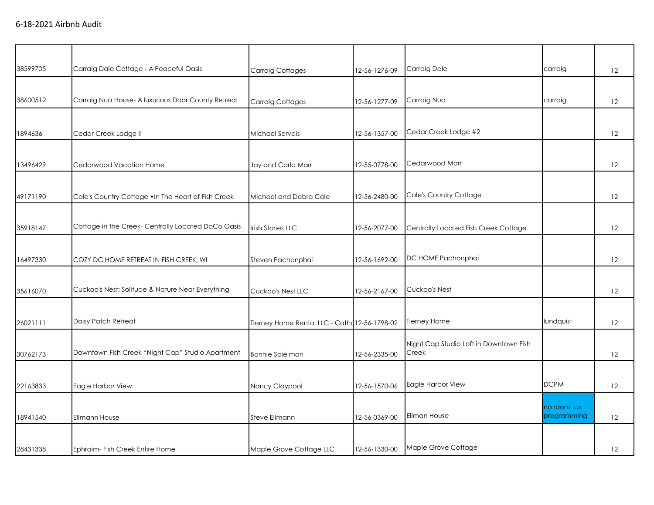| 38599705 | Carraig Dale Cottage - A Peaceful Oasis             | <b>Carraig Cottages</b>                       | 12-56-1276-09 | Carraig Dale                           | carraig                    | 12 |
|----------|-----------------------------------------------------|-----------------------------------------------|---------------|----------------------------------------|----------------------------|----|
|          |                                                     |                                               |               |                                        |                            |    |
| 38600512 | Carraig Nua House- A luxurious Door County Retreat  | <b>Carraig Cottages</b>                       | 12-56-1277-09 | Carraig Nua                            | carraig                    | 12 |
|          |                                                     |                                               |               |                                        |                            |    |
| 1894636  | Cedar Creek Lodge II                                | Michael Servais                               | 12-56-1357-00 | Cedar Creek Lodge #2                   |                            | 12 |
|          |                                                     |                                               |               |                                        |                            |    |
| 13496429 | Cedarwood Vacation Home                             | Jay and Carla Marr                            | 12-55-0778-00 | Cedarwood Marr                         |                            | 12 |
|          |                                                     |                                               |               |                                        |                            |    |
| 49171190 | Cole's Country Cottage . In The Heart of Fish Creek | Michael and Debra Cole                        | 12-56-2480-00 | Cole's Country Cottage                 |                            | 12 |
|          |                                                     |                                               |               |                                        |                            |    |
| 35918147 | Cottage in the Creek- Centrally Located DoCo Oasis  | <b>Irish Stories LLC</b>                      | 12-56-2077-00 | Centrally Located Fish Creek Cottage   |                            | 12 |
|          |                                                     |                                               |               |                                        |                            |    |
| 16497330 | COZY DC HOME RETREAT IN FISH CREEK, WI              | Steven Pachonphai                             | 12-56-1692-00 | DC HOME Pachonphai                     |                            | 12 |
|          |                                                     |                                               |               |                                        |                            |    |
| 35616070 | Cuckoo's Nest: Solitude & Nature Near Everything    | Cuckoo's Nest LLC                             | 12-56-2167-00 | Cuckoo's Nest                          |                            | 12 |
|          |                                                     |                                               |               |                                        |                            |    |
| 26021111 | Daisy Patch Retreat                                 | Tierney Home Rental LLC - Catha 12-56-1798-02 |               | Tierney Home                           | lundquist                  | 12 |
|          |                                                     |                                               |               | Night Cap Studio Loft in Downtown Fish |                            |    |
| 30762173 | Downtown Fish Creek "Night Cap" Studio Apartment    | <b>Bonnie Spielman</b>                        | 12-56-2335-00 | Creek                                  |                            | 12 |
|          |                                                     |                                               |               |                                        |                            |    |
| 22163833 | Eagle Harbor View                                   | Nancy Claypool                                | 12-56-1570-06 | Eagle Harbor View                      | <b>DCPM</b>                | 12 |
|          |                                                     |                                               |               |                                        |                            |    |
| 18941540 | <b>Ellmann House</b>                                | Steve Ellmann                                 | 12-56-0369-00 | <b>Ellman House</b>                    | no room tax<br>programming | 12 |
|          |                                                     |                                               |               |                                        |                            |    |
| 28431338 | Ephraim- Fish Creek Entire Home                     | Maple Grove Cottage LLC                       | 12-56-1330-00 | Maple Grove Cottage                    |                            | 12 |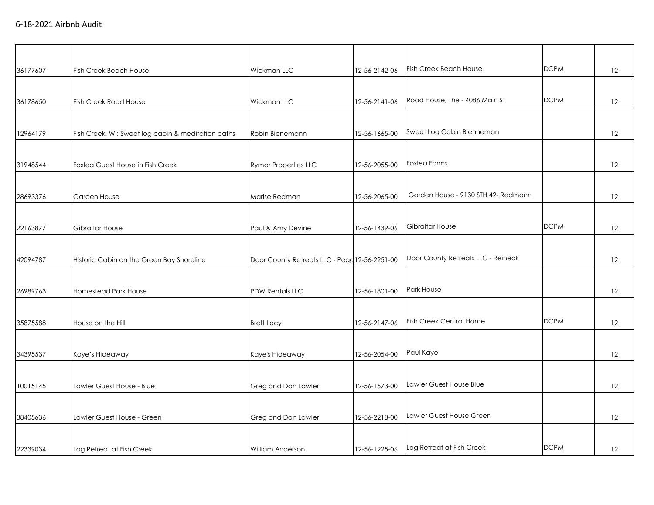|          |                                                    |                                               |               | <b>Fish Creek Beach House</b>       | <b>DCPM</b> |    |
|----------|----------------------------------------------------|-----------------------------------------------|---------------|-------------------------------------|-------------|----|
| 36177607 | <b>Fish Creek Beach House</b>                      | Wickman LLC                                   | 12-56-2142-06 |                                     |             | 12 |
| 36178650 | <b>Fish Creek Road House</b>                       | Wickman LLC                                   | 12-56-2141-06 | Road House, The - 4086 Main St      | <b>DCPM</b> | 12 |
|          |                                                    |                                               |               |                                     |             |    |
| 12964179 | Fish Creek, WI: Sweet log cabin & meditation paths | Robin Bienemann                               | 12-56-1665-00 | Sweet Log Cabin Bienneman           |             | 12 |
| 31948544 | Foxlea Guest House in Fish Creek                   | <b>Rymar Properties LLC</b>                   | 12-56-2055-00 | <b>Foxlea Farms</b>                 |             | 12 |
| 28693376 | Garden House                                       | Marise Redman                                 | 12-56-2065-00 | Garden House - 9130 STH 42- Redmann |             | 12 |
|          |                                                    |                                               |               |                                     |             |    |
| 22163877 | Gibraltar House                                    | Paul & Amy Devine                             | 12-56-1439-06 | <b>Gibraltar House</b>              | <b>DCPM</b> | 12 |
|          |                                                    |                                               |               |                                     |             |    |
| 42094787 | Historic Cabin on the Green Bay Shoreline          | Door County Retreats LLC - Pegg 12-56-2251-00 |               | Door County Retreats LLC - Reineck  |             | 12 |
|          |                                                    |                                               |               |                                     |             |    |
| 26989763 | Homestead Park House                               | <b>PDW Rentals LLC</b>                        | 12-56-1801-00 | Park House                          |             | 12 |
|          |                                                    |                                               |               |                                     |             |    |
| 35875588 | House on the Hill                                  | <b>Brett Lecy</b>                             | 12-56-2147-06 | <b>Fish Creek Central Home</b>      | <b>DCPM</b> | 12 |
|          |                                                    |                                               |               |                                     |             |    |
| 34395537 | Kaye's Hideaway                                    | Kaye's Hideaway                               | 12-56-2054-00 | Paul Kaye                           |             | 12 |
|          |                                                    |                                               |               |                                     |             |    |
| 10015145 | Lawler Guest House - Blue                          | Greg and Dan Lawler                           | 12-56-1573-00 | Lawler Guest House Blue             |             | 12 |
|          |                                                    |                                               |               |                                     |             |    |
| 38405636 | Lawler Guest House - Green                         | Greg and Dan Lawler                           | 12-56-2218-00 | Lawler Guest House Green            |             | 12 |
|          |                                                    |                                               |               |                                     |             |    |
| 22339034 | Log Retreat at Fish Creek                          | <b>William Anderson</b>                       | 12-56-1225-06 | Log Retreat at Fish Creek           | <b>DCPM</b> | 12 |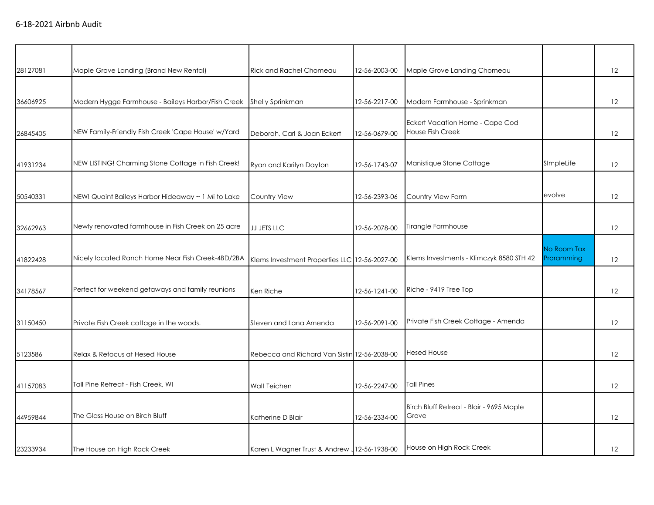| 28127081 | Maple Grove Landing (Brand New Rental)             | <b>Rick and Rachel Chomeau</b>                | 12-56-2003-00 | Maple Grove Landing Chomeau                                |                           | 12 |
|----------|----------------------------------------------------|-----------------------------------------------|---------------|------------------------------------------------------------|---------------------------|----|
| 36606925 | Modern Hygge Farmhouse - Baileys Harbor/Fish Creek | <b>Shelly Sprinkman</b>                       | 12-56-2217-00 | Modern Farmhouse - Sprinkman                               |                           | 12 |
| 26845405 | NEW Family-Friendly Fish Creek 'Cape House' w/Yard | Deborah, Carl & Joan Eckert                   | 12-56-0679-00 | Eckert Vacation Home - Cape Cod<br><b>House Fish Creek</b> |                           | 12 |
| 41931234 | NEW LISTING! Charming Stone Cottage in Fish Creek! | Ryan and Karilyn Dayton                       | 12-56-1743-07 | Manistique Stone Cottage                                   | SImpleLife                | 12 |
| 50540331 | NEW! Quaint Baileys Harbor Hideaway ~ 1 Mi to Lake | <b>Country View</b>                           | 12-56-2393-06 | Country View Farm                                          | evolve                    | 12 |
| 32662963 | Newly renovated farmhouse in Fish Creek on 25 acre | JJ JETS LLC                                   | 12-56-2078-00 | Tirangle Farmhouse                                         |                           | 12 |
| 41822428 | Nicely located Ranch Home Near Fish Creek-4BD/2BA  | Klems Investment Properties LLC 12-56-2027-00 |               | Klems Investments - Klimczyk 8580 STH 42                   | No Room Tax<br>Proramming | 12 |
| 34178567 | Perfect for weekend getaways and family reunions   | Ken Riche                                     | 12-56-1241-00 | Riche - 9419 Tree Top                                      |                           | 12 |
| 31150450 | Private Fish Creek cottage in the woods.           | Steven and Lana Amenda                        | 12-56-2091-00 | Private Fish Creek Cottage - Amenda                        |                           | 12 |
| 5123586  | Relax & Refocus at Hesed House                     | Rebecca and Richard Van Sistin 12-56-2038-00  |               | <b>Hesed House</b>                                         |                           | 12 |
| 41157083 | Tall Pine Retreat - Fish Creek, WI                 | <b>Walt Teichen</b>                           | 12-56-2247-00 | <b>Tall Pines</b>                                          |                           | 12 |
| 44959844 | The Glass House on Birch Bluff                     | Katherine D Blair                             | 12-56-2334-00 | Birch Bluff Retreat - Blair - 9695 Maple<br>Grove          |                           | 12 |
| 23233934 | The House on High Rock Creek                       | Karen L Wagner Trust & Andrew 12-56-1938-00   |               | House on High Rock Creek                                   |                           | 12 |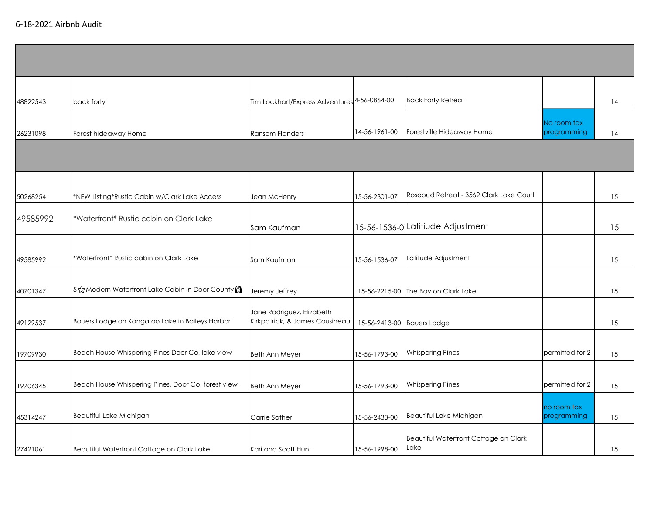6-18-2021 Airbnb Audit

| 48822543 | back forty                                         | Tim Lockhart/Express Adventures <sup>4-56-0864-00</sup>     |               | <b>Back Forty Retreat</b>                     |                            | 14 |
|----------|----------------------------------------------------|-------------------------------------------------------------|---------------|-----------------------------------------------|----------------------------|----|
| 26231098 | Forest hideaway Home                               | <b>Ransom Flanders</b>                                      | 14-56-1961-00 | Forestville Hideaway Home                     | No room tax<br>programming | 14 |
|          |                                                    |                                                             |               |                                               |                            |    |
| 50268254 | *NEW Listing*Rustic Cabin w/Clark Lake Access      | Jean McHenry                                                | 15-56-2301-07 | Rosebud Retreat - 3562 Clark Lake Court       |                            | 15 |
| 49585992 | *Waterfront* Rustic cabin on Clark Lake            | Sam Kaufman                                                 |               | 15-56-1536-0 Latitiude Adjustment             |                            | 15 |
| 49585992 | *Waterfront* Rustic cabin on Clark Lake            | Sam Kaufman                                                 | 15-56-1536-07 | Latitude Adjustment                           |                            | 15 |
| 40701347 | 5☆Modern Waterfront Lake Cabin in Door County      | Jeremy Jeffrey                                              | 15-56-2215-00 | The Bay on Clark Lake                         |                            | 15 |
| 49129537 | Bauers Lodge on Kangaroo Lake in Baileys Harbor    | Jane Rodriguez, Elizabeth<br>Kirkpatrick, & James Cousineau | 15-56-2413-00 | <b>Bauers Lodge</b>                           |                            | 15 |
| 19709930 | Beach House Whispering Pines Door Co, lake view    | <b>Beth Ann Meyer</b>                                       | 15-56-1793-00 | <b>Whispering Pines</b>                       | permitted for 2            | 15 |
| 19706345 | Beach House Whispering Pines, Door Co, forest view | <b>Beth Ann Meyer</b>                                       | 15-56-1793-00 | <b>Whispering Pines</b>                       | permitted for 2            | 15 |
| 45314247 | Beautiful Lake Michigan                            | Carrie Sather                                               | 15-56-2433-00 | Beautiful Lake Michigan                       | no room tax<br>programming | 15 |
| 27421061 | Beautiful Waterfront Cottage on Clark Lake         | Kari and Scott Hunt                                         | 15-56-1998-00 | Beautiful Waterfront Cottage on Clark<br>Lake |                            | 15 |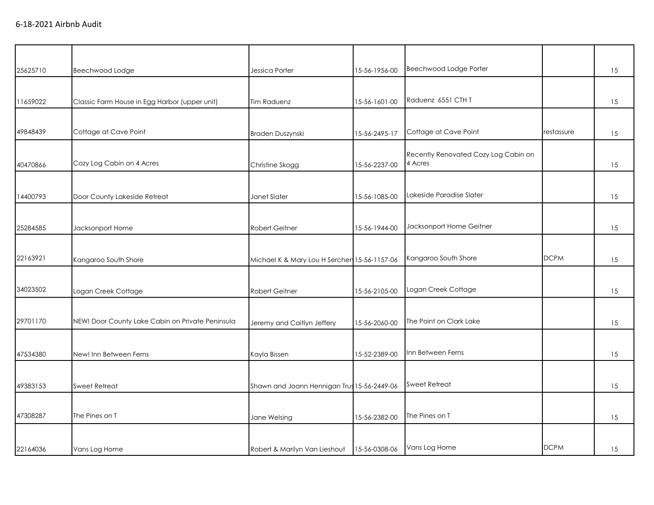| 25625710 | Beechwood Lodge                                  | Jessica Porter                               | 15-56-1956-00 | Beechwood Lodge Porter                          |             | 15 |
|----------|--------------------------------------------------|----------------------------------------------|---------------|-------------------------------------------------|-------------|----|
|          |                                                  |                                              |               |                                                 |             |    |
| 11659022 | Classic Farm House in Egg Harbor (upper unit)    | <b>Tim Raduenz</b>                           | 15-56-1601-00 | Raduenz 6551 CTH T                              |             | 15 |
|          |                                                  |                                              |               |                                                 |             |    |
| 49848439 | Cottage at Cave Point                            | Braden Duszynski                             | 15-56-2495-17 | Cottage at Cave Point                           | restassure  | 15 |
| 40470866 | Cozy Log Cabin on 4 Acres                        | Christine Skogg                              | 15-56-2237-00 | Recently Renovated Cozy Log Cabin on<br>4 Acres |             | 15 |
|          |                                                  |                                              |               |                                                 |             |    |
| 14400793 | Door County Lakeside Retreat                     | Janet Slater                                 | 15-56-1085-00 | Lakeside Paradise Slater                        |             | 15 |
|          |                                                  |                                              |               |                                                 |             |    |
| 25284585 | Jacksonport Home                                 | Robert Geitner                               | 15-56-1944-00 | Jacksonport Home Geitner                        |             | 15 |
|          |                                                  |                                              |               |                                                 |             |    |
| 22163921 | Kangaroo South Shore                             | Michael K & Mary Lou H Serchen 15-56-1157-06 |               | Kangaroo South Shore                            | <b>DCPM</b> | 15 |
|          |                                                  |                                              |               |                                                 |             |    |
| 34023502 | Logan Creek Cottage                              | Robert Geitner                               | 15-56-2105-00 | Logan Creek Cottage                             |             | 15 |
|          |                                                  |                                              |               |                                                 |             |    |
| 29701170 | NEW! Door County Lake Cabin on Private Peninsula | Jeremy and Caitlyn Jeffery                   | 15-56-2060-00 | The Point on Clark Lake                         |             | 15 |
|          |                                                  |                                              |               |                                                 |             |    |
| 47534380 | New! Inn Between Ferns                           | Kayla Bissen                                 | 15-52-2389-00 | Inn Between Ferns                               |             | 15 |
|          |                                                  |                                              |               |                                                 |             |    |
| 49383153 | <b>Sweet Retreat</b>                             | Shawn and Joann Hennigan Trus 15-56-2449-06  |               | <b>Sweet Retreat</b>                            |             | 15 |
|          |                                                  |                                              |               |                                                 |             |    |
| 47308287 | The Pines on T                                   | Jane Welsing                                 | 15-56-2382-00 | The Pines on T                                  |             | 15 |
|          |                                                  |                                              |               |                                                 |             |    |
| 22164036 | Vans Log Home                                    | Robert & Marilyn Van Lieshout                | 15-56-0308-06 | Vans Log Home                                   | <b>DCPM</b> | 15 |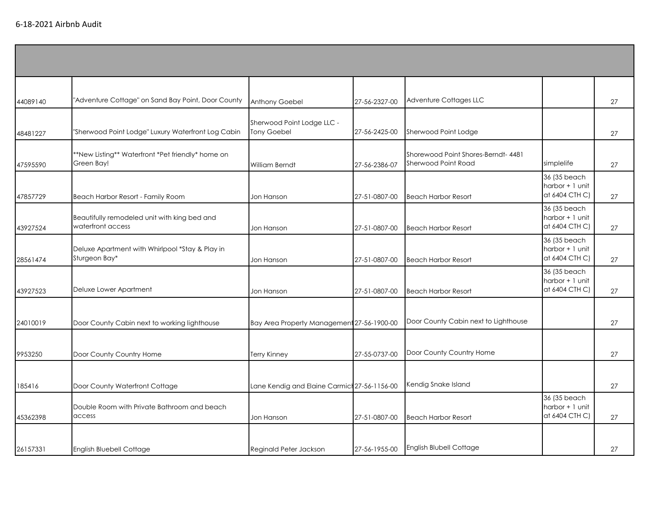| 44089140 | "Adventure Cottage" on Sand Bay Point, Door County                | Anthony Goebel                                   | 27-56-2327-00 | Adventure Cottages LLC                                    |                                                   | 27 |
|----------|-------------------------------------------------------------------|--------------------------------------------------|---------------|-----------------------------------------------------------|---------------------------------------------------|----|
| 48481227 | "Sherwood Point Lodge" Luxury Waterfront Log Cabin                | Sherwood Point Lodge LLC -<br><b>Tony Goebel</b> | 27-56-2425-00 | Sherwood Point Lodge                                      |                                                   | 27 |
| 47595590 | **New Listing** Waterfront *Pet friendly* home on<br>Green Bay!   | William Berndt                                   | 27-56-2386-07 | Shorewood Point Shores-Berndt-4481<br>Sherwood Point Road | simplelife                                        | 27 |
| 47857729 | Beach Harbor Resort - Family Room                                 | Jon Hanson                                       | 27-51-0807-00 | <b>Beach Harbor Resort</b>                                | 36 (35 beach<br>harbor + 1 unit<br>at 6404 CTH C) | 27 |
| 43927524 | Beautifully remodeled unit with king bed and<br>waterfront access | Jon Hanson                                       | 27-51-0807-00 | <b>Beach Harbor Resort</b>                                | 36 (35 beach<br>harbor + 1 unit<br>at 6404 CTH C) | 27 |
| 28561474 | Deluxe Apartment with Whirlpool *Stay & Play in<br>Sturgeon Bay*  | Jon Hanson                                       | 27-51-0807-00 | <b>Beach Harbor Resort</b>                                | 36 (35 beach<br>harbor + 1 unit<br>at 6404 CTH C) | 27 |
| 43927523 | Deluxe Lower Apartment                                            | Jon Hanson                                       | 27-51-0807-00 | <b>Beach Harbor Resort</b>                                | 36 (35 beach<br>harbor + 1 unit<br>at 6404 CTH C) | 27 |
| 24010019 | Door County Cabin next to working lighthouse                      | Bay Area Property Management 27-56-1900-00       |               | Door County Cabin next to Lighthouse                      |                                                   | 27 |
| 9953250  | Door County Country Home                                          | <b>Terry Kinney</b>                              | 27-55-0737-00 | Door County Country Home                                  |                                                   | 27 |
| 185416   | Door County Waterfront Cottage                                    | Lane Kendig and Elaine Carmich 27-56-1156-00     |               | Kendig Snake Island                                       |                                                   | 27 |
| 45362398 | Double Room with Private Bathroom and beach<br>access             | Jon Hanson                                       | 27-51-0807-00 | <b>Beach Harbor Resort</b>                                | 36 (35 beach<br>harbor + 1 unit<br>at 6404 CTH C) | 27 |
| 26157331 | <b>English Bluebell Cottage</b>                                   | Reginald Peter Jackson                           | 27-56-1955-00 | <b>English Blubell Cottage</b>                            |                                                   | 27 |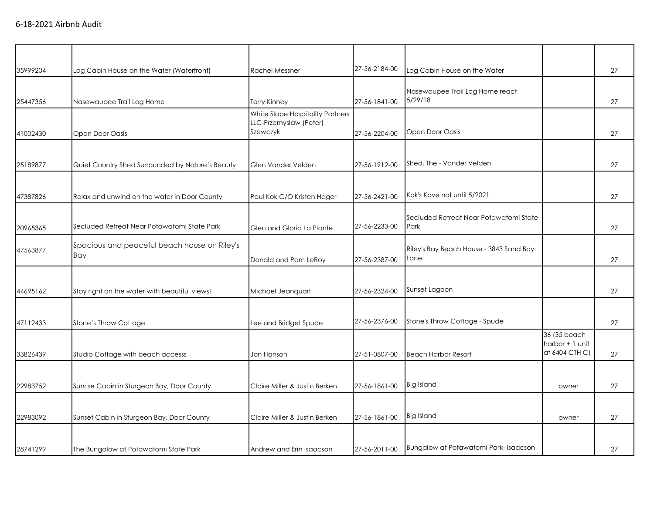| 35999204 | Log Cabin House on the Water (Waterfront)           | <b>Rachel Messner</b>                                                  | 27-56-2184-00 | Log Cabin House on the Water                    |                                                   | 27 |
|----------|-----------------------------------------------------|------------------------------------------------------------------------|---------------|-------------------------------------------------|---------------------------------------------------|----|
| 25447356 | Nasewaupee Trail Log Home                           | <b>Terry Kinney</b>                                                    | 27-56-1841-00 | Nasewaupee Trail Log Home react<br>5/29/18      |                                                   | 27 |
| 41002430 | Open Door Oasis                                     | White Slope Hospitality Partners<br>LLC-Przemyslaw (Peter)<br>Szewczyk | 27-56-2204-00 | Open Door Oasis                                 |                                                   | 27 |
| 25189877 | Quiet Country Shed Surrounded by Nature's Beauty    | Glen Vander Velden                                                     | 27-56-1912-00 | Shed, The - Vander Velden                       |                                                   | 27 |
| 47387826 | Relax and unwind on the water in Door County        | Paul Kok C/O Kristen Hager                                             | 27-56-2421-00 | Kok's Kove not until 5/2021                     |                                                   | 27 |
| 20965365 | Secluded Retreat Near Potawatomi State Park         | Glen and Gloria La Plante                                              | 27-56-2233-00 | Secluded Retreat Near Potawatomi State<br>Park  |                                                   | 27 |
| 47563877 | Spacious and peaceful beach house on Riley's<br>Bay | Donald and Pam LeRoy                                                   | 27-56-2387-00 | Riley's Bay Beach House - 3843 Sand Bay<br>.ane |                                                   | 27 |
| 44695162 | Stay right on the water with beautiful views!       | Michael Jeanquart                                                      | 27-56-2324-00 | Sunset Lagoon                                   |                                                   | 27 |
| 47112433 | Stone's Throw Cottage                               | Lee and Bridget Spude                                                  | 27-56-2376-00 | Stone's Throw Cottage - Spude                   |                                                   | 27 |
| 33826439 | Studio Cottage with beach accesss                   | Jon Hanson                                                             | 27-51-0807-00 | <b>Beach Harbor Resort</b>                      | 36 (35 beach<br>harbor + 1 unit<br>at 6404 CTH C) | 27 |
| 22983752 | Sunrise Cabin in Sturgeon Bay, Door County          | Claire Miller & Justin Berken                                          | 27-56-1861-00 | <b>Big Island</b>                               | owner                                             | 27 |
| 22983092 | Sunset Cabin in Sturgeon Bay, Door County           | Claire Miller & Justin Berken                                          | 27-56-1861-00 | <b>Big Island</b>                               | owner                                             | 27 |
| 28741299 | The Bungalow at Potawatomi State Park               | Andrew and Erin Isaacson                                               | 27-56-2011-00 | Bungalow at Potawatomi Park-Isaacson            |                                                   | 27 |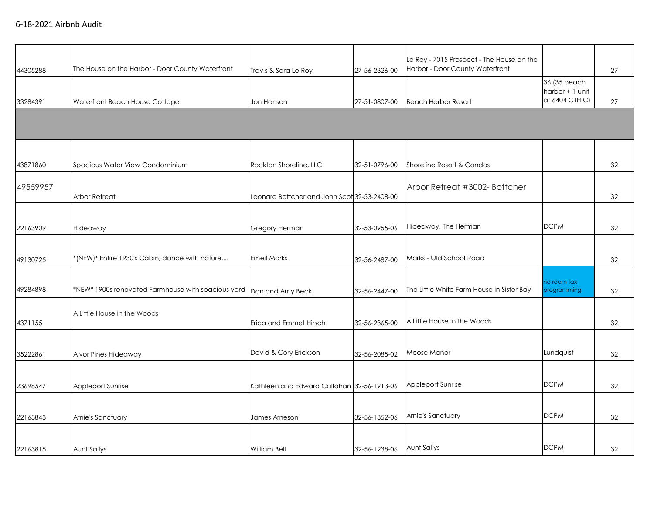| 44305288 | The House on the Harbor - Door County Waterfront   | Travis & Sara Le Roy                         | 27-56-2326-00 | Le Roy - 7015 Prospect - The House on the<br>Harbor - Door County Waterfront |                                                   | 27 |
|----------|----------------------------------------------------|----------------------------------------------|---------------|------------------------------------------------------------------------------|---------------------------------------------------|----|
| 33284391 | Waterfront Beach House Cottage                     | Jon Hanson                                   | 27-51-0807-00 | <b>Beach Harbor Resort</b>                                                   | 36 (35 beach<br>harbor + 1 unit<br>at 6404 CTH C) | 27 |
|          |                                                    |                                              |               |                                                                              |                                                   |    |
| 43871860 | Spacious Water View Condominium                    | Rockton Shoreline, LLC                       | 32-51-0796-00 | Shoreline Resort & Condos                                                    |                                                   | 32 |
| 49559957 | Arbor Retreat                                      | Leonard Bottcher and John Scot 32-53-2408-00 |               | Arbor Retreat #3002- Bottcher                                                |                                                   | 32 |
| 22163909 | Hideaway                                           | Gregory Herman                               | 32-53-0955-06 | Hideaway, The Herman                                                         | <b>DCPM</b>                                       | 32 |
| 49130725 | *(NEW)* Entire 1930's Cabin, dance with nature     | <b>Emeil Marks</b>                           | 32-56-2487-00 | Marks - Old School Road                                                      |                                                   | 32 |
| 49284898 | *NEW* 1900s renovated Farmhouse with spacious yard | Dan and Amy Beck                             | 32-56-2447-00 | The Little White Farm House in Sister Bay                                    | no room tax<br>programming                        | 32 |
| 4371155  | A Little House in the Woods                        | Erica and Emmet Hirsch                       | 32-56-2365-00 | A Little House in the Woods                                                  |                                                   | 32 |
| 35222861 | Alvor Pines Hideaway                               | David & Cory Erickson                        | 32-56-2085-02 | Moose Manor                                                                  | Lundquist                                         | 32 |
| 23698547 | Appleport Sunrise                                  | Kathleen and Edward Callahan 32-56-1913-06   |               | Appleport Sunrise                                                            | <b>DCPM</b>                                       | 32 |
| 22163843 | Arnie's Sanctuary                                  | James Arneson                                | 32-56-1352-06 | Arnie's Sanctuary                                                            | <b>DCPM</b>                                       | 32 |
| 22163815 | Aunt Sallys                                        | William Bell                                 | 32-56-1238-06 | Aunt Sallys                                                                  | <b>DCPM</b>                                       | 32 |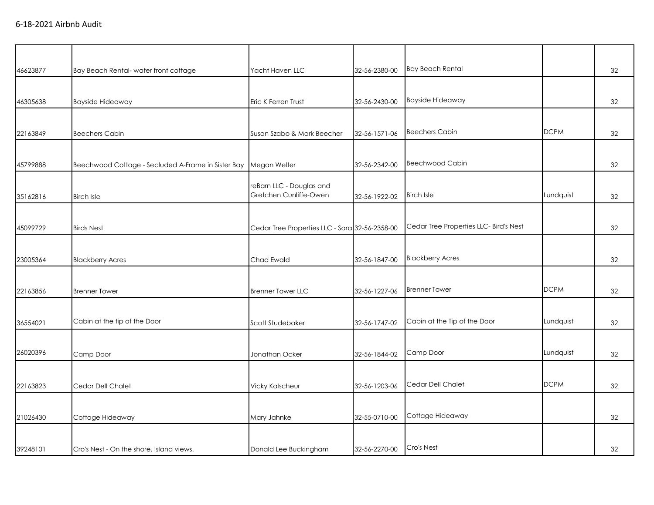| 46623877 | Bay Beach Rental-water front cottage               | Yacht Haven LLC                                    | 32-56-2380-00 | <b>Bay Beach Rental</b>                |             | 32 |
|----------|----------------------------------------------------|----------------------------------------------------|---------------|----------------------------------------|-------------|----|
|          |                                                    |                                                    |               |                                        |             |    |
| 46305638 | <b>Bayside Hideaway</b>                            | Eric K Ferren Trust                                | 32-56-2430-00 | <b>Bayside Hideaway</b>                |             | 32 |
|          |                                                    |                                                    |               |                                        |             |    |
| 22163849 | <b>Beechers Cabin</b>                              | Susan Szabo & Mark Beecher                         | 32-56-1571-06 | <b>Beechers Cabin</b>                  | <b>DCPM</b> | 32 |
|          |                                                    |                                                    |               |                                        |             |    |
| 45799888 | Beechwood Cottage - Secluded A-Frame in Sister Bay | Megan Welter                                       | 32-56-2342-00 | <b>Beechwood Cabin</b>                 |             | 32 |
| 35162816 | <b>Birch Isle</b>                                  | reBarn LLC - Douglas and<br>Gretchen Cunliffe-Owen | 32-56-1922-02 | <b>Birch Isle</b>                      | Lundquist   | 32 |
|          |                                                    |                                                    |               |                                        |             |    |
| 45099729 | <b>Birds Nest</b>                                  | Cedar Tree Properties LLC - Sara 32-56-2358-00     |               | Cedar Tree Properties LLC- Bird's Nest |             | 32 |
|          |                                                    |                                                    |               |                                        |             |    |
| 23005364 | <b>Blackberry Acres</b>                            | Chad Ewald                                         | 32-56-1847-00 | <b>Blackberry Acres</b>                |             | 32 |
|          |                                                    |                                                    |               |                                        |             |    |
| 22163856 | <b>Brenner Tower</b>                               | <b>Brenner Tower LLC</b>                           | 32-56-1227-06 | <b>Brenner Tower</b>                   | <b>DCPM</b> | 32 |
|          |                                                    |                                                    |               |                                        |             |    |
| 36554021 | Cabin at the tip of the Door                       | Scott Studebaker                                   | 32-56-1747-02 | Cabin at the Tip of the Door           | Lundquist   | 32 |
|          |                                                    |                                                    |               |                                        |             |    |
| 26020396 | Camp Door                                          | Jonathan Ocker                                     | 32-56-1844-02 | Camp Door                              | Lundquist   | 32 |
|          |                                                    |                                                    |               |                                        |             |    |
| 22163823 | Cedar Dell Chalet                                  | <b>Vicky Kalscheur</b>                             | 32-56-1203-06 | Cedar Dell Chalet                      | <b>DCPM</b> | 32 |
|          |                                                    |                                                    |               |                                        |             |    |
| 21026430 | Cottage Hideaway                                   | Mary Jahnke                                        | 32-55-0710-00 | Cottage Hideaway                       |             | 32 |
|          |                                                    |                                                    |               |                                        |             |    |
| 39248101 | Cro's Nest - On the shore, Island views.           | Donald Lee Buckingham                              | 32-56-2270-00 | Cro's Nest                             |             | 32 |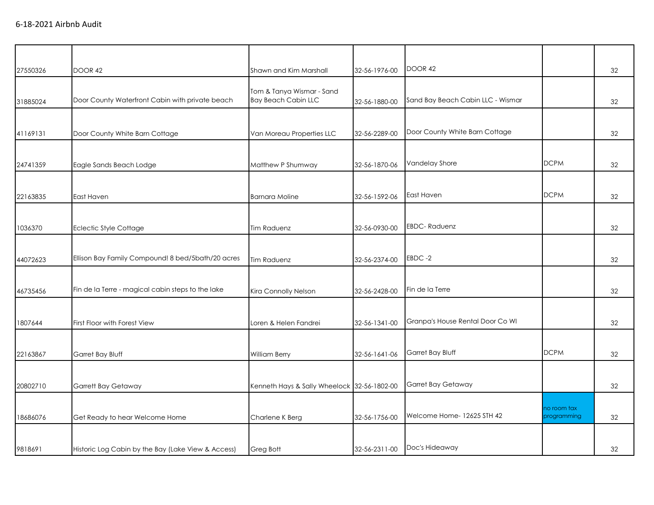| 27550326 | <b>DOOR 42</b>                                     | Shawn and Kim Marshall                                  | 32-56-1976-00 | DOOR 42                           |                            | 32 |
|----------|----------------------------------------------------|---------------------------------------------------------|---------------|-----------------------------------|----------------------------|----|
| 31885024 | Door County Waterfront Cabin with private beach    | Tom & Tanya Wismar - Sand<br><b>Bay Beach Cabin LLC</b> | 32-56-1880-00 | Sand Bay Beach Cabin LLC - Wismar |                            | 32 |
| 41169131 | Door County White Barn Cottage                     | Van Moreau Properties LLC                               | 32-56-2289-00 | Door County White Barn Cottage    |                            | 32 |
|          |                                                    | Matthew P Shumway                                       |               | Vandelay Shore                    | <b>DCPM</b>                | 32 |
| 24741359 | Eagle Sands Beach Lodge                            |                                                         | 32-56-1870-06 |                                   |                            |    |
| 22163835 | East Haven                                         | <b>Barnara Moline</b>                                   | 32-56-1592-06 | East Haven                        | <b>DCPM</b>                | 32 |
| 1036370  | Eclectic Style Cottage                             | Tim Raduenz                                             | 32-56-0930-00 | <b>EBDC-Raduenz</b>               |                            | 32 |
| 44072623 | Ellison Bay Family Compound! 8 bed/5bath/20 acres  | <b>Tim Raduenz</b>                                      | 32-56-2374-00 | EBDC-2                            |                            | 32 |
| 46735456 | Fin de la Terre - magical cabin steps to the lake  | Kira Connolly Nelson                                    | 32-56-2428-00 | Fin de la Terre                   |                            | 32 |
| 1807644  | First Floor with Forest View                       | Loren & Helen Fandrei                                   | 32-56-1341-00 | Granpa's House Rental Door Co WI  |                            | 32 |
| 22163867 | Garret Bay Bluff                                   | William Berry                                           | 32-56-1641-06 | Garret Bay Bluff                  | <b>DCPM</b>                | 32 |
| 20802710 | Garrett Bay Getaway                                | Kenneth Hays & Sally Wheelock 32-56-1802-00             |               | Garret Bay Getaway                |                            | 32 |
| 18686076 | Get Ready to hear Welcome Home                     | Charlene K Berg                                         | 32-56-1756-00 | Welcome Home- 12625 STH 42        | no room tax<br>programming | 32 |
| 9818691  | Historic Log Cabin by the Bay (Lake View & Access) | Greg Bott                                               | 32-56-2311-00 | Doc's Hideaway                    |                            | 32 |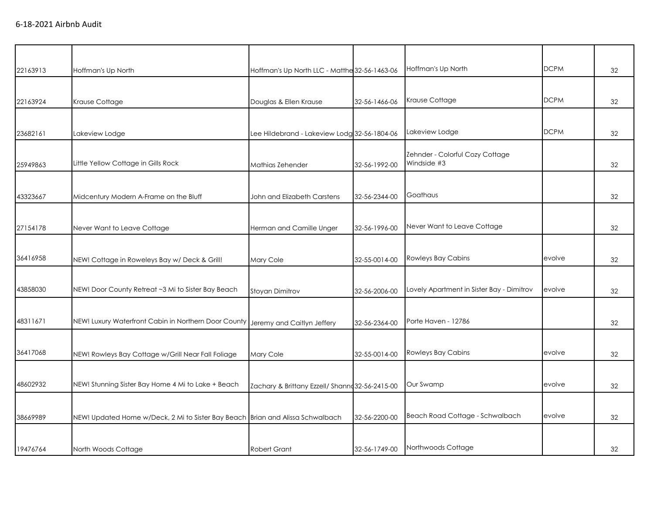| 22163913 | Hoffman's Up North                                                              | Hoffman's Up North LLC - Matthe 32-56-1463-06   |               | Hoffman's Up North                             | <b>DCPM</b> | 32 |
|----------|---------------------------------------------------------------------------------|-------------------------------------------------|---------------|------------------------------------------------|-------------|----|
|          |                                                                                 |                                                 |               |                                                |             |    |
| 22163924 | Krause Cottage                                                                  | Douglas & Ellen Krause                          | 32-56-1466-06 | Krause Cottage                                 | <b>DCPM</b> | 32 |
| 23682161 | Lakeview Lodge                                                                  | Lee Hildebrand - Lakeview Lodg 32-56-1804-06    |               | Lakeview Lodge                                 | <b>DCPM</b> | 32 |
| 25949863 | Little Yellow Cottage in Gills Rock                                             | Mathias Zehender                                | 32-56-1992-00 | Zehnder - Colorful Cozy Cottage<br>Windside #3 |             | 32 |
| 43323667 | Midcentury Modern A-Frame on the Bluff                                          | John and Elizabeth Carstens                     | 32-56-2344-00 | Goathaus                                       |             | 32 |
| 27154178 | Never Want to Leave Cottage                                                     | Herman and Camille Unger                        | 32-56-1996-00 | Never Want to Leave Cottage                    |             | 32 |
| 36416958 | NEW! Cottage in Roweleys Bay w/ Deck & Grill!                                   | Mary Cole                                       | 32-55-0014-00 | Rowleys Bay Cabins                             | evolve      | 32 |
| 43858030 | NEW! Door County Retreat ~3 Mi to Sister Bay Beach                              | Stoyan Dimitrov                                 | 32-56-2006-00 | Lovely Apartment in Sister Bay - Dimitrov      | evolve      | 32 |
| 48311671 | NEW! Luxury Waterfront Cabin in Northern Door County Jeremy and Caitlyn Jeffery |                                                 | 32-56-2364-00 | Porte Haven - 12786                            |             | 32 |
| 36417068 | NEW! Rowleys Bay Cottage w/Grill Near Fall Foliage                              | Mary Cole                                       | 32-55-0014-00 | Rowleys Bay Cabins                             | evolve      | 32 |
| 48602932 | NEW! Stunning Sister Bay Home 4 Mi to Lake + Beach                              | Zachary & Brittany Ezzell/ Shanno 32-56-2415-00 |               | Our Swamp                                      | evolve      | 32 |
| 38669989 | NEW! Updated Home w/Deck, 2 Mi to Sister Bay Beach Brian and Alissa Schwalbach  |                                                 | 32-56-2200-00 | Beach Road Cottage - Schwalbach                | evolve      | 32 |
| 19476764 | North Woods Cottage                                                             | <b>Robert Grant</b>                             | 32-56-1749-00 | Northwoods Cottage                             |             | 32 |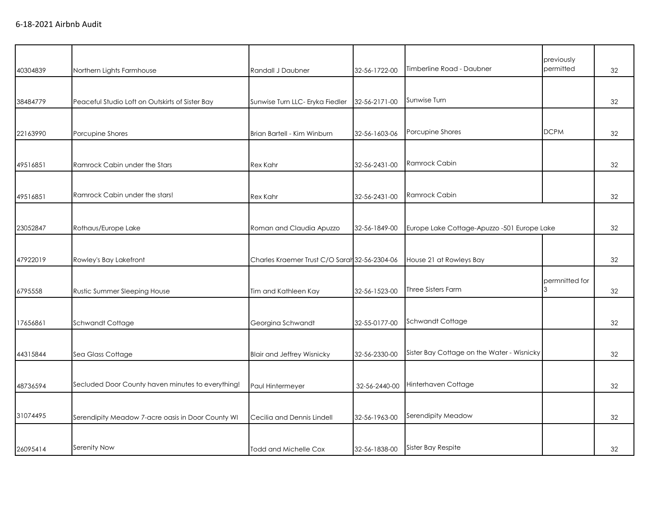| 40304839 | Northern Lights Farmhouse                         | Randall J Daubner                             | 32-56-1722-00 | Timberline Road - Daubner                   | previously<br>permitted | 32 |
|----------|---------------------------------------------------|-----------------------------------------------|---------------|---------------------------------------------|-------------------------|----|
| 38484779 | Peaceful Studio Loft on Outskirts of Sister Bay   | Sunwise Turn LLC- Eryka Fiedler               | 32-56-2171-00 | Sunwise Turn                                |                         | 32 |
| 22163990 | Porcupine Shores                                  | Brian Bartell - Kim Winburn                   | 32-56-1603-06 | Porcupine Shores                            | <b>DCPM</b>             | 32 |
| 49516851 | Ramrock Cabin under the Stars                     | <b>Rex Kahr</b>                               | 32-56-2431-00 | Ramrock Cabin                               |                         | 32 |
| 49516851 | Ramrock Cabin under the stars!                    | <b>Rex Kahr</b>                               | 32-56-2431-00 | Ramrock Cabin                               |                         | 32 |
| 23052847 | Rothaus/Europe Lake                               | Roman and Claudia Apuzzo                      | 32-56-1849-00 | Europe Lake Cottage-Apuzzo -501 Europe Lake |                         | 32 |
| 47922019 | Rowley's Bay Lakefront                            | Charles Kraemer Trust C/O Sarah 32-56-2304-06 |               | House 21 at Rowleys Bay                     |                         | 32 |
| 6795558  | Rustic Summer Sleeping House                      | Tim and Kathleen Kay                          | 32-56-1523-00 | <b>Three Sisters Farm</b>                   | permnitted for<br>3     | 32 |
| 17656861 | Schwandt Cottage                                  | Georgina Schwandt                             | 32-55-0177-00 | Schwandt Cottage                            |                         | 32 |
| 44315844 | Sea Glass Cottage                                 | <b>Blair and Jeffrey Wisnicky</b>             | 32-56-2330-00 | Sister Bay Cottage on the Water - Wisnicky  |                         | 32 |
| 48736594 | Secluded Door County haven minutes to everything! | Paul Hintermeyer                              | 32-56-2440-00 | Hinterhaven Cottage                         |                         | 32 |
| 31074495 | Serendipity Meadow 7-acre oasis in Door County WI | Cecilia and Dennis Lindell                    | 32-56-1963-00 | Serendipity Meadow                          |                         | 32 |
| 26095414 | Serenity Now                                      | <b>Todd and Michelle Cox</b>                  | 32-56-1838-00 | Sister Bay Respite                          |                         | 32 |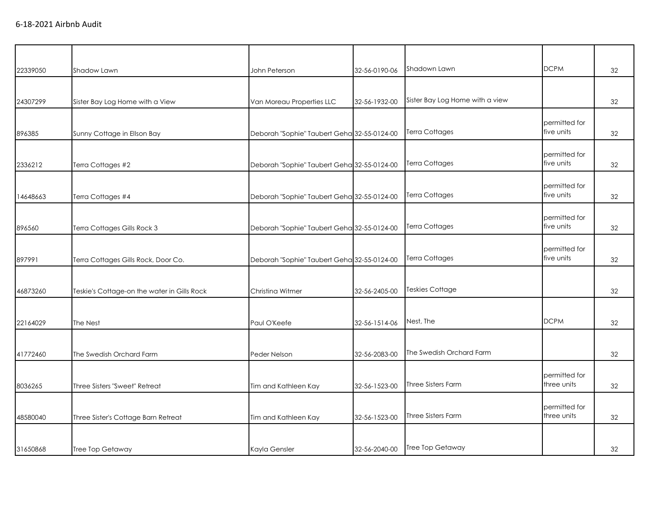| 22339050 | Shadow Lawn                                 | John Peterson                               | 32-56-0190-06 | Shadown Lawn                    | <b>DCPM</b>                  | 32 |
|----------|---------------------------------------------|---------------------------------------------|---------------|---------------------------------|------------------------------|----|
|          |                                             |                                             |               |                                 |                              |    |
| 24307299 | Sister Bay Log Home with a View             | Van Moreau Properties LLC                   | 32-56-1932-00 | Sister Bay Log Home with a view |                              | 32 |
|          |                                             |                                             |               |                                 |                              |    |
| 896385   | Sunny Cottage in Ellson Bay                 | Deborah "Sophie" Taubert Geha 32-55-0124-00 |               | Terra Cottages                  | permitted for<br>five units  | 32 |
|          |                                             |                                             |               |                                 |                              |    |
|          |                                             |                                             |               | <b>Terra Cottages</b>           | permitted for<br>five units  |    |
| 2336212  | Terra Cottages #2                           | Deborah "Sophie" Taubert Geha 32-55-0124-00 |               |                                 |                              | 32 |
|          |                                             |                                             |               |                                 | permitted for                |    |
| 14648663 | Terra Cottages #4                           | Deborah "Sophie" Taubert Geha 32-55-0124-00 |               | <b>Terra Cottages</b>           | five units                   | 32 |
|          |                                             |                                             |               |                                 | permitted for                |    |
| 896560   | Terra Cottages Gills Rock 3                 | Deborah "Sophie" Taubert Geha 32-55-0124-00 |               | Terra Cottages                  | five units                   | 32 |
|          |                                             |                                             |               |                                 |                              |    |
| 897991   | Terra Cottages Gills Rock, Door Co.         | Deborah "Sophie" Taubert Geha 32-55-0124-00 |               | <b>Terra Cottages</b>           | permitted for<br>five units  | 32 |
|          |                                             |                                             |               |                                 |                              |    |
|          |                                             |                                             |               |                                 |                              |    |
| 46873260 | Teskie's Cottage-on the water in Gills Rock | Christina Witmer                            | 32-56-2405-00 | <b>Teskies Cottage</b>          |                              | 32 |
|          |                                             |                                             |               |                                 |                              |    |
| 22164029 | The Nest                                    | Paul O'Keefe                                | 32-56-1514-06 | Nest, The                       | <b>DCPM</b>                  | 32 |
|          |                                             |                                             |               |                                 |                              |    |
| 41772460 | The Swedish Orchard Farm                    | Peder Nelson                                | 32-56-2083-00 | The Swedish Orchard Farm        |                              | 32 |
|          |                                             |                                             |               |                                 |                              |    |
| 8036265  | Three Sisters "Sweet" Retreat               | Tim and Kathleen Kay                        | 32-56-1523-00 | <b>Three Sisters Farm</b>       | permitted for<br>three units | 32 |
|          |                                             |                                             |               |                                 |                              |    |
|          |                                             |                                             |               |                                 | permitted for                |    |
| 48580040 | Three Sister's Cottage Barn Retreat         | Tim and Kathleen Kay                        | 32-56-1523-00 | Three Sisters Farm              | three units                  | 32 |
|          |                                             |                                             |               |                                 |                              |    |
| 31650868 | <b>Tree Top Getaway</b>                     | Kayla Gensler                               | 32-56-2040-00 | Tree Top Getaway                |                              | 32 |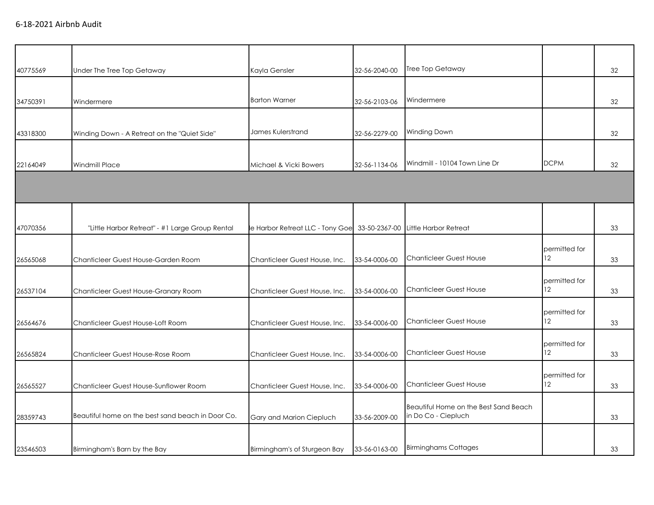| 40775569 | Under The Tree Top Getaway                        | Kayla Gensler                   | 32-56-2040-00 | Tree Top Getaway                      |               | 32 |
|----------|---------------------------------------------------|---------------------------------|---------------|---------------------------------------|---------------|----|
|          |                                                   |                                 |               |                                       |               |    |
| 34750391 | Windermere                                        | <b>Barton Warner</b>            | 32-56-2103-06 | Windermere                            |               | 32 |
|          |                                                   |                                 |               |                                       |               |    |
| 43318300 | Winding Down - A Retreat on the "Quiet Side"      | James Kulerstrand               | 32-56-2279-00 | Winding Down                          |               | 32 |
|          |                                                   |                                 |               |                                       |               |    |
| 22164049 | Windmill Place                                    | Michael & Vicki Bowers          | 32-56-1134-06 | Windmill - 10104 Town Line Dr         | <b>DCPM</b>   | 32 |
|          |                                                   |                                 |               |                                       |               |    |
|          |                                                   |                                 |               |                                       |               |    |
|          |                                                   |                                 |               |                                       |               |    |
| 47070356 | "Little Harbor Retreat" - #1 Large Group Rental   | e Harbor Retreat LLC - Tony Goe | 33-50-2367-00 | Little Harbor Retreat                 |               | 33 |
|          |                                                   |                                 |               |                                       | permitted for |    |
| 26565068 | Chanticleer Guest House-Garden Room               | Chanticleer Guest House, Inc.   | 33-54-0006-00 | <b>Chanticleer Guest House</b>        | 12            | 33 |
|          |                                                   |                                 |               |                                       | permitted for |    |
| 26537104 | Chanticleer Guest House-Granary Room              | Chanticleer Guest House, Inc.   | 33-54-0006-00 | <b>Chanticleer Guest House</b>        | 12            | 33 |
|          |                                                   |                                 |               |                                       | permitted for |    |
| 26564676 | Chanticleer Guest House-Loft Room                 | Chanticleer Guest House, Inc.   | 33-54-0006-00 | <b>Chanticleer Guest House</b>        | 12            | 33 |
|          |                                                   |                                 |               |                                       | permitted for |    |
| 26565824 | Chanticleer Guest House-Rose Room                 | Chanticleer Guest House, Inc.   | 33-54-0006-00 | <b>Chanticleer Guest House</b>        | 12            | 33 |
|          |                                                   |                                 |               |                                       | permitted for |    |
| 26565527 | Chanticleer Guest House-Sunflower Room            | Chanticleer Guest House, Inc.   | 33-54-0006-00 | <b>Chanticleer Guest House</b>        | 12            | 33 |
|          |                                                   |                                 |               | Beautiful Home on the Best Sand Beach |               |    |
| 28359743 | Beautiful home on the best sand beach in Door Co. | Gary and Marion Ciepluch        | 33-56-2009-00 | in Do Co - Ciepluch                   |               | 33 |
|          |                                                   |                                 |               |                                       |               |    |
| 23546503 | Birmingham's Barn by the Bay                      | Birmingham's of Sturgeon Bay    | 33-56-0163-00 | <b>Birminghams Cottages</b>           |               | 33 |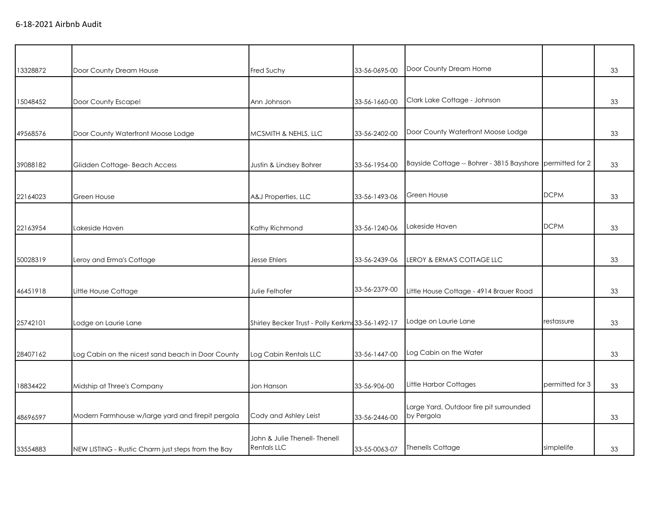| 13328872 | Door County Dream House                            | Fred Suchy                                       | 33-56-0695-00 | Door County Dream Home                                    |                 | 33 |
|----------|----------------------------------------------------|--------------------------------------------------|---------------|-----------------------------------------------------------|-----------------|----|
|          |                                                    |                                                  |               |                                                           |                 |    |
| 15048452 | Door County Escape!                                | Ann Johnson                                      | 33-56-1660-00 | Clark Lake Cottage - Johnson                              |                 | 33 |
|          |                                                    |                                                  |               |                                                           |                 |    |
| 49568576 | Door County Waterfront Moose Lodge                 | MCSMITH & NEHLS, LLC                             | 33-56-2402-00 | Door County Waterfront Moose Lodge                        |                 | 33 |
|          |                                                    |                                                  |               |                                                           |                 |    |
| 39088182 | Glidden Cottage- Beach Access                      | Justin & Lindsey Bohrer                          | 33-56-1954-00 | Bayside Cottage -- Bohrer - 3815 Bayshore permitted for 2 |                 | 33 |
|          |                                                    |                                                  |               |                                                           |                 |    |
| 22164023 | Green House                                        | A&J Properties, LLC                              | 33-56-1493-06 | Green House                                               | <b>DCPM</b>     | 33 |
|          |                                                    |                                                  |               |                                                           |                 |    |
| 22163954 | Lakeside Haven                                     | Kathy Richmond                                   | 33-56-1240-06 | Lakeside Haven                                            | <b>DCPM</b>     | 33 |
|          |                                                    |                                                  |               |                                                           |                 |    |
| 50028319 | Leroy and Erma's Cottage                           | <b>Jesse Ehlers</b>                              | 33-56-2439-06 | LEROY & ERMA'S COTTAGE LLC                                |                 | 33 |
|          |                                                    |                                                  |               |                                                           |                 |    |
| 46451918 | Little House Cottage                               | Julie Felhofer                                   | 33-56-2379-00 | Little House Cottage - 4914 Brauer Road                   |                 | 33 |
|          |                                                    |                                                  |               |                                                           |                 |    |
| 25742101 | Lodge on Laurie Lane                               | Shirley Becker Trust - Polly Kerkmd33-56-1492-17 |               | Lodge on Laurie Lane                                      | restassure      | 33 |
|          |                                                    |                                                  |               |                                                           |                 |    |
| 28407162 | Log Cabin on the nicest sand beach in Door County  | Log Cabin Rentals LLC                            | 33-56-1447-00 | Log Cabin on the Water                                    |                 | 33 |
|          |                                                    |                                                  |               |                                                           |                 |    |
| 18834422 | Midship at Three's Company                         | Jon Hanson                                       | 33-56-906-00  | Little Harbor Cottages                                    | permitted for 3 | 33 |
|          |                                                    |                                                  |               | Large Yard, Outdoor fire pit surrounded                   |                 |    |
| 48696597 | Modern Farmhouse w/large yard and firepit pergola  | Cody and Ashley Leist                            | 33-56-2446-00 | by Pergola                                                |                 | 33 |
|          |                                                    | John & Julie Thenell- Thenell                    |               |                                                           |                 |    |
| 33554883 | NEW LISTING - Rustic Charm just steps from the Bay | <b>Rentals LLC</b>                               | 33-55-0063-07 | <b>Thenells Cottage</b>                                   | simplelife      | 33 |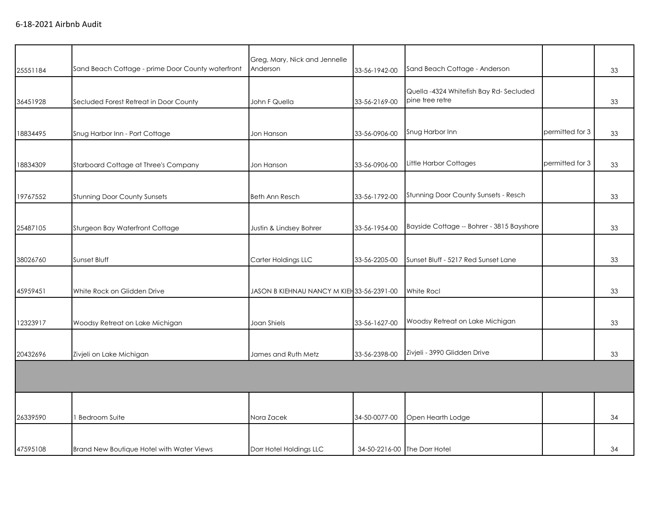| 25551184 | Sand Beach Cottage - prime Door County waterfront | Greg, Mary, Nick and Jennelle<br>Anderson  | 33-56-1942-00 | Sand Beach Cottage - Anderson                             |                 | 33 |
|----------|---------------------------------------------------|--------------------------------------------|---------------|-----------------------------------------------------------|-----------------|----|
| 36451928 | Secluded Forest Retreat in Door County            | John F Quella                              | 33-56-2169-00 | Quella -4324 Whitefish Bay Rd-Secluded<br>pine tree retre |                 | 33 |
| 18834495 | Snug Harbor Inn - Port Cottage                    | Jon Hanson                                 | 33-56-0906-00 | Snug Harbor Inn                                           | permitted for 3 | 33 |
| 18834309 | Starboard Cottage at Three's Company              | Jon Hanson                                 | 33-56-0906-00 | Little Harbor Cottages                                    | permitted for 3 | 33 |
| 19767552 | <b>Stunning Door County Sunsets</b>               | <b>Beth Ann Resch</b>                      | 33-56-1792-00 | Stunning Door County Sunsets - Resch                      |                 | 33 |
| 25487105 | Sturgeon Bay Waterfront Cottage                   | Justin & Lindsey Bohrer                    | 33-56-1954-00 | Bayside Cottage -- Bohrer - 3815 Bayshore                 |                 | 33 |
| 38026760 | Sunset Bluff                                      | Carter Holdings LLC                        | 33-56-2205-00 | Sunset Bluff - 5217 Red Sunset Lane                       |                 | 33 |
| 45959451 | White Rock on Glidden Drive                       | JASON B KIEHNAU NANCY M KIEH 33-56-2391-00 |               | White Rocl                                                |                 | 33 |
| 12323917 | Woodsy Retreat on Lake Michigan                   | Joan Shiels                                | 33-56-1627-00 | Woodsy Retreat on Lake Michigan                           |                 | 33 |
| 20432696 | Zivjeli on Lake Michigan                          | James and Ruth Metz                        | 33-56-2398-00 | Zivjeli - 3990 Glidden Drive                              |                 | 33 |
|          |                                                   |                                            |               |                                                           |                 |    |
| 26339590 | 1 Bedroom Suite                                   | Nora Zacek                                 | 34-50-0077-00 | Open Hearth Lodge                                         |                 | 34 |
| 47595108 | <b>Brand New Boutique Hotel with Water Views</b>  | Dorr Hotel Holdings LLC                    |               | 34-50-2216-00 The Dorr Hotel                              |                 | 34 |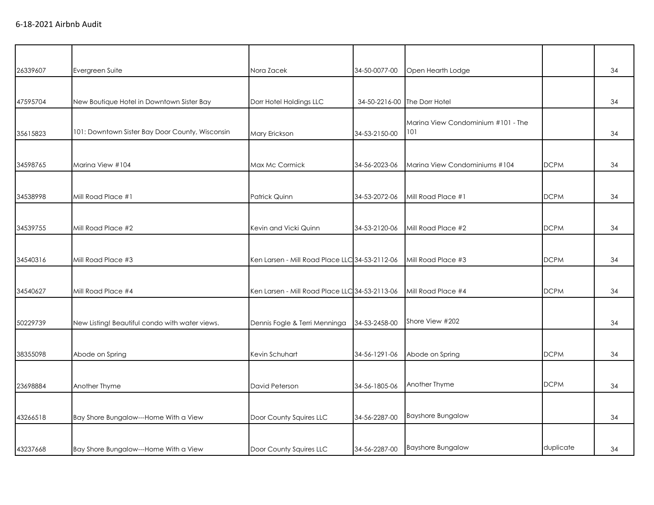| 26339607 | Evergreen Suite                                 | Nora Zacek                                     | 34-50-0077-00 | Open Hearth Lodge                         |             | 34 |
|----------|-------------------------------------------------|------------------------------------------------|---------------|-------------------------------------------|-------------|----|
|          |                                                 |                                                |               |                                           |             |    |
| 47595704 | New Boutique Hotel in Downtown Sister Bay       | Dorr Hotel Holdings LLC                        |               | 34-50-2216-00 The Dorr Hotel              |             | 34 |
| 35615823 | 101: Downtown Sister Bay Door County, Wisconsin | Mary Erickson                                  | 34-53-2150-00 | Marina View Condominium #101 - The<br>101 |             | 34 |
|          |                                                 |                                                |               |                                           |             |    |
| 34598765 | Marina View #104                                | Max Mc Cormick                                 | 34-56-2023-06 | Marina View Condominiums #104             | <b>DCPM</b> | 34 |
|          |                                                 |                                                |               |                                           |             |    |
| 34538998 | Mill Road Place #1                              | Patrick Quinn                                  | 34-53-2072-06 | Mill Road Place #1                        | <b>DCPM</b> | 34 |
| 34539755 | Mill Road Place #2                              | Kevin and Vicki Quinn                          | 34-53-2120-06 | Mill Road Place #2                        | <b>DCPM</b> | 34 |
|          |                                                 |                                                |               |                                           |             |    |
| 34540316 | Mill Road Place #3                              | Ken Larsen - Mill Road Place LLC 34-53-2112-06 |               | Mill Road Place #3                        | <b>DCPM</b> | 34 |
| 34540627 | Mill Road Place #4                              | Ken Larsen - Mill Road Place LLC 34-53-2113-06 |               | Mill Road Place #4                        | <b>DCPM</b> | 34 |
| 50229739 | New Listing! Beautiful condo with water views.  | Dennis Fogle & Terri Menninga                  | 34-53-2458-00 | Shore View #202                           |             | 34 |
|          |                                                 |                                                |               |                                           |             |    |
| 38355098 | Abode on Spring                                 | Kevin Schuhart                                 | 34-56-1291-06 | Abode on Spring                           | <b>DCPM</b> | 34 |
| 23698884 | Another Thyme                                   | David Peterson                                 | 34-56-1805-06 | Another Thyme                             | <b>DCPM</b> | 34 |
|          |                                                 |                                                |               |                                           |             |    |
| 43266518 | Bay Shore Bungalow---Home With a View           | Door County Squires LLC                        | 34-56-2287-00 | <b>Bayshore Bungalow</b>                  |             | 34 |
| 43237668 | Bay Shore Bungalow---Home With a View           | Door County Squires LLC                        | 34-56-2287-00 | <b>Bayshore Bungalow</b>                  | duplicate   | 34 |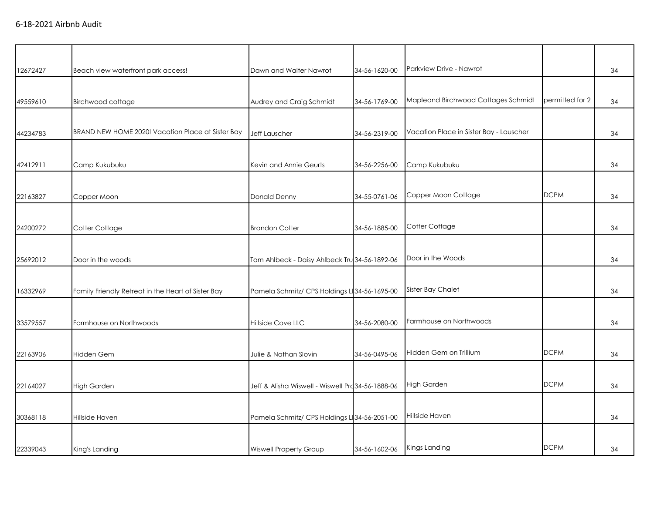| 12672427 | Beach view waterfront park access!                 | Dawn and Walter Nawrot                            | 34-56-1620-00 | Parkview Drive - Nawrot                 |                 | 34 |
|----------|----------------------------------------------------|---------------------------------------------------|---------------|-----------------------------------------|-----------------|----|
|          |                                                    |                                                   |               |                                         |                 |    |
| 49559610 | Birchwood cottage                                  | Audrey and Craig Schmidt                          | 34-56-1769-00 | Mapleand Birchwood Cottages Schmidt     | permitted for 2 | 34 |
|          |                                                    |                                                   |               |                                         |                 |    |
| 44234783 | BRAND NEW HOME 2020! Vacation Place at Sister Bay  | Jeff Lauscher                                     | 34-56-2319-00 | Vacation Place in Sister Bay - Lauscher |                 | 34 |
|          |                                                    |                                                   |               |                                         |                 |    |
| 42412911 | Camp Kukubuku                                      | Kevin and Annie Geurts                            | 34-56-2256-00 | Camp Kukubuku                           |                 | 34 |
|          |                                                    |                                                   |               |                                         |                 |    |
|          |                                                    |                                                   |               | Copper Moon Cottage                     | <b>DCPM</b>     |    |
| 22163827 | Copper Moon                                        | Donald Denny                                      | 34-55-0761-06 |                                         |                 | 34 |
|          |                                                    |                                                   |               |                                         |                 |    |
| 24200272 | Cotter Cottage                                     | <b>Brandon Cotter</b>                             | 34-56-1885-00 | Cotter Cottage                          |                 | 34 |
|          |                                                    |                                                   |               |                                         |                 |    |
| 25692012 | Door in the woods                                  | Tom Ahlbeck - Daisy Ahlbeck Tru 34-56-1892-06     |               | Door in the Woods                       |                 | 34 |
|          |                                                    |                                                   |               |                                         |                 |    |
| 16332969 | Family Friendly Retreat in the Heart of Sister Bay | Pamela Schmitz/ CPS Holdings L 34-56-1695-00      |               | Sister Bay Chalet                       |                 | 34 |
|          |                                                    |                                                   |               |                                         |                 |    |
| 33579557 | Farmhouse on Northwoods                            | Hillside Cove LLC                                 | 34-56-2080-00 | Farmhouse on Northwoods                 |                 | 34 |
|          |                                                    |                                                   |               |                                         |                 |    |
|          |                                                    |                                                   |               | Hidden Gem on Trillium                  | <b>DCPM</b>     |    |
| 22163906 | Hidden Gem                                         | Julie & Nathan Slovin                             | 34-56-0495-06 |                                         |                 | 34 |
|          |                                                    |                                                   |               |                                         |                 |    |
| 22164027 | <b>High Garden</b>                                 | Jeff & Alisha Wiswell - Wiswell Prd 34-56-1888-06 |               | High Garden                             | <b>DCPM</b>     | 34 |
|          |                                                    |                                                   |               |                                         |                 |    |
| 30368118 | Hillside Haven                                     | Pamela Schmitz/ CPS Holdings L 34-56-2051-00      |               | Hillside Haven                          |                 | 34 |
|          |                                                    |                                                   |               |                                         |                 |    |
| 22339043 | King's Landing                                     | <b>Wiswell Property Group</b>                     | 34-56-1602-06 | Kings Landing                           | <b>DCPM</b>     | 34 |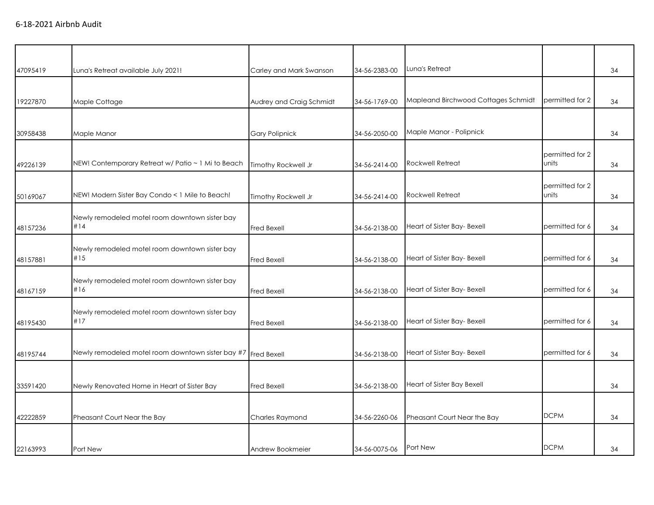| 47095419 | Luna's Retreat available July 2021!                           | Carley and Mark Swanson  | 34-56-2383-00 | Luna's Retreat                      |                          | 34 |
|----------|---------------------------------------------------------------|--------------------------|---------------|-------------------------------------|--------------------------|----|
| 19227870 |                                                               |                          | 34-56-1769-00 | Mapleand Birchwood Cottages Schmidt | permitted for 2          | 34 |
|          | Maple Cottage                                                 | Audrey and Craig Schmidt |               |                                     |                          |    |
| 30958438 | Maple Manor                                                   | <b>Gary Polipnick</b>    | 34-56-2050-00 | Maple Manor - Polipnick             |                          | 34 |
| 49226139 | NEW! Contemporary Retreat w/ Patio ~ 1 Mi to Beach            | Timothy Rockwell Jr      | 34-56-2414-00 | <b>Rockwell Retreat</b>             | permitted for 2<br>units | 34 |
| 50169067 | NEW! Modern Sister Bay Condo < 1 Mile to Beach!               | Timothy Rockwell Jr      | 34-56-2414-00 | <b>Rockwell Retreat</b>             | permitted for 2<br>units | 34 |
| 48157236 | Newly remodeled motel room downtown sister bay<br>#14         | <b>Fred Bexell</b>       | 34-56-2138-00 | Heart of Sister Bay- Bexell         | permitted for 6          | 34 |
| 48157881 | Newly remodeled motel room downtown sister bay<br>#15         | <b>Fred Bexell</b>       | 34-56-2138-00 | Heart of Sister Bay- Bexell         | permitted for 6          | 34 |
| 48167159 | Newly remodeled motel room downtown sister bay<br>#16         | <b>Fred Bexell</b>       | 34-56-2138-00 | Heart of Sister Bay- Bexell         | permitted for 6          | 34 |
| 48195430 | Newly remodeled motel room downtown sister bay<br>#17         | <b>Fred Bexell</b>       | 34-56-2138-00 | Heart of Sister Bay- Bexell         | permitted for 6          | 34 |
| 48195744 | Newly remodeled motel room downtown sister bay #7 Fred Bexell |                          | 34-56-2138-00 | Heart of Sister Bay- Bexell         | permitted for 6          | 34 |
| 33591420 | Newly Renovated Home in Heart of Sister Bay                   | <b>Fred Bexell</b>       | 34-56-2138-00 | Heart of Sister Bay Bexell          |                          | 34 |
| 42222859 | Pheasant Court Near the Bay                                   | Charles Raymond          | 34-56-2260-06 | Pheasant Court Near the Bay         | <b>DCPM</b>              | 34 |
| 22163993 | Port New                                                      | Andrew Bookmeier         | 34-56-0075-06 | Port New                            | <b>DCPM</b>              | 34 |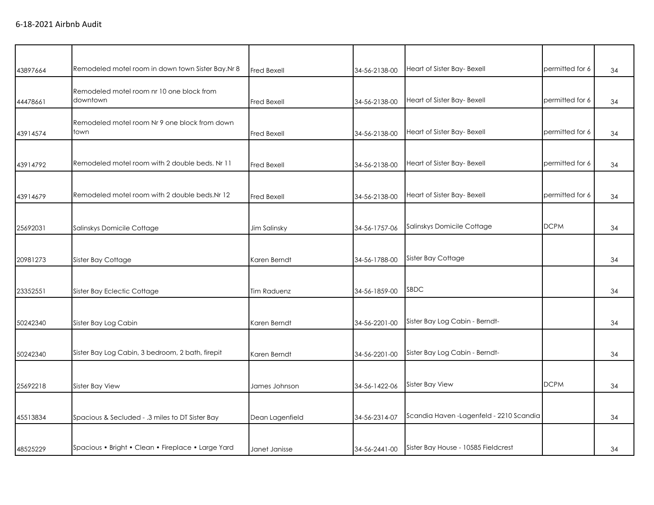| 43897664 | Remodeled motel room in down town Sister Bay.Nr 8     | <b>Fred Bexell</b> | 34-56-2138-00 | Heart of Sister Bay- Bexell              | permitted for 6 | 34 |
|----------|-------------------------------------------------------|--------------------|---------------|------------------------------------------|-----------------|----|
| 44478661 | Remodeled motel room nr 10 one block from<br>downtown | <b>Fred Bexell</b> | 34-56-2138-00 | Heart of Sister Bay- Bexell              | permitted for 6 | 34 |
| 43914574 | Remodeled motel room Nr 9 one block from down<br>town | <b>Fred Bexell</b> | 34-56-2138-00 | Heart of Sister Bay- Bexell              | permitted for 6 | 34 |
| 43914792 | Remodeled motel room with 2 double beds. Nr 11        | <b>Fred Bexell</b> | 34-56-2138-00 | Heart of Sister Bay- Bexell              | permitted for 6 | 34 |
| 43914679 | Remodeled motel room with 2 double beds. Nr 12        | <b>Fred Bexell</b> | 34-56-2138-00 | Heart of Sister Bay- Bexell              | permitted for 6 | 34 |
| 25692031 | Salinskys Domicile Cottage                            | Jim Salinsky       | 34-56-1757-06 | Salinskys Domicile Cottage               | <b>DCPM</b>     | 34 |
| 20981273 | Sister Bay Cottage                                    | Karen Berndt       | 34-56-1788-00 | Sister Bay Cottage                       |                 | 34 |
| 23352551 | Sister Bay Eclectic Cottage                           | <b>Tim Raduenz</b> | 34-56-1859-00 | SBDC                                     |                 | 34 |
| 50242340 | Sister Bay Log Cabin                                  | Karen Berndt       | 34-56-2201-00 | Sister Bay Log Cabin - Berndt-           |                 | 34 |
| 50242340 | Sister Bay Log Cabin, 3 bedroom, 2 bath, firepit      | Karen Berndt       | 34-56-2201-00 | Sister Bay Log Cabin - Berndt-           |                 | 34 |
| 25692218 | Sister Bay View                                       | James Johnson      | 34-56-1422-06 | Sister Bay View                          | <b>DCPM</b>     | 34 |
| 45513834 | Spacious & Secluded - .3 miles to DT Sister Bay       | Dean Lagenfield    | 34-56-2314-07 | Scandia Haven - Lagenfeld - 2210 Scandia |                 | 34 |
| 48525229 | Spacious • Bright • Clean • Fireplace • Large Yard    | Janet Janisse      | 34-56-2441-00 | Sister Bay House - 10585 Fieldcrest      |                 | 34 |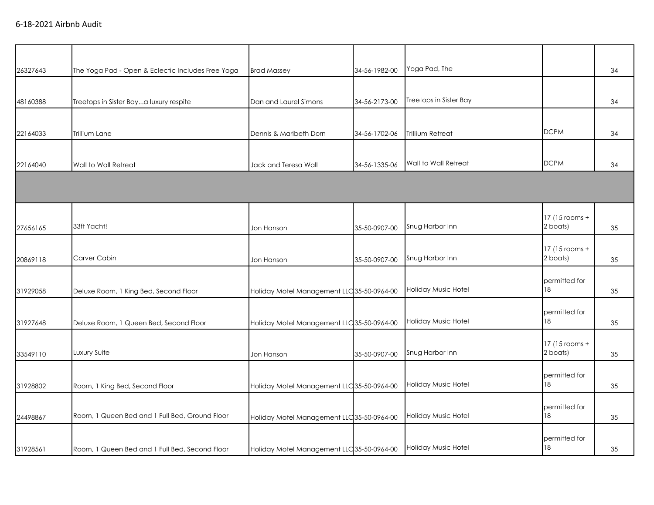|          |                                                   |                                            |               | Yoga Pad, The          |                            |    |
|----------|---------------------------------------------------|--------------------------------------------|---------------|------------------------|----------------------------|----|
| 26327643 | The Yoga Pad - Open & Eclectic Includes Free Yoga | <b>Brad Massey</b>                         | 34-56-1982-00 |                        |                            | 34 |
| 48160388 | Treetops in Sister Baya luxury respite            | Dan and Laurel Simons                      | 34-56-2173-00 | Treetops in Sister Bay |                            | 34 |
| 22164033 | Trillium Lane                                     | Dennis & Maribeth Dorn                     | 34-56-1702-06 | Trillium Retreat       | <b>DCPM</b>                | 34 |
| 22164040 | Wall to Wall Retreat                              | Jack and Teresa Wall                       | 34-56-1335-06 | Wall to Wall Retreat   | <b>DCPM</b>                | 34 |
|          |                                                   |                                            |               |                        |                            |    |
| 27656165 | 33ft Yacht!                                       | Jon Hanson                                 | 35-50-0907-00 | Snug Harbor Inn        | 17 (15 rooms +<br>2 boats) | 35 |
| 20869118 | Carver Cabin                                      | Jon Hanson                                 | 35-50-0907-00 | Snug Harbor Inn        | 17 (15 rooms +<br>2 boats) | 35 |
| 31929058 | Deluxe Room, 1 King Bed, Second Floor             | Holiday Motel Management LLC 35-50-0964-00 |               | Holiday Music Hotel    | permitted for<br>18        | 35 |
| 31927648 | Deluxe Room, 1 Queen Bed, Second Floor            | Holiday Motel Management LLC 35-50-0964-00 |               | Holiday Music Hotel    | permitted for<br>18        | 35 |
| 33549110 | Luxury Suite                                      | Jon Hanson                                 | 35-50-0907-00 | Snug Harbor Inn        | 17 (15 rooms +<br>2 boats) | 35 |
| 31928802 | Room, 1 King Bed, Second Floor                    | Holiday Motel Management LLC 35-50-0964-00 |               | Holiday Music Hotel    | permitted for<br>18        | 35 |
| 24498867 | Room, 1 Queen Bed and 1 Full Bed, Ground Floor    | Holiday Motel Management LLC 35-50-0964-00 |               | Holiday Music Hotel    | permitted for<br>18        | 35 |
| 31928561 | Room, 1 Queen Bed and 1 Full Bed, Second Floor    | Holiday Motel Management LLC 35-50-0964-00 |               | Holiday Music Hotel    | permitted for<br>18        | 35 |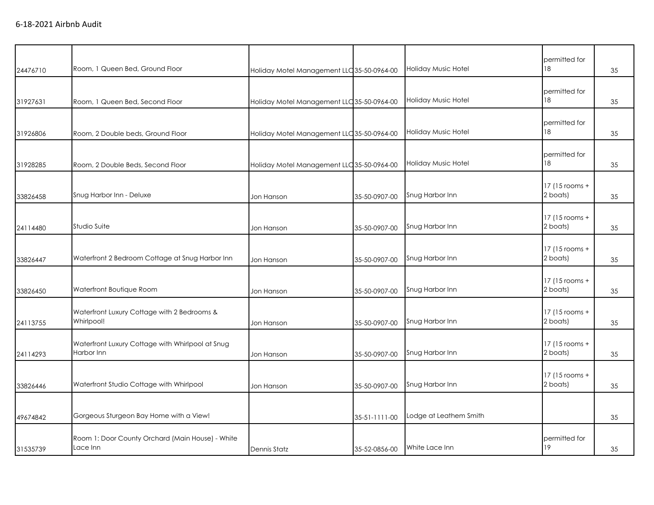| 24476710 | Room, 1 Queen Bed, Ground Floor                                | Holiday Motel Management LLC 35-50-0964-00 |               | <b>Holiday Music Hotel</b> | permitted for<br>18        | 35 |
|----------|----------------------------------------------------------------|--------------------------------------------|---------------|----------------------------|----------------------------|----|
| 31927631 | Room, 1 Queen Bed, Second Floor                                | Holiday Motel Management LLC 35-50-0964-00 |               | <b>Holiday Music Hotel</b> | permitted for<br>18        | 35 |
| 31926806 | Room, 2 Double beds, Ground Floor                              | Holiday Motel Management LLC 35-50-0964-00 |               | <b>Holiday Music Hotel</b> | permitted for<br>18        | 35 |
| 31928285 | Room, 2 Double Beds, Second Floor                              | Holiday Motel Management LLC 35-50-0964-00 |               | <b>Holiday Music Hotel</b> | permitted for<br>18        | 35 |
| 33826458 | Snug Harbor Inn - Deluxe                                       | Jon Hanson                                 | 35-50-0907-00 | Snug Harbor Inn            | 17 (15 rooms +<br>2 boats) | 35 |
| 24114480 | Studio Suite                                                   | Jon Hanson                                 | 35-50-0907-00 | Snug Harbor Inn            | 17 (15 rooms +<br>2 boats) | 35 |
| 33826447 | Waterfront 2 Bedroom Cottage at Snug Harbor Inn                | Jon Hanson                                 | 35-50-0907-00 | Snug Harbor Inn            | 17 (15 rooms +<br>2 boats) | 35 |
| 33826450 | Waterfront Boutique Room                                       | Jon Hanson                                 | 35-50-0907-00 | Snug Harbor Inn            | 17 (15 rooms +<br>2 boats) | 35 |
| 24113755 | Waterfront Luxury Cottage with 2 Bedrooms &<br>Whirlpool!      | Jon Hanson                                 | 35-50-0907-00 | Snug Harbor Inn            | 17 (15 rooms +<br>2 boats) | 35 |
| 24114293 | Waterfront Luxury Cottage with Whirlpool at Snug<br>Harbor Inn | Jon Hanson                                 | 35-50-0907-00 | Snug Harbor Inn            | 17 (15 rooms +<br>2 boats) | 35 |
| 33826446 | Waterfront Studio Cottage with Whirlpool                       | Jon Hanson                                 | 35-50-0907-00 | Snug Harbor Inn            | 17 (15 rooms +<br>2 boats) | 35 |
| 49674842 | Gorgeous Sturgeon Bay Home with a View!                        |                                            | 35-51-1111-00 | Lodge at Leathem Smith     |                            | 35 |
| 31535739 | Room 1: Door County Orchard (Main House) - White<br>Lace Inn   | Dennis Statz                               | 35-52-0856-00 | White Lace Inn             | permitted for<br>19        | 35 |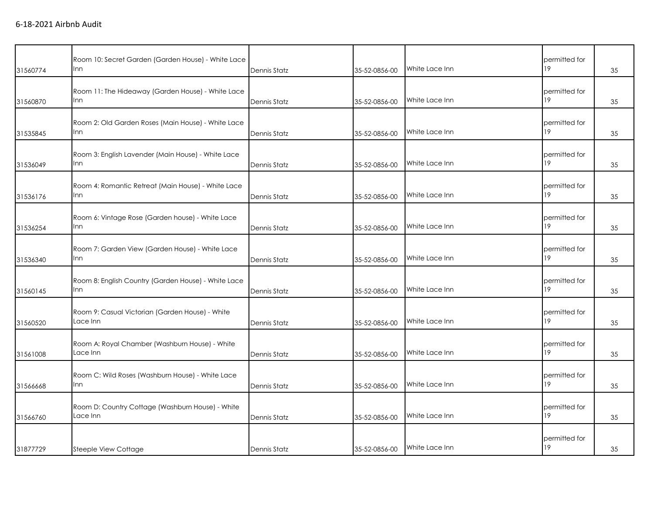| 31560774 | Room 10: Secret Garden (Garden House) - White Lace<br>Inn    | Dennis Statz | 35-52-0856-00 | White Lace Inn | permitted for<br>19 | 35 |
|----------|--------------------------------------------------------------|--------------|---------------|----------------|---------------------|----|
| 31560870 | Room 11: The Hideaway (Garden House) - White Lace<br>Inn     | Dennis Statz | 35-52-0856-00 | White Lace Inn | permitted for<br>19 | 35 |
| 31535845 | Room 2: Old Garden Roses (Main House) - White Lace<br>Inn    | Dennis Statz | 35-52-0856-00 | White Lace Inn | permitted for<br>19 | 35 |
| 31536049 | Room 3: English Lavender (Main House) - White Lace<br>Inn    | Dennis Statz | 35-52-0856-00 | White Lace Inn | permitted for<br>19 | 35 |
| 31536176 | Room 4: Romantic Retreat (Main House) - White Lace<br>Inn    | Dennis Statz | 35-52-0856-00 | White Lace Inn | permitted for<br>19 | 35 |
| 31536254 | Room 6: Vintage Rose (Garden house) - White Lace<br>Inn      | Dennis Statz | 35-52-0856-00 | White Lace Inn | permitted for<br>19 | 35 |
| 31536340 | Room 7: Garden View (Garden House) - White Lace<br>Inn       | Dennis Statz | 35-52-0856-00 | White Lace Inn | permitted for<br>19 | 35 |
| 31560145 | Room 8: English Country (Garden House) - White Lace<br>Inn   | Dennis Statz | 35-52-0856-00 | White Lace Inn | permitted for<br>19 | 35 |
| 31560520 | Room 9: Casual Victorian (Garden House) - White<br>Lace Inn  | Dennis Statz | 35-52-0856-00 | White Lace Inn | permitted for<br>19 | 35 |
| 31561008 | Room A: Royal Chamber (Washburn House) - White<br>Lace Inn   | Dennis Statz | 35-52-0856-00 | White Lace Inn | permitted for<br>19 | 35 |
| 31566668 | Room C: Wild Roses (Washburn House) - White Lace<br>Inn      | Dennis Statz | 35-52-0856-00 | White Lace Inn | permitted for<br>19 | 35 |
| 31566760 | Room D: Country Cottage (Washburn House) - White<br>Lace Inn | Dennis Statz | 35-52-0856-00 | White Lace Inn | permitted for<br>19 | 35 |
| 31877729 | Steeple View Cottage                                         | Dennis Statz | 35-52-0856-00 | White Lace Inn | permitted for<br>19 | 35 |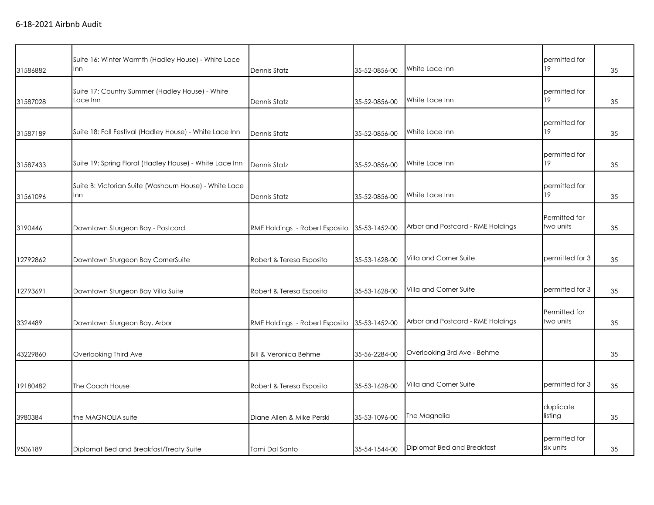| 31586882 | Suite 16: Winter Warmth (Hadley House) - White Lace<br>Inn    | Dennis Statz                     | 35-52-0856-00 | White Lace Inn                    | permitted for<br>19        | 35 |
|----------|---------------------------------------------------------------|----------------------------------|---------------|-----------------------------------|----------------------------|----|
| 31587028 | Suite 17: Country Summer (Hadley House) - White<br>Lace Inn   | Dennis Statz                     | 35-52-0856-00 | White Lace Inn                    | permitted for<br>19        | 35 |
| 31587189 | Suite 18: Fall Festival (Hadley House) - White Lace Inn       | Dennis Statz                     | 35-52-0856-00 | White Lace Inn                    | permitted for<br>19        | 35 |
| 31587433 | Suite 19: Spring Floral (Hadley House) - White Lace Inn       | Dennis Statz                     | 35-52-0856-00 | White Lace Inn                    | permitted for<br>19        | 35 |
| 31561096 | Suite B: Victorian Suite (Washburn House) - White Lace<br>Inn | Dennis Statz                     | 35-52-0856-00 | White Lace Inn                    | permitted for<br>19        | 35 |
| 3190446  | Downtown Sturgeon Bay - Postcard                              | RME Holdings - Robert Esposito   | 35-53-1452-00 | Arbor and Postcard - RME Holdings | Permitted for<br>two units | 35 |
| 12792862 | Downtown Sturgeon Bay CornerSuite                             | Robert & Teresa Esposito         | 35-53-1628-00 | Villa and Corner Suite            | permitted for 3            | 35 |
| 12793691 | Downtown Sturgeon Bay Villa Suite                             | Robert & Teresa Esposito         | 35-53-1628-00 | Villa and Corner Suite            | permitted for 3            | 35 |
| 3324489  | Downtown Sturgeon Bay, Arbor                                  | RME Holdings - Robert Esposito   | 35-53-1452-00 | Arbor and Postcard - RME Holdings | Permitted for<br>two units | 35 |
| 43229860 | Overlooking Third Ave                                         | <b>Bill &amp; Veronica Behme</b> | 35-56-2284-00 | Overlooking 3rd Ave - Behme       |                            | 35 |
| 19180482 | The Coach House                                               | Robert & Teresa Esposito         | 35-53-1628-00 | Villa and Corner Suite            | permitted for 3            | 35 |
| 3980384  | the MAGNOLIA suite                                            | Diane Allen & Mike Perski        | 35-53-1096-00 | The Magnolia                      | duplicate<br>listing       | 35 |
| 9506189  | Diplomat Bed and Breakfast/Treaty Suite                       | Tami Dal Santo                   | 35-54-1544-00 | Diplomat Bed and Breakfast        | permitted for<br>six units | 35 |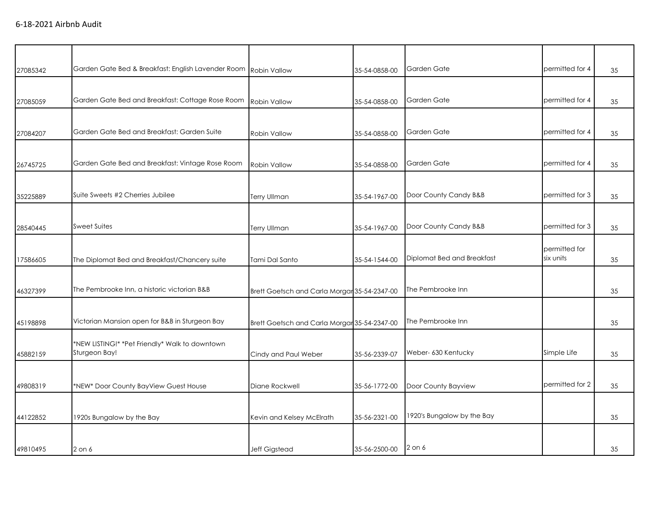| 27085342 | Garden Gate Bed & Breakfast: English Lavender Room | <b>Robin Vallow</b>                          | 35-54-0858-00 | Garden Gate                | permitted for 4            | 35 |
|----------|----------------------------------------------------|----------------------------------------------|---------------|----------------------------|----------------------------|----|
|          |                                                    |                                              |               |                            |                            |    |
| 27085059 | Garden Gate Bed and Breakfast: Cottage Rose Room   | Robin Vallow                                 | 35-54-0858-00 | Garden Gate                | permitted for 4            | 35 |
|          |                                                    |                                              |               |                            |                            |    |
| 27084207 | Garden Gate Bed and Breakfast: Garden Suite        | Robin Vallow                                 | 35-54-0858-00 | Garden Gate                | permitted for 4            | 35 |
|          |                                                    |                                              |               |                            |                            |    |
| 26745725 | Garden Gate Bed and Breakfast: Vintage Rose Room   | Robin Vallow                                 | 35-54-0858-00 | Garden Gate                | permitted for 4            | 35 |
|          |                                                    |                                              |               |                            |                            |    |
| 35225889 | Suite Sweets #2 Cherries Jubilee                   | <b>Terry Ullman</b>                          | 35-54-1967-00 | Door County Candy B&B      | permitted for 3            | 35 |
|          |                                                    |                                              |               |                            |                            |    |
| 28540445 | <b>Sweet Suites</b>                                | <b>Terry Ullman</b>                          | 35-54-1967-00 | Door County Candy B&B      | permitted for 3            | 35 |
|          |                                                    |                                              |               |                            |                            |    |
|          |                                                    |                                              |               | Diplomat Bed and Breakfast | permitted for<br>six units |    |
| 17586605 | The Diplomat Bed and Breakfast/Chancery suite      | Tami Dal Santo                               | 35-54-1544-00 |                            |                            | 35 |
|          |                                                    |                                              |               |                            |                            |    |
| 46327399 | The Pembrooke Inn, a historic victorian B&B        | Brett Goetsch and Carla Morgar 35-54-2347-00 |               | The Pembrooke Inn          |                            | 35 |
|          |                                                    |                                              |               |                            |                            |    |
| 45198898 | Victorian Mansion open for B&B in Sturgeon Bay     | Brett Goetsch and Carla Morgar 35-54-2347-00 |               | The Pembrooke Inn          |                            | 35 |
|          | *NEW LISTING!* *Pet Friendly* Walk to downtown     |                                              |               |                            |                            |    |
| 45882159 | Sturgeon Bay!                                      | Cindy and Paul Weber                         | 35-56-2339-07 | Weber- 630 Kentucky        | Simple Life                | 35 |
|          |                                                    |                                              |               |                            |                            |    |
| 49808319 | *NEW* Door County BayView Guest House              | Diane Rockwell                               | 35-56-1772-00 | Door County Bayview        | permitted for 2            | 35 |
|          |                                                    |                                              |               |                            |                            |    |
|          |                                                    |                                              |               | 1920's Bungalow by the Bay |                            |    |
| 44122852 | 1920s Bungalow by the Bay                          | Kevin and Kelsey McElrath                    | 35-56-2321-00 |                            |                            | 35 |
|          |                                                    |                                              |               |                            |                            |    |
| 49810495 | $2$ on $6$                                         | Jeff Gigstead                                | 35-56-2500-00 | $2$ on $6$                 |                            | 35 |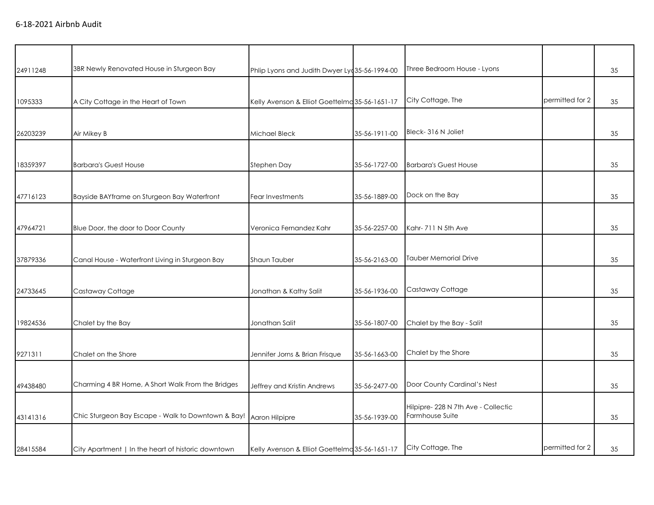| 24911248 | 3BR Newly Renovated House in Sturgeon Bay          | Phlip Lyons and Judith Dwyer Lyc 35-56-1994-00 |               | Three Bedroom House - Lyons                           |                 | 35 |
|----------|----------------------------------------------------|------------------------------------------------|---------------|-------------------------------------------------------|-----------------|----|
| 1095333  | A City Cottage in the Heart of Town                | Kelly Avenson & Elliot Goettelma 35-56-1651-17 |               | City Cottage, The                                     | permitted for 2 | 35 |
| 26203239 | Air Mikey B                                        | Michael Bleck                                  | 35-56-1911-00 | Bleck-316 N Joliet                                    |                 | 35 |
| 18359397 | <b>Barbara's Guest House</b>                       | Stephen Day                                    | 35-56-1727-00 | <b>Barbara's Guest House</b>                          |                 | 35 |
| 47716123 | Bayside BAYframe on Sturgeon Bay Waterfront        | Fear Investments                               | 35-56-1889-00 | Dock on the Bay                                       |                 | 35 |
| 47964721 | Blue Door, the door to Door County                 | Veronica Fernandez Kahr                        | 35-56-2257-00 | Kahr-711 N 5th Ave                                    |                 | 35 |
| 37879336 | Canal House - Waterfront Living in Sturgeon Bay    | Shaun Tauber                                   | 35-56-2163-00 | Tauber Memorial Drive                                 |                 | 35 |
| 24733645 | Castaway Cottage                                   | Jonathan & Kathy Salit                         | 35-56-1936-00 | Castaway Cottage                                      |                 | 35 |
| 19824536 | Chalet by the Bay                                  | Jonathan Salit                                 | 35-56-1807-00 | Chalet by the Bay - Salit                             |                 | 35 |
| 9271311  | Chalet on the Shore                                | Jennifer Jorns & Brian Frisque                 | 35-56-1663-00 | Chalet by the Shore                                   |                 | 35 |
| 49438480 | Charming 4 BR Home, A Short Walk From the Bridges  | Jeffrey and Kristin Andrews                    | 35-56-2477-00 | Door County Cardinal's Nest                           |                 | 35 |
| 43141316 | Chic Sturgeon Bay Escape - Walk to Downtown & Bay! | Aaron Hilpipre                                 | 35-56-1939-00 | Hilpipre-228 N 7th Ave - Collectic<br>Farmhouse Suite |                 | 35 |
| 28415584 | City Apartment   In the heart of historic downtown | Kelly Avenson & Elliot Goettelma 35-56-1651-17 |               | City Cottage, The                                     | permitted for 2 | 35 |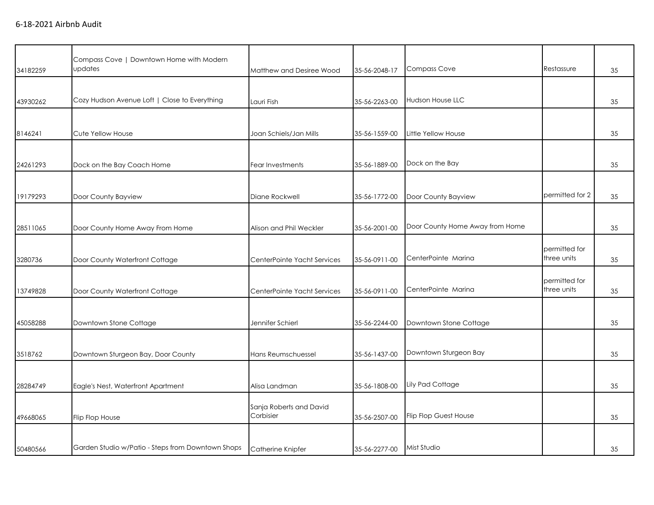|          | Compass Cove   Downtown Home with Modern          |                                      |               |                                 |                              |    |
|----------|---------------------------------------------------|--------------------------------------|---------------|---------------------------------|------------------------------|----|
| 34182259 | updates                                           | Matthew and Desiree Wood             | 35-56-2048-17 | <b>Compass Cove</b>             | Restassure                   | 35 |
|          |                                                   |                                      |               |                                 |                              |    |
| 43930262 | Cozy Hudson Avenue Loft   Close to Everything     | Lauri Fish                           | 35-56-2263-00 | <b>Hudson House LLC</b>         |                              | 35 |
|          |                                                   |                                      |               |                                 |                              |    |
| 8146241  | Cute Yellow House                                 | Joan Schiels/Jan Mills               | 35-56-1559-00 | Little Yellow House             |                              | 35 |
|          |                                                   |                                      |               |                                 |                              |    |
| 24261293 | Dock on the Bay Coach Home                        | Fear Investments                     | 35-56-1889-00 | Dock on the Bay                 |                              | 35 |
|          |                                                   |                                      |               |                                 |                              |    |
| 19179293 | Door County Bayview                               | Diane Rockwell                       | 35-56-1772-00 | Door County Bayview             | permitted for 2              | 35 |
|          |                                                   |                                      |               |                                 |                              |    |
| 28511065 | Door County Home Away From Home                   | Alison and Phil Weckler              | 35-56-2001-00 | Door County Home Away from Home |                              | 35 |
|          |                                                   |                                      |               |                                 |                              |    |
| 3280736  |                                                   |                                      | 35-56-0911-00 | CenterPointe Marina             | permitted for<br>three units | 35 |
|          | Door County Waterfront Cottage                    | CenterPointe Yacht Services          |               |                                 |                              |    |
|          |                                                   |                                      |               |                                 | permitted for                |    |
| 13749828 | Door County Waterfront Cottage                    | CenterPointe Yacht Services          | 35-56-0911-00 | CenterPointe Marina             | three units                  | 35 |
|          |                                                   |                                      |               |                                 |                              |    |
| 45058288 | Downtown Stone Cottage                            | Jennifer Schierl                     | 35-56-2244-00 | Downtown Stone Cottage          |                              | 35 |
|          |                                                   |                                      |               |                                 |                              |    |
| 3518762  | Downtown Sturgeon Bay, Door County                | Hans Reumschuessel                   | 35-56-1437-00 | Downtown Sturgeon Bay           |                              | 35 |
|          |                                                   |                                      |               |                                 |                              |    |
| 28284749 | Eagle's Nest, Waterfront Apartment                | Alisa Landman                        | 35-56-1808-00 | Lily Pad Cottage                |                              | 35 |
|          |                                                   |                                      |               |                                 |                              |    |
|          |                                                   | Sanja Roberts and David<br>Corbisier |               | <b>Flip Flop Guest House</b>    |                              |    |
| 49668065 | Flip Flop House                                   |                                      | 35-56-2507-00 |                                 |                              | 35 |
|          |                                                   |                                      |               |                                 |                              |    |
| 50480566 | Garden Studio w/Patio - Steps from Downtown Shops | Catherine Knipfer                    | 35-56-2277-00 | Mist Studio                     |                              | 35 |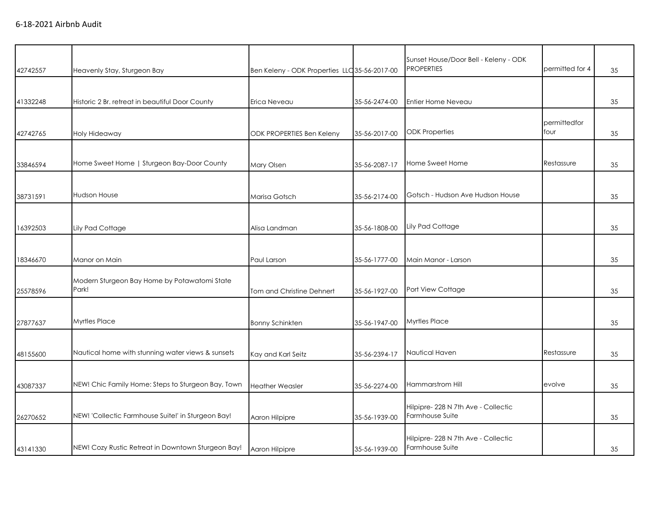| 42742557 | Heavenly Stay, Sturgeon Bay                           | Ben Keleny - ODK Properties LLC 35-56-2017-00 |               | Sunset House/Door Bell - Keleny - ODK<br><b>PROPERTIES</b> | permitted for 4      | 35 |
|----------|-------------------------------------------------------|-----------------------------------------------|---------------|------------------------------------------------------------|----------------------|----|
| 41332248 | Historic 2 Br. retreat in beautiful Door County       | Erica Neveau                                  | 35-56-2474-00 | Entier Home Neveau                                         |                      | 35 |
| 42742765 | Holy Hideaway                                         | <b>ODK PROPERTIES Ben Keleny</b>              | 35-56-2017-00 | <b>ODK Properties</b>                                      | permittedfor<br>four | 35 |
| 33846594 | Home Sweet Home   Sturgeon Bay-Door County            | Mary Olsen                                    | 35-56-2087-17 | Home Sweet Home                                            | Restassure           | 35 |
| 38731591 | <b>Hudson House</b>                                   | Marisa Gotsch                                 | 35-56-2174-00 | Gotsch - Hudson Ave Hudson House                           |                      | 35 |
| 16392503 | Lily Pad Cottage                                      | Alisa Landman                                 | 35-56-1808-00 | Lily Pad Cottage                                           |                      | 35 |
| 18346670 | Manor on Main                                         | Paul Larson                                   | 35-56-1777-00 | Main Manor - Larson                                        |                      | 35 |
| 25578596 | Modern Sturgeon Bay Home by Potawatomi State<br>Park! | Tom and Christine Dehnert                     | 35-56-1927-00 | Port View Cottage                                          |                      | 35 |
| 27877637 | <b>Myrtles Place</b>                                  | <b>Bonny Schinkten</b>                        | 35-56-1947-00 | <b>Myrtles Place</b>                                       |                      | 35 |
| 48155600 | Nautical home with stunning water views & sunsets     | Kay and Karl Seitz                            | 35-56-2394-17 | Nautical Haven                                             | Restassure           | 35 |
| 43087337 | NEW! Chic Family Home: Steps to Sturgeon Bay, Town    | <b>Heather Weasler</b>                        | 35-56-2274-00 | Hammarstrom Hill                                           | evolve               | 35 |
| 26270652 | NEW! 'Collectic Farmhouse Suite!' in Sturgeon Bay!    | Aaron Hilpipre                                | 35-56-1939-00 | Hilpipre-228 N 7th Ave - Collectic<br>Farmhouse Suite      |                      | 35 |
| 43141330 | NEW! Cozy Rustic Retreat in Downtown Sturgeon Bay!    | Aaron Hilpipre                                | 35-56-1939-00 | Hilpipre- 228 N 7th Ave - Collectic<br>Farmhouse Suite     |                      | 35 |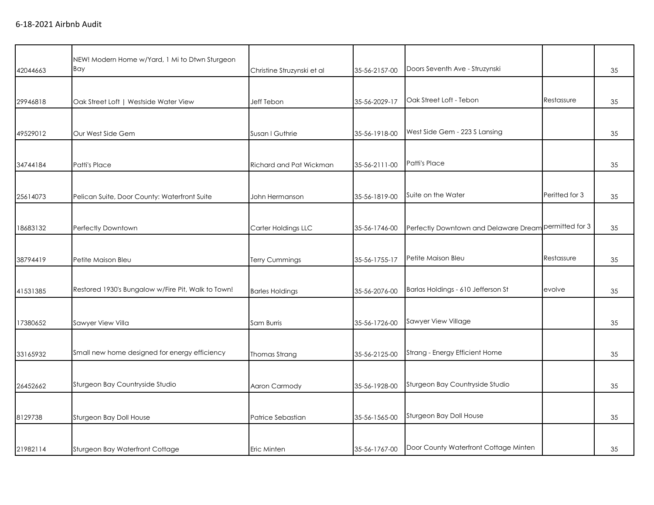|          | NEW! Modern Home w/Yard, 1 Mi to Dtwn Sturgeon<br>Bay |                            |               | Doors Seventh Ave - Struzynski        |                 |    |
|----------|-------------------------------------------------------|----------------------------|---------------|---------------------------------------|-----------------|----|
| 42044663 |                                                       | Christine Struzynski et al | 35-56-2157-00 |                                       |                 | 35 |
|          |                                                       |                            |               |                                       |                 |    |
| 29946818 | Oak Street Loft   Westside Water View                 | <b>Jeff Tebon</b>          | 35-56-2029-17 | Oak Street Loft - Tebon               | Restassure      | 35 |
|          |                                                       |                            |               |                                       |                 |    |
| 49529012 | Our West Side Gem                                     | Susan I Guthrie            | 35-56-1918-00 | West Side Gem - 223 S Lansing         |                 | 35 |
|          |                                                       |                            |               |                                       |                 |    |
| 34744184 | Patti's Place                                         | Richard and Pat Wickman    | 35-56-2111-00 | Patti's Place                         |                 | 35 |
|          |                                                       |                            |               |                                       |                 |    |
| 25614073 | Pelican Suite, Door County: Waterfront Suite          | John Hermanson             | 35-56-1819-00 | Suite on the Water                    | Peritted for 3  | 35 |
|          |                                                       |                            |               |                                       |                 |    |
| 18683132 | Perfectly Downtown                                    | Carter Holdings LLC        | 35-56-1746-00 | Perfectly Downtown and Delaware Dream | permitted for 3 | 35 |
|          |                                                       |                            |               |                                       |                 |    |
| 38794419 | Petite Maison Bleu                                    | <b>Terry Cummings</b>      | 35-56-1755-17 | Petite Maison Bleu                    | Restassure      | 35 |
|          |                                                       |                            |               |                                       |                 |    |
| 41531385 | Restored 1930's Bungalow w/Fire Pit, Walk to Town!    | <b>Barles Holdings</b>     | 35-56-2076-00 | Barlas Holdings - 610 Jefferson St    | evolve          | 35 |
|          |                                                       |                            |               |                                       |                 |    |
| 17380652 | Sawyer View Villa                                     | Sam Burris                 | 35-56-1726-00 | Sawyer View Village                   |                 | 35 |
|          |                                                       |                            |               |                                       |                 |    |
| 33165932 | Small new home designed for energy efficiency         | Thomas Strang              | 35-56-2125-00 | Strang - Energy Efficient Home        |                 | 35 |
|          |                                                       |                            |               |                                       |                 |    |
| 26452662 | Sturgeon Bay Countryside Studio                       | Aaron Carmody              | 35-56-1928-00 | Sturgeon Bay Countryside Studio       |                 | 35 |
|          |                                                       |                            |               |                                       |                 |    |
| 8129738  | Sturgeon Bay Doll House                               | Patrice Sebastian          | 35-56-1565-00 | Sturgeon Bay Doll House               |                 | 35 |
|          |                                                       |                            |               |                                       |                 |    |
| 21982114 | Sturgeon Bay Waterfront Cottage                       | Eric Minten                | 35-56-1767-00 | Door County Waterfront Cottage Minten |                 | 35 |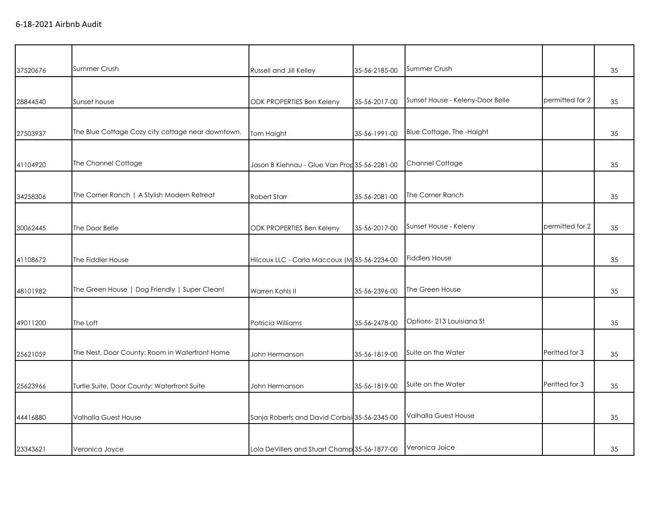| 37520676 | Summer Crush                                      | Russell and Jill Kelley                       | 35-56-2185-00 | Summer Crush                     |                 | 35 |
|----------|---------------------------------------------------|-----------------------------------------------|---------------|----------------------------------|-----------------|----|
|          |                                                   |                                               |               |                                  |                 |    |
| 28844540 | Sunset house                                      | ODK PROPERTIES Ben Keleny                     | 35-56-2017-00 | Sunset House - Keleny-Door Belle | permitted for 2 | 35 |
| 27503937 | The Blue Cottage Cozy city cottage near downtown. | Tom Haight                                    | 35-56-1991-00 | Blue Cottage, The -Haight        |                 | 35 |
| 41104920 | The Channel Cottage                               | Jason B Kiehnau - Glue Van Prop 35-56-2281-00 |               | <b>Channel Cottage</b>           |                 | 35 |
| 34258306 | The Corner Ranch   A Stylish Modern Retreat       | Robert Starr                                  | 35-56-2081-00 | The Corner Ranch                 |                 | 35 |
| 30062445 | The Door Belle                                    | ODK PROPERTIES Ben Keleny                     | 35-56-2017-00 | Sunset House - Keleny            | permitted for 2 | 35 |
| 41108672 | The Fiddler House                                 | Hilcoux LLC - Carla Maccoux (M 35-56-2234-00  |               | <b>Fiddlers House</b>            |                 | 35 |
| 48101982 | The Green House   Dog Friendly   Super Clean!     | Warren Kohls II                               | 35-56-2396-00 | The Green House                  |                 | 35 |
| 49011200 | The Loft                                          | Patricia Williams                             | 35-56-2478-00 | Options-213 Louisiana St         |                 | 35 |
| 25621059 | The Nest, Door County: Room in Waterfront Home    | John Hermanson                                | 35-56-1819-00 | Suite on the Water               | Peritted for 3  | 35 |
| 25623966 | Turtle Suite, Door County: Waterfront Suite       | John Hermanson                                | 35-56-1819-00 | Suite on the Water               | Peritted for 3  | 35 |
| 44416880 | Valhalla Guest House                              | Sanja Roberts and David Corbisi 35-56-2345-00 |               | <b>Valhalla Guest House</b>      |                 | 35 |
| 23343621 | Veronica Joyce                                    | Lola DeVillers and Stuart Champ 35-56-1877-00 |               | Veronica Joice                   |                 | 35 |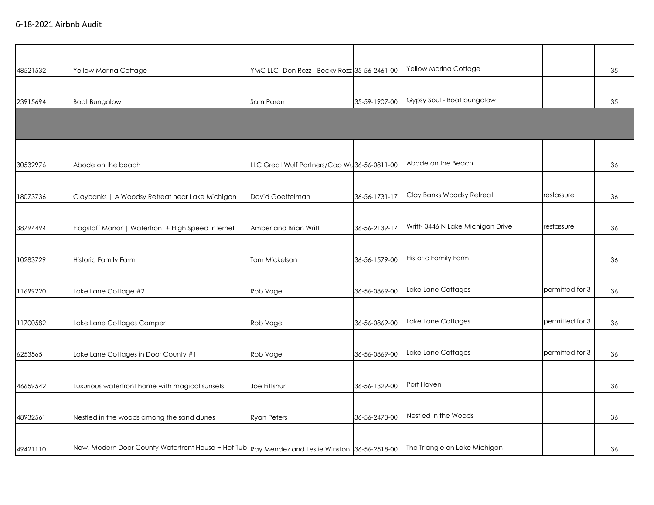| 48521532 | Yellow Marina Cottage                                                                          | YMC LLC-Don Rozz - Becky Rozz 35-56-2461-00 |               | Yellow Marina Cottage             |                 | 35 |
|----------|------------------------------------------------------------------------------------------------|---------------------------------------------|---------------|-----------------------------------|-----------------|----|
| 23915694 | <b>Boat Bungalow</b>                                                                           | Sam Parent                                  | 35-59-1907-00 | Gypsy Soul - Boat bungalow        |                 | 35 |
|          |                                                                                                |                                             |               |                                   |                 |    |
| 30532976 | Abode on the beach                                                                             | LLC Great Wulf Partners/Cap Wu36-56-0811-00 |               | Abode on the Beach                |                 | 36 |
| 18073736 | Claybanks   A Woodsy Retreat near Lake Michigan                                                | David Goettelman                            | 36-56-1731-17 | Clay Banks Woodsy Retreat         | restassure      | 36 |
| 38794494 | Flagstaff Manor   Waterfront + High Speed Internet                                             | Amber and Brian Writt                       | 36-56-2139-17 | Writt- 3446 N Lake Michigan Drive | restassure      | 36 |
| 10283729 | Historic Family Farm                                                                           | Tom Mickelson                               | 36-56-1579-00 | Historic Family Farm              |                 | 36 |
| 11699220 | Lake Lane Cottage #2                                                                           | Rob Vogel                                   | 36-56-0869-00 | Lake Lane Cottages                | permitted for 3 | 36 |
| 11700582 | Lake Lane Cottages Camper                                                                      | Rob Vogel                                   | 36-56-0869-00 | Lake Lane Cottages                | permitted for 3 | 36 |
| 6253565  | Lake Lane Cottages in Door County #1                                                           | Rob Vogel                                   | 36-56-0869-00 | Lake Lane Cottages                | permitted for 3 | 36 |
| 46659542 | Luxurious waterfront home with magical sunsets                                                 | Joe Fittshur                                | 36-56-1329-00 | Port Haven                        |                 | 36 |
| 48932561 | Nestled in the woods among the sand dunes                                                      | <b>Ryan Peters</b>                          | 36-56-2473-00 | Nestled in the Woods              |                 | 36 |
| 49421110 | New! Modern Door County Waterfront House + Hot Tub Ray Mendez and Leslie Winston 36-56-2518-00 |                                             |               | The Triangle on Lake Michigan     |                 | 36 |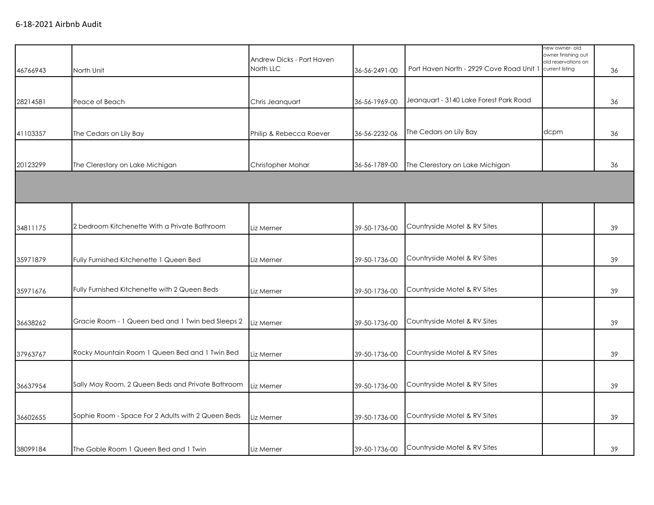| 46766943 | North Unit                                         | Andrew Dicks - Port Haven<br>North LLC | 36-56-2491-00 | Port Haven North - 2929 Cove Road Unit 1 | new owner-old<br>owner finishing out<br>old reservations on<br>current listing | 36 |
|----------|----------------------------------------------------|----------------------------------------|---------------|------------------------------------------|--------------------------------------------------------------------------------|----|
|          |                                                    |                                        |               |                                          |                                                                                |    |
| 28214581 | Peace of Beach                                     | Chris Jeanquart                        | 36-56-1969-00 | Jeanguart - 3140 Lake Forest Park Road   |                                                                                | 36 |
|          |                                                    |                                        |               |                                          |                                                                                |    |
| 41103357 | The Cedars on Lily Bay                             | Philip & Rebecca Roever                | 36-56-2232-06 | The Cedars on Lily Bay                   | dcpm                                                                           | 36 |
|          |                                                    |                                        |               |                                          |                                                                                |    |
| 20123299 | The Clerestory on Lake Michigan                    | Christopher Mohar                      | 36-56-1789-00 | The Clerestory on Lake Michigan          |                                                                                | 36 |
|          |                                                    |                                        |               |                                          |                                                                                |    |
|          |                                                    |                                        |               |                                          |                                                                                |    |
|          |                                                    |                                        |               |                                          |                                                                                |    |
| 34811175 | 2 bedroom Kitchenette With a Private Bathroom      | Liz Merner                             | 39-50-1736-00 | Countryside Motel & RV Sites             |                                                                                | 39 |
|          |                                                    |                                        |               |                                          |                                                                                |    |
| 35971879 | Fully Furnished Kitchenette 1 Queen Bed            | Liz Merner                             | 39-50-1736-00 | Countryside Motel & RV Sites             |                                                                                | 39 |
|          |                                                    |                                        |               |                                          |                                                                                |    |
| 35971676 | Fully Furnished Kitchenette with 2 Queen Beds      | Liz Merner                             | 39-50-1736-00 | Countryside Motel & RV Sites             |                                                                                | 39 |
|          |                                                    |                                        |               |                                          |                                                                                |    |
| 36638262 | Gracie Room - 1 Queen bed and 1 Twin bed Sleeps 2  | Liz Merner                             | 39-50-1736-00 | Countryside Motel & RV Sites             |                                                                                | 39 |
|          |                                                    |                                        |               |                                          |                                                                                |    |
| 37963767 | Rocky Mountain Room 1 Queen Bed and 1 Twin Bed     | Liz Merner                             | 39-50-1736-00 | Countryside Motel & RV Sites             |                                                                                | 39 |
|          |                                                    |                                        |               |                                          |                                                                                |    |
| 36637954 | Sally May Room, 2 Queen Beds and Private Bathroom  | Liz Merner                             | 39-50-1736-00 | Countryside Motel & RV Sites             |                                                                                | 39 |
|          |                                                    |                                        |               |                                          |                                                                                |    |
| 36602655 | Sophie Room - Space For 2 Adults with 2 Queen Beds | Liz Merner                             | 39-50-1736-00 | Countryside Motel & RV Sites             |                                                                                | 39 |
|          |                                                    |                                        |               |                                          |                                                                                |    |
| 38099184 | The Goble Room 1 Queen Bed and 1 Twin              | Liz Merner                             | 39-50-1736-00 | Countryside Motel & RV Sites             |                                                                                | 39 |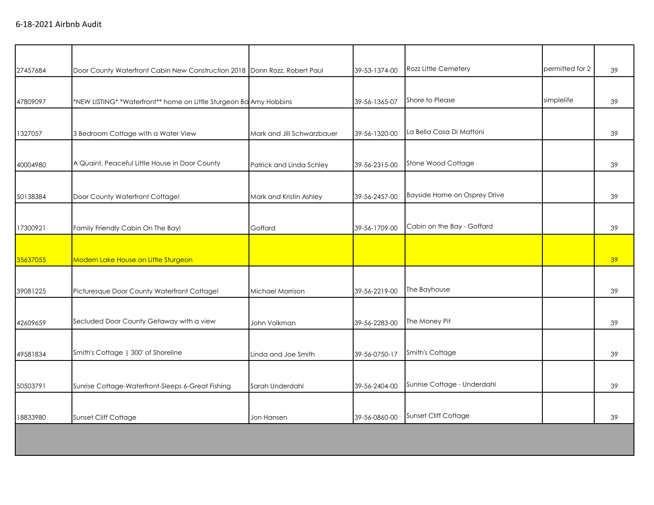| 27457684 | Door County Waterfront Cabin New Construction 2018 Donn Rozz, Robert Paul |                            | 39-53-1374-00 | Rozz Little Cemetery         | permitted for 2 | 39 |
|----------|---------------------------------------------------------------------------|----------------------------|---------------|------------------------------|-----------------|----|
|          |                                                                           |                            |               |                              |                 |    |
| 47809097 | *NEW LISTING* *Waterfront** home on Little Sturgeon Ba Amy Hobbins        |                            | 39-56-1365-07 | Shore to Please              | simplelife      | 39 |
| 1327057  | 3 Bedroom Cottage with a Water View                                       | Mark and Jill Schwarzbauer | 39-56-1320-00 | La Bella Casa Di Mattoni     |                 | 39 |
| 40004980 | A Quaint, Peaceful Little House in Door County                            | Patrick and Linda Schley   | 39-56-2315-00 | Stone Wood Cottage           |                 | 39 |
| 50138384 | Door County Waterfront Cottage!                                           | Mark and Kristin Ashley    | 39-56-2457-00 | Bayside Home on Osprey Drive |                 | 39 |
| 17300921 | Family Friendly Cabin On The Bay!                                         | Goffard                    | 39-56-1709-00 | Cabin on the Bay - Goffard   |                 | 39 |
| 35637055 | Modern Lake House on Little Sturgeon                                      |                            |               |                              |                 | 39 |
| 39081225 | Picturesque Door County Waterfront Cottage!                               | Michael Morrison           | 39-56-2219-00 | The Bayhouse                 |                 | 39 |
| 42609659 | Secluded Door County Getaway with a view                                  | John Volkman               | 39-56-2283-00 | The Money Pit                |                 | 39 |
| 49581834 | Smith's Cottage   300' of Shoreline                                       | Linda and Joe Smith        | 39-56-0750-17 | Smith's Cottage              |                 | 39 |
| 50503791 | Sunrise Cottage-Waterfront-Sleeps 6-Great Fishing                         | Sarah Underdahl            | 39-56-2404-00 | Sunrise Cottage - Underdahl  |                 | 39 |
| 18833980 | Sunset Cliff Cottage                                                      | Jon Hansen                 | 39-56-0860-00 | Sunset Cliff Cottage         |                 | 39 |
|          |                                                                           |                            |               |                              |                 |    |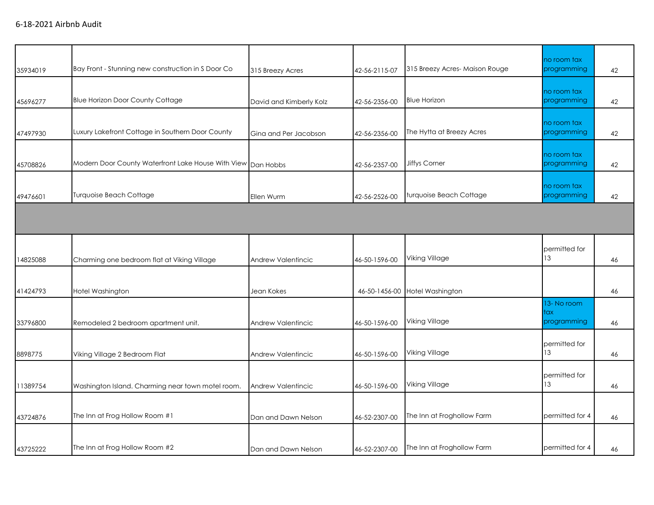| 35934019 | Bay Front - Stunning new construction in S Door Co           | 315 Breezy Acres        | 42-56-2115-07 | 315 Breezy Acres-Maison Rouge | no room tax<br>programming       | 42 |
|----------|--------------------------------------------------------------|-------------------------|---------------|-------------------------------|----------------------------------|----|
| 45696277 | <b>Blue Horizon Door County Cottage</b>                      | David and Kimberly Kolz | 42-56-2356-00 | <b>Blue Horizon</b>           | no room tax<br>programming       | 42 |
| 47497930 | Luxury Lakefront Cottage in Southern Door County             | Gina and Per Jacobson   | 42-56-2356-00 | The Hytta at Breezy Acres     | no room tax<br>programming       | 42 |
| 45708826 | Modern Door County Waterfront Lake House With View Dan Hobbs |                         | 42-56-2357-00 | Jiffys Corner                 | no room tax<br>programming       | 42 |
| 49476601 | <b>Turquoise Beach Cottage</b>                               | Ellen Wurm              | 42-56-2526-00 | turquoise Beach Cottage       | no room tax<br>programming       | 42 |
|          |                                                              |                         |               |                               |                                  |    |
| 14825088 | Charming one bedroom flat at Viking Village                  | Andrew Valentincic      | 46-50-1596-00 | Viking Village                | permitted for<br>13              | 46 |
| 41424793 | Hotel Washington                                             | Jean Kokes              | 46-50-1456-00 | Hotel Washington              |                                  | 46 |
| 33796800 | Remodeled 2 bedroom apartment unit.                          | Andrew Valentincic      | 46-50-1596-00 | Viking Village                | 13-No room<br>tax<br>programming | 46 |
| 8898775  | Viking Village 2 Bedroom Flat                                | Andrew Valentincic      | 46-50-1596-00 | Viking Village                | permitted for<br>13              | 46 |
| 11389754 | Washington Island. Charming near town motel room.            | Andrew Valentincic      | 46-50-1596-00 | Viking Village                | permitted for<br>13              | 46 |
| 43724876 | The Inn at Frog Hollow Room #1                               | Dan and Dawn Nelson     | 46-52-2307-00 | The Inn at Froghollow Farm    | permitted for 4                  | 46 |
| 43725222 | The Inn at Frog Hollow Room #2                               | Dan and Dawn Nelson     | 46-52-2307-00 | The Inn at Froghollow Farm    | permitted for 4                  | 46 |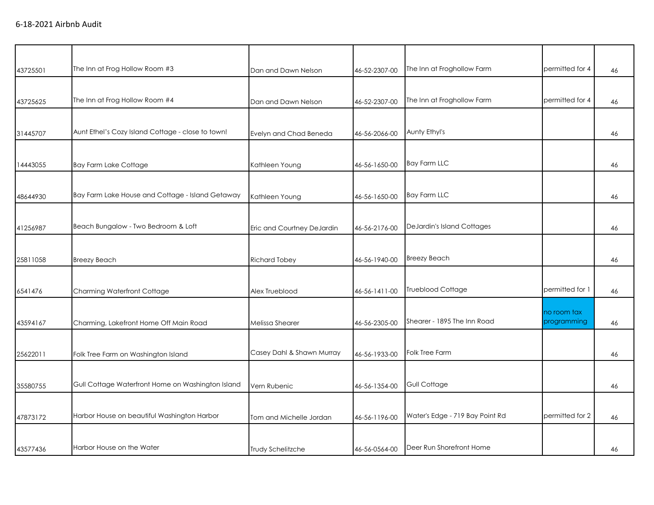| 43725501 | The Inn at Frog Hollow Room #3                    | Dan and Dawn Nelson        | 46-52-2307-00 | The Inn at Froghollow Farm      | permitted for 4 | 46 |
|----------|---------------------------------------------------|----------------------------|---------------|---------------------------------|-----------------|----|
|          |                                                   |                            |               |                                 |                 |    |
| 43725625 | The Inn at Frog Hollow Room #4                    | Dan and Dawn Nelson        | 46-52-2307-00 | The Inn at Froghollow Farm      | permitted for 4 | 46 |
|          |                                                   |                            |               |                                 |                 |    |
| 31445707 | Aunt Ethel's Cozy Island Cottage - close to town! | Evelyn and Chad Beneda     | 46-56-2066-00 | Aunty Ethyl's                   |                 | 46 |
|          |                                                   |                            |               |                                 |                 |    |
| 14443055 | <b>Bay Farm Lake Cottage</b>                      | Kathleen Young             | 46-56-1650-00 | <b>Bay Farm LLC</b>             |                 | 46 |
|          |                                                   |                            |               |                                 |                 |    |
| 48644930 | Bay Farm Lake House and Cottage - Island Getaway  | Kathleen Young             | 46-56-1650-00 | <b>Bay Farm LLC</b>             |                 | 46 |
|          |                                                   |                            |               |                                 |                 |    |
| 41256987 | Beach Bungalow - Two Bedroom & Loft               | Eric and Courtney DeJardin | 46-56-2176-00 | DeJardin's Island Cottages      |                 | 46 |
|          |                                                   |                            |               |                                 |                 |    |
| 25811058 | <b>Breezy Beach</b>                               | <b>Richard Tobey</b>       | 46-56-1940-00 | <b>Breezy Beach</b>             |                 | 46 |
|          |                                                   |                            |               |                                 |                 |    |
| 6541476  | Charming Waterfront Cottage                       | Alex Trueblood             | 46-56-1411-00 | Trueblood Cottage               | permitted for 1 | 46 |
|          |                                                   |                            |               |                                 | no room tax     |    |
| 43594167 | Charming, Lakefront Home Off Main Road            | <b>Melissa Shearer</b>     | 46-56-2305-00 | Shearer - 1895 The Inn Road     | programming     | 46 |
|          |                                                   |                            |               |                                 |                 |    |
| 25622011 | Folk Tree Farm on Washington Island               | Casey Dahl & Shawn Murray  | 46-56-1933-00 | Folk Tree Farm                  |                 | 46 |
|          |                                                   |                            |               |                                 |                 |    |
| 35580755 | Gull Cottage Waterfront Home on Washington Island | Vern Rubenic               | 46-56-1354-00 | Gull Cottage                    |                 | 46 |
|          |                                                   |                            |               |                                 |                 |    |
| 47873172 | Harbor House on beautiful Washington Harbor       | Tom and Michelle Jordan    | 46-56-1196-00 | Water's Edge - 719 Bay Point Rd | permitted for 2 | 46 |
|          |                                                   |                            |               |                                 |                 |    |
| 43577436 | Harbor House on the Water                         | <b>Trudy Schelitzche</b>   | 46-56-0564-00 | Deer Run Shorefront Home        |                 | 46 |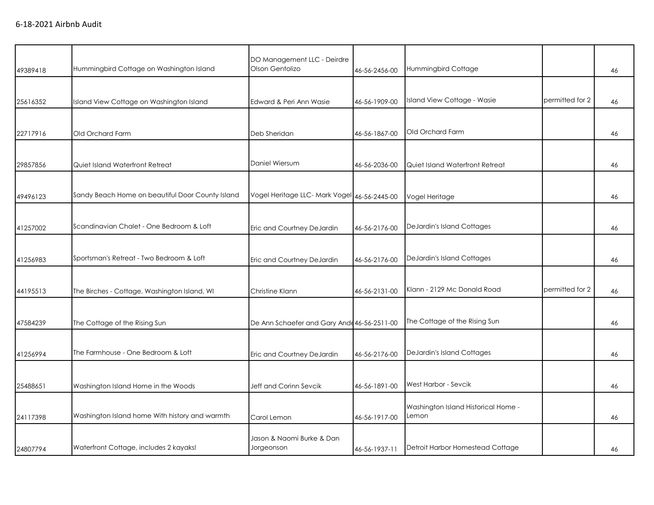| 49389418 | Hummingbird Cottage on Washington Island         | DO Management LLC - Deirdre<br>Olson Gentolizo | 46-56-2456-00 | Hummingbird Cottage                          |                 | 46 |
|----------|--------------------------------------------------|------------------------------------------------|---------------|----------------------------------------------|-----------------|----|
| 25616352 | Island View Cottage on Washington Island         | Edward & Peri Ann Wasie                        | 46-56-1909-00 | Island View Cottage - Wasie                  | permitted for 2 | 46 |
| 22717916 | Old Orchard Farm                                 | Deb Sheridan                                   | 46-56-1867-00 | Old Orchard Farm                             |                 | 46 |
| 29857856 | Quiet Island Waterfront Retreat                  | Daniel Wiersum                                 | 46-56-2036-00 | Quiet Island Waterfront Retreat              |                 | 46 |
| 49496123 | Sandy Beach Home on beautiful Door County Island | Vogel Heritage LLC- Mark Vogel 46-56-2445-00   |               | Vogel Heritage                               |                 | 46 |
| 41257002 | Scandinavian Chalet - One Bedroom & Loft         | Eric and Courtney DeJardin                     | 46-56-2176-00 | DeJardin's Island Cottages                   |                 | 46 |
| 41256983 | Sportsman's Retreat - Two Bedroom & Loft         | Eric and Courtney DeJardin                     | 46-56-2176-00 | <b>DeJardin's Island Cottages</b>            |                 | 46 |
| 44195513 | The Birches - Cottage, Washington Island, WI     | Christine Klann                                | 46-56-2131-00 | Klann - 2129 Mc Donald Road                  | permitted for 2 | 46 |
| 47584239 | The Cottage of the Rising Sun                    | De Ann Schaefer and Gary Ande 46-56-2511-00    |               | The Cottage of the Rising Sun                |                 | 46 |
| 41256994 | The Farmhouse - One Bedroom & Loft               | Eric and Courtney DeJardin                     | 46-56-2176-00 | DeJardin's Island Cottages                   |                 | 46 |
| 25488651 | Washington Island Home in the Woods              | Jeff and Corinn Sevcik                         | 46-56-1891-00 | West Harbor - Sevcik                         |                 | 46 |
| 24117398 | Washington Island home With history and warmth   | Carol Lemon                                    | 46-56-1917-00 | Washington Island Historical Home -<br>Lemon |                 | 46 |
| 24807794 | Waterfront Cottage, includes 2 kayaks!           | Jason & Naomi Burke & Dan<br>Jorgeonson        | 46-56-1937-11 | Detroit Harbor Homestead Cottage             |                 | 46 |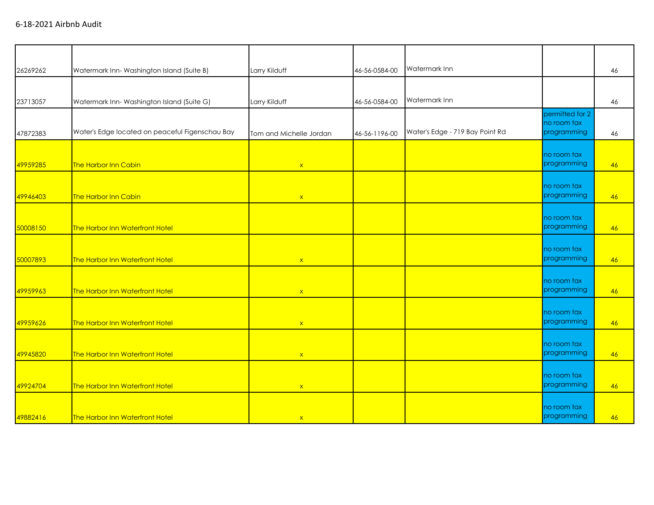| 26269262 | Watermark Inn-Washington Island (Suite B)       | Larry Kilduff           | 46-56-0584-00 | Watermark Inn                   |                                | 46 |
|----------|-------------------------------------------------|-------------------------|---------------|---------------------------------|--------------------------------|----|
|          |                                                 |                         |               |                                 |                                |    |
| 23713057 | Watermark Inn-Washington Island (Suite G)       | Larry Kilduff           | 46-56-0584-00 | Watermark Inn                   |                                | 46 |
|          |                                                 |                         |               |                                 | permitted for 2<br>no room tax |    |
| 47872383 | Water's Edge located on peaceful Figenschau Bay | Tom and Michelle Jordan | 46-56-1196-00 | Water's Edge - 719 Bay Point Rd | programming                    | 46 |
| 49959285 | The Harbor Inn Cabin                            |                         |               |                                 | no room tax<br>programming     | 46 |
|          |                                                 | $\mathsf{X}$            |               |                                 |                                |    |
| 49946403 | The Harbor Inn Cabin                            | $\mathbf{x}$            |               |                                 | no room tax<br>programming     | 46 |
|          |                                                 |                         |               |                                 | no room tax<br>programming     |    |
| 50008150 | The Harbor Inn Waterfront Hotel                 |                         |               |                                 |                                | 46 |
| 50007893 | The Harbor Inn Waterfront Hotel                 | $\mathsf X$             |               |                                 | no room tax<br>programming     | 46 |
|          |                                                 |                         |               |                                 | no room tax                    |    |
| 49959963 | The Harbor Inn Waterfront Hotel                 | $\mathsf{x}$            |               |                                 | programming                    | 46 |
|          |                                                 |                         |               |                                 | no room tax                    |    |
| 49959626 | The Harbor Inn Waterfront Hotel                 | $\mathsf X$             |               |                                 | programming                    | 46 |
| 49945820 | The Harbor Inn Waterfront Hotel                 | $\mathsf{x}$            |               |                                 | no room tax<br>programming     | 46 |
|          |                                                 |                         |               |                                 |                                |    |
| 49924704 | The Harbor Inn Waterfront Hotel                 | $\mathsf X$             |               |                                 | no room tax<br>programming     | 46 |
|          |                                                 |                         |               |                                 | no room tax                    |    |
| 49882416 | <b>The Harbor Inn Waterfront Hotel</b>          | $\mathsf{X}$            |               |                                 | programming                    | 46 |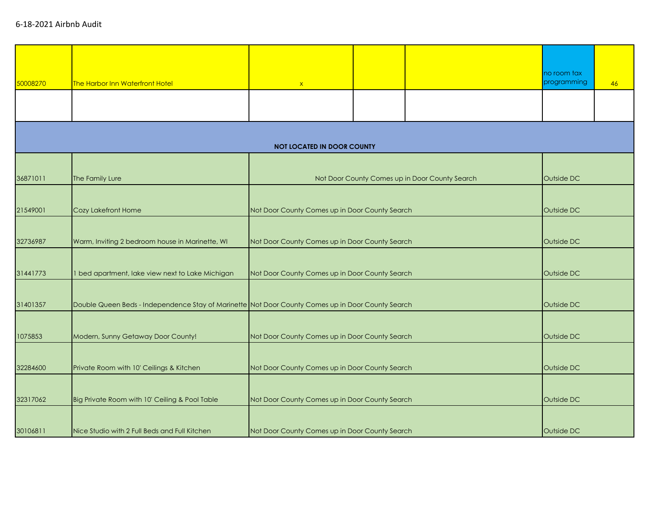|          |                                                                                                   |                                                |                                                              |                                                | no room tax |    |
|----------|---------------------------------------------------------------------------------------------------|------------------------------------------------|--------------------------------------------------------------|------------------------------------------------|-------------|----|
| 50008270 | The Harbor Inn Waterfront Hotel                                                                   | $\mathbf{x}$                                   |                                                              |                                                | programming | 46 |
|          |                                                                                                   |                                                |                                                              |                                                |             |    |
|          |                                                                                                   |                                                |                                                              |                                                |             |    |
|          |                                                                                                   |                                                |                                                              |                                                |             |    |
|          |                                                                                                   | <b>NOT LOCATED IN DOOR COUNTY</b>              |                                                              |                                                |             |    |
|          |                                                                                                   |                                                |                                                              |                                                |             |    |
| 36871011 | The Family Lure                                                                                   |                                                |                                                              | Not Door County Comes up in Door County Search | Outside DC  |    |
|          |                                                                                                   |                                                |                                                              |                                                |             |    |
|          |                                                                                                   |                                                |                                                              |                                                |             |    |
| 21549001 | Cozy Lakefront Home                                                                               | Not Door County Comes up in Door County Search |                                                              |                                                | Outside DC  |    |
|          |                                                                                                   |                                                |                                                              |                                                |             |    |
| 32736987 | Warm, Inviting 2 bedroom house in Marinette, WI                                                   |                                                | Not Door County Comes up in Door County Search<br>Outside DC |                                                |             |    |
|          |                                                                                                   |                                                |                                                              |                                                |             |    |
| 31441773 | 1 bed apartment, lake view next to Lake Michigan                                                  |                                                | Not Door County Comes up in Door County Search<br>Outside DC |                                                |             |    |
|          |                                                                                                   |                                                |                                                              |                                                |             |    |
| 31401357 | Double Queen Beds - Independence Stay of Marinette Not Door County Comes up in Door County Search |                                                | Outside DC                                                   |                                                |             |    |
|          |                                                                                                   |                                                |                                                              |                                                |             |    |
| 1075853  | Modern, Sunny Getaway Door County!                                                                | Not Door County Comes up in Door County Search |                                                              |                                                | Outside DC  |    |
|          |                                                                                                   |                                                |                                                              |                                                |             |    |
| 32284600 | Private Room with 10' Ceilings & Kitchen                                                          | Not Door County Comes up in Door County Search |                                                              |                                                | Outside DC  |    |
|          |                                                                                                   |                                                |                                                              |                                                |             |    |
| 32317062 | Big Private Room with 10' Ceiling & Pool Table                                                    | Not Door County Comes up in Door County Search |                                                              |                                                | Outside DC  |    |
|          |                                                                                                   |                                                |                                                              |                                                |             |    |
|          |                                                                                                   |                                                |                                                              |                                                |             |    |
| 30106811 | Nice Studio with 2 Full Beds and Full Kitchen                                                     | Not Door County Comes up in Door County Search |                                                              |                                                | Outside DC  |    |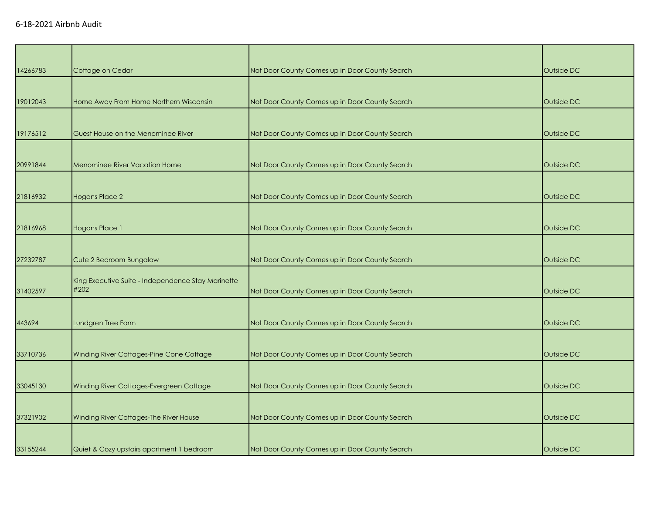| 14266783 | Cottage on Cedar                                   | Not Door County Comes up in Door County Search | Outside DC |
|----------|----------------------------------------------------|------------------------------------------------|------------|
|          |                                                    |                                                |            |
| 19012043 | Home Away From Home Northern Wisconsin             | Not Door County Comes up in Door County Search | Outside DC |
|          |                                                    |                                                |            |
| 19176512 | Guest House on the Menominee River                 | Not Door County Comes up in Door County Search | Outside DC |
|          |                                                    |                                                |            |
| 20991844 | <b>Menominee River Vacation Home</b>               | Not Door County Comes up in Door County Search | Outside DC |
|          |                                                    |                                                |            |
| 21816932 | <b>Hogans Place 2</b>                              | Not Door County Comes up in Door County Search | Outside DC |
|          |                                                    |                                                |            |
| 21816968 | <b>Hogans Place 1</b>                              | Not Door County Comes up in Door County Search | Outside DC |
|          |                                                    |                                                |            |
| 27232787 | Cute 2 Bedroom Bungalow                            | Not Door County Comes up in Door County Search | Outside DC |
|          | King Executive Suite - Independence Stay Marinette |                                                |            |
| 31402597 | #202                                               | Not Door County Comes up in Door County Search | Outside DC |
|          |                                                    |                                                |            |
| 443694   | Lundgren Tree Farm                                 | Not Door County Comes up in Door County Search | Outside DC |
|          |                                                    |                                                |            |
| 33710736 | Winding River Cottages-Pine Cone Cottage           | Not Door County Comes up in Door County Search | Outside DC |
|          |                                                    |                                                |            |
| 33045130 | Winding River Cottages-Evergreen Cottage           | Not Door County Comes up in Door County Search | Outside DC |
|          |                                                    |                                                |            |
| 37321902 | Winding River Cottages-The River House             | Not Door County Comes up in Door County Search | Outside DC |
|          |                                                    |                                                |            |
| 33155244 | Quiet & Cozy upstairs apartment 1 bedroom          | Not Door County Comes up in Door County Search | Outside DC |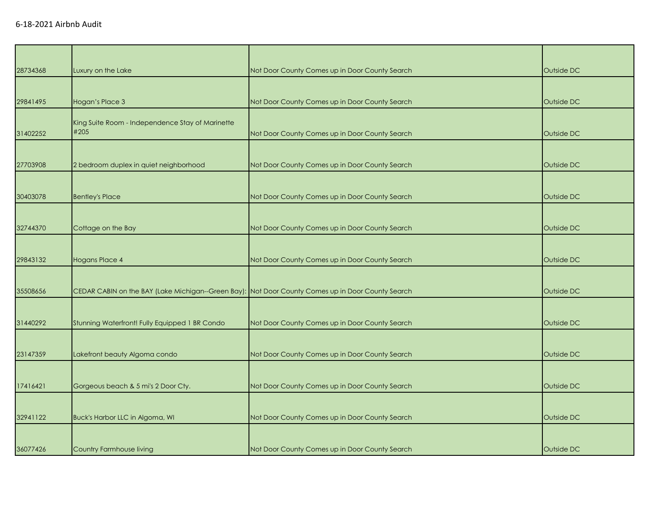| 28734368 | Luxury on the Lake                                                                                | Not Door County Comes up in Door County Search | Outside DC |
|----------|---------------------------------------------------------------------------------------------------|------------------------------------------------|------------|
|          |                                                                                                   |                                                |            |
| 29841495 | Hogan's Place 3                                                                                   | Not Door County Comes up in Door County Search | Outside DC |
|          | King Suite Room - Independence Stay of Marinette                                                  |                                                |            |
| 31402252 | #205                                                                                              | Not Door County Comes up in Door County Search | Outside DC |
|          |                                                                                                   |                                                |            |
| 27703908 | 2 bedroom duplex in quiet neighborhood                                                            | Not Door County Comes up in Door County Search | Outside DC |
|          |                                                                                                   |                                                |            |
| 30403078 | <b>Bentley's Place</b>                                                                            | Not Door County Comes up in Door County Search | Outside DC |
|          |                                                                                                   |                                                |            |
| 32744370 | Cottage on the Bay                                                                                | Not Door County Comes up in Door County Search | Outside DC |
|          |                                                                                                   |                                                |            |
| 29843132 | <b>Hogans Place 4</b>                                                                             | Not Door County Comes up in Door County Search | Outside DC |
|          |                                                                                                   |                                                |            |
| 35508656 | CEDAR CABIN on the BAY (Lake Michigan--Green Bay): Not Door County Comes up in Door County Search |                                                | Outside DC |
|          |                                                                                                   |                                                |            |
| 31440292 | Stunning Waterfront! Fully Equipped 1 BR Condo                                                    | Not Door County Comes up in Door County Search | Outside DC |
|          |                                                                                                   |                                                |            |
| 23147359 | Lakefront beauty Algoma condo                                                                     | Not Door County Comes up in Door County Search | Outside DC |
|          |                                                                                                   |                                                |            |
| 17416421 | Gorgeous beach & 5 mi's 2 Door Cty.                                                               | Not Door County Comes up in Door County Search | Outside DC |
|          |                                                                                                   |                                                |            |
| 32941122 | Buck's Harbor LLC in Algoma, WI                                                                   | Not Door County Comes up in Door County Search | Outside DC |
|          |                                                                                                   |                                                |            |
| 36077426 | Country Farmhouse living                                                                          | Not Door County Comes up in Door County Search | Outside DC |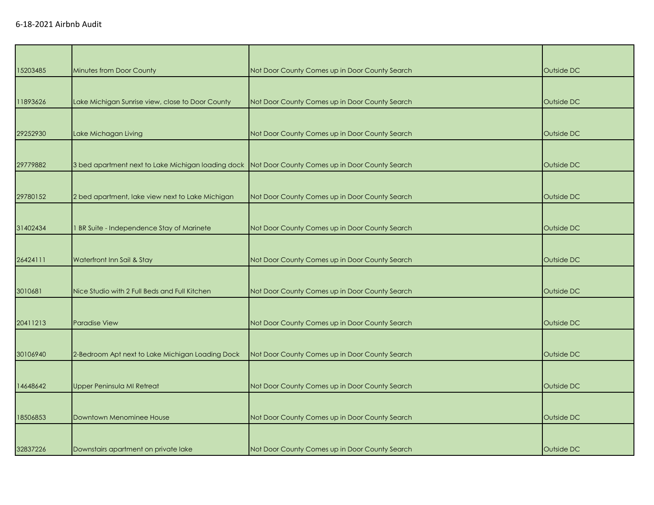| 15203485 | Minutes from Door County                                                                          | Not Door County Comes up in Door County Search | Outside DC |
|----------|---------------------------------------------------------------------------------------------------|------------------------------------------------|------------|
|          |                                                                                                   |                                                |            |
| 11893626 | Lake Michigan Sunrise view, close to Door County                                                  | Not Door County Comes up in Door County Search | Outside DC |
|          |                                                                                                   |                                                |            |
| 29252930 | Lake Michagan Living                                                                              | Not Door County Comes up in Door County Search | Outside DC |
|          |                                                                                                   |                                                |            |
| 29779882 | 3 bed apartment next to Lake Michigan loading dock Not Door County Comes up in Door County Search |                                                | Outside DC |
|          |                                                                                                   |                                                |            |
| 29780152 | 2 bed apartment, lake view next to Lake Michigan                                                  | Not Door County Comes up in Door County Search | Outside DC |
|          |                                                                                                   |                                                |            |
| 31402434 | 1 BR Suite - Independence Stay of Marinete                                                        | Not Door County Comes up in Door County Search | Outside DC |
|          |                                                                                                   |                                                |            |
| 26424111 | Waterfront Inn Sail & Stay                                                                        | Not Door County Comes up in Door County Search | Outside DC |
|          |                                                                                                   |                                                |            |
| 3010681  | Nice Studio with 2 Full Beds and Full Kitchen                                                     | Not Door County Comes up in Door County Search | Outside DC |
|          |                                                                                                   |                                                |            |
| 20411213 | <b>Paradise View</b>                                                                              | Not Door County Comes up in Door County Search | Outside DC |
|          |                                                                                                   |                                                |            |
| 30106940 | 2-Bedroom Apt next to Lake Michigan Loading Dock                                                  | Not Door County Comes up in Door County Search | Outside DC |
|          |                                                                                                   |                                                |            |
| 14648642 | Upper Peninsula MI Retreat                                                                        | Not Door County Comes up in Door County Search | Outside DC |
|          |                                                                                                   |                                                |            |
| 18506853 | Downtown Menominee House                                                                          | Not Door County Comes up in Door County Search | Outside DC |
|          |                                                                                                   |                                                |            |
| 32837226 | Downstairs apartment on private lake                                                              | Not Door County Comes up in Door County Search | Outside DC |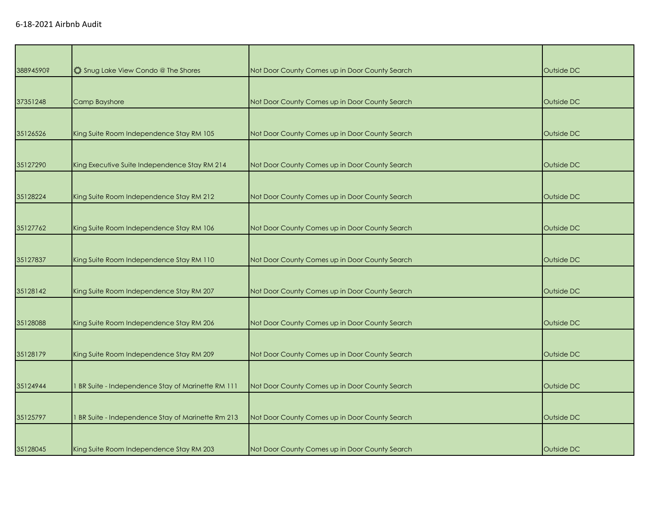| 38894590? | 《 Snug Lake View Condo @ The Shores                | Not Door County Comes up in Door County Search | Outside DC |
|-----------|----------------------------------------------------|------------------------------------------------|------------|
|           |                                                    |                                                |            |
| 37351248  | Camp Bayshore                                      | Not Door County Comes up in Door County Search | Outside DC |
|           |                                                    |                                                |            |
| 35126526  | King Suite Room Independence Stay RM 105           | Not Door County Comes up in Door County Search | Outside DC |
|           |                                                    |                                                |            |
| 35127290  | King Executive Suite Independence Stay RM 214      | Not Door County Comes up in Door County Search | Outside DC |
|           |                                                    |                                                |            |
| 35128224  | King Suite Room Independence Stay RM 212           | Not Door County Comes up in Door County Search | Outside DC |
|           |                                                    |                                                |            |
| 35127762  | King Suite Room Independence Stay RM 106           | Not Door County Comes up in Door County Search | Outside DC |
|           |                                                    |                                                |            |
| 35127837  | King Suite Room Independence Stay RM 110           | Not Door County Comes up in Door County Search | Outside DC |
|           |                                                    |                                                |            |
| 35128142  | King Suite Room Independence Stay RM 207           | Not Door County Comes up in Door County Search | Outside DC |
|           |                                                    |                                                |            |
| 35128088  | King Suite Room Independence Stay RM 206           | Not Door County Comes up in Door County Search | Outside DC |
|           |                                                    |                                                |            |
| 35128179  | King Suite Room Independence Stay RM 209           | Not Door County Comes up in Door County Search | Outside DC |
|           |                                                    |                                                |            |
| 35124944  | 1 BR Suite - Independence Stay of Marinette RM 111 | Not Door County Comes up in Door County Search | Outside DC |
|           |                                                    |                                                |            |
| 35125797  | 1 BR Suite - Independence Stay of Marinette Rm 213 | Not Door County Comes up in Door County Search | Outside DC |
|           |                                                    |                                                |            |
| 35128045  | King Suite Room Independence Stay RM 203           | Not Door County Comes up in Door County Search | Outside DC |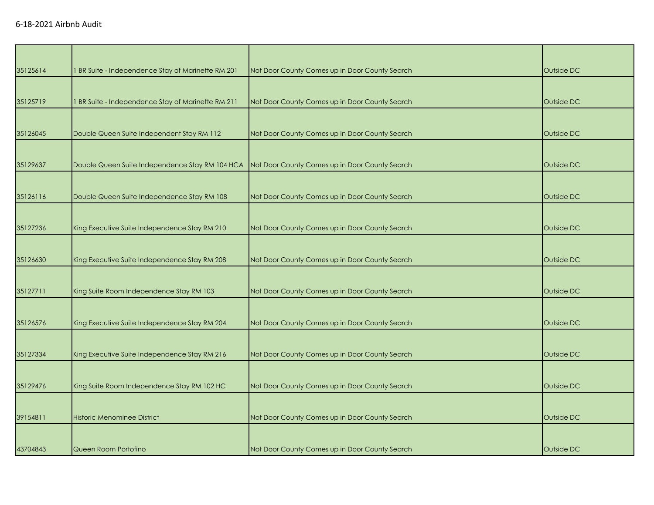| 35125614 | I BR Suite - Independence Stay of Marinette RM 201 | Not Door County Comes up in Door County Search | Outside DC |
|----------|----------------------------------------------------|------------------------------------------------|------------|
|          |                                                    |                                                |            |
| 35125719 | I BR Suite - Independence Stay of Marinette RM 211 | Not Door County Comes up in Door County Search | Outside DC |
|          |                                                    |                                                |            |
| 35126045 | Double Queen Suite Independent Stay RM 112         | Not Door County Comes up in Door County Search | Outside DC |
|          |                                                    |                                                |            |
| 35129637 | Double Queen Suite Independence Stay RM 104 HCA    | Not Door County Comes up in Door County Search | Outside DC |
|          |                                                    |                                                |            |
| 35126116 | Double Queen Suite Independence Stay RM 108        | Not Door County Comes up in Door County Search | Outside DC |
|          |                                                    |                                                |            |
| 35127236 | King Executive Suite Independence Stay RM 210      | Not Door County Comes up in Door County Search | Outside DC |
|          |                                                    |                                                |            |
| 35126630 | King Executive Suite Independence Stay RM 208      | Not Door County Comes up in Door County Search | Outside DC |
|          |                                                    |                                                |            |
| 35127711 | King Suite Room Independence Stay RM 103           | Not Door County Comes up in Door County Search | Outside DC |
|          |                                                    |                                                |            |
| 35126576 | King Executive Suite Independence Stay RM 204      | Not Door County Comes up in Door County Search | Outside DC |
|          |                                                    |                                                |            |
| 35127334 | King Executive Suite Independence Stay RM 216      | Not Door County Comes up in Door County Search | Outside DC |
|          |                                                    |                                                |            |
| 35129476 | King Suite Room Independence Stay RM 102 HC        | Not Door County Comes up in Door County Search | Outside DC |
|          |                                                    |                                                |            |
| 39154811 | <b>Historic Menominee District</b>                 | Not Door County Comes up in Door County Search | Outside DC |
|          |                                                    |                                                |            |
| 43704843 | Queen Room Portofino                               | Not Door County Comes up in Door County Search | Outside DC |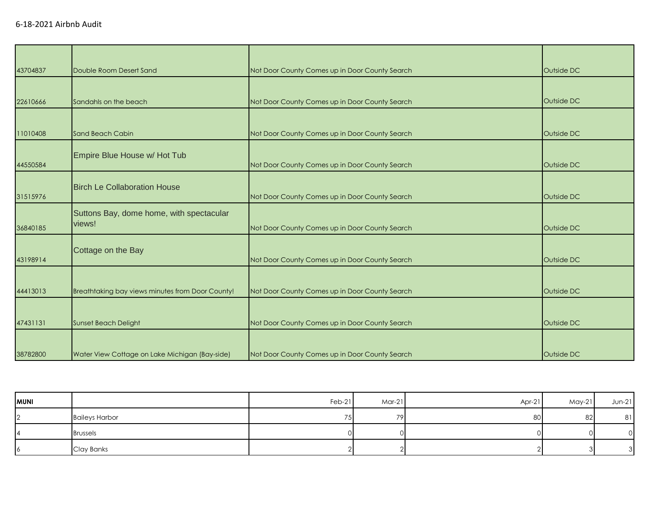| 43704837 | Double Room Desert Sand                            | Not Door County Comes up in Door County Search | Outside DC |
|----------|----------------------------------------------------|------------------------------------------------|------------|
|          |                                                    |                                                |            |
| 22610666 | Sandahls on the beach                              | Not Door County Comes up in Door County Search | Outside DC |
|          |                                                    |                                                |            |
| 11010408 | <b>Sand Beach Cabin</b>                            | Not Door County Comes up in Door County Search | Outside DC |
| 44550584 | Empire Blue House w/ Hot Tub                       | Not Door County Comes up in Door County Search | Outside DC |
|          |                                                    |                                                |            |
| 31515976 | <b>Birch Le Collaboration House</b>                | Not Door County Comes up in Door County Search | Outside DC |
| 36840185 | Suttons Bay, dome home, with spectacular<br>views! | Not Door County Comes up in Door County Search | Outside DC |
| 43198914 | Cottage on the Bay                                 | Not Door County Comes up in Door County Search | Outside DC |
|          |                                                    |                                                |            |
| 44413013 | Breathtaking bay views minutes from Door County!   | Not Door County Comes up in Door County Search | Outside DC |
|          |                                                    |                                                |            |
| 47431131 | <b>Sunset Beach Delight</b>                        | Not Door County Comes up in Door County Search | Outside DC |
| 38782800 | Water View Cottage on Lake Michigan (Bay-side)     | Not Door County Comes up in Door County Search | Outside DC |

| <b>MUNI</b>    |                       | Feb-21 | Mar-21 | $Apr-21$ | $May-21$ | $Jun-21$ |
|----------------|-----------------------|--------|--------|----------|----------|----------|
| $\overline{2}$ | <b>Baileys Harbor</b> | 75     | 79     | 80       | 82       | 81       |
|                | <b>Brussels</b>       |        |        |          |          |          |
| 16             | Clay Banks            |        |        |          |          | ◠        |